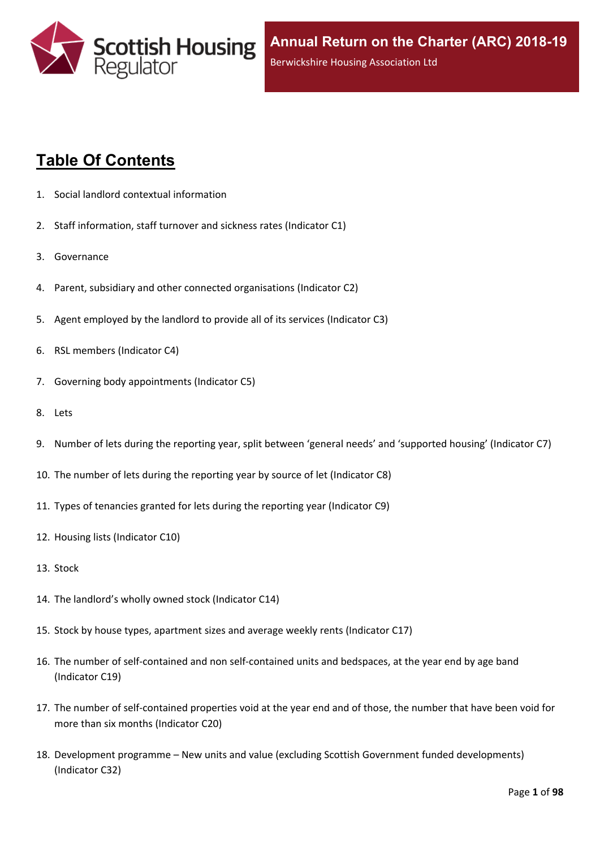

# **Table Of Contents**

- 1. Social landlord contextual [information](#page-5-0)
- 2. Staff [information,](#page-6-0) staff turnover and sickness rates (Indicator C1)
- 3. [Governance](#page-8-0)
- 4. Parent, subsidiary and other connected [organisations](#page-9-0) (Indicator C2)
- 5. Agent [employed](#page-10-0) by the landlord to provide all of its services (Indicator C3)
- 6. RSL members [\(Indicator](#page-11-0) C4)
- 7. Governing body [appointments](#page-12-0) (Indicator C5)
- 8. [Lets](#page-13-0)
- 9. Number of lets during the reporting year, split between 'general needs' and ['supported](#page-14-0) housing' (Indicator C7)
- 10. The number of lets during the reporting year by source of let [\(Indicator](#page-15-0) C8)
- 11. Types of tenancies granted for lets during the reporting year [\(Indicator](#page-16-0) C9)
- 12. Housing lists [\(Indicator](#page-17-0) C10)
- 13. [Stock](#page-18-0)
- 14. The [landlord's](#page-19-0) wholly owned stock (Indicator C14)
- 15. Stock by house types, [apartment](#page-20-0) sizes and average weekly rents (Indicator C17)
- 16. The number of self-contained and non [self-contained](#page-21-0) units and bedspaces, at the year end by age band [\(Indicator](#page-21-0) C19)
- 17. The number of [self-contained](#page-22-0) properties void at the year end and of those, the number that have been void for more than six months [\(Indicator](#page-22-0) C20)
- 18. [Development](#page-23-0) programme [–](#page-23-0) New units and value (excluding Scottish Government funded [developments\)](#page-23-0) [\(Indicator](#page-23-0) C32)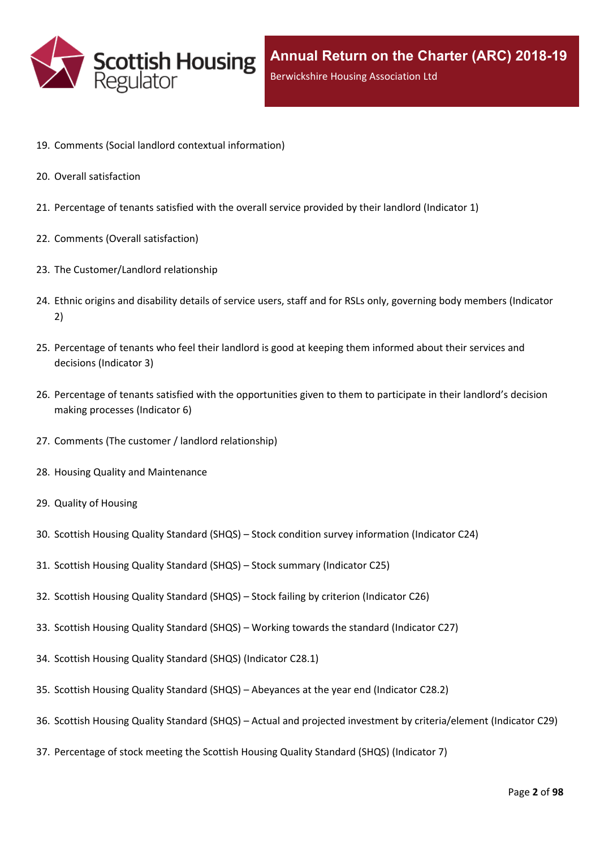

- 19. Comments (Social landlord contextual [information\)](#page-25-0)
- 20. Overall [satisfaction](#page-26-0)
- 21. [Percentage](#page-27-0) of tenants satisfied with the overall service provided by their landlord (Indicator 1)
- 22. Comments (Overall [satisfaction\)](#page-29-0)
- 23. The [Customer/Landlord](#page-30-0) relationship
- 24. Ethnic origins and disability details of service users, staff and for RSLs only, [governing](#page-31-0) body members (Indicator [2\)](#page-31-0)
- 25. [Percentage](#page-33-0) of tenants who feel their landlord is good at keeping them informed about their services and [decisions](#page-33-0) [\(Indicator](#page-33-0) 3)
- 26. Percentage of tenants satisfied with the [opportunities](#page-34-0) given to them to participate in their landlord's decision making [processes](#page-34-0) (Indicator 6)
- 27. Comments (The customer / landlord [relationship\)](#page-35-0)
- 28. Housing Quality and [Maintenance](#page-36-0)
- 29. Quality of [Housing](#page-37-0)
- 30. Scottish Housing Quality [Standard](#page-38-0) (SHQS) [–](#page-38-0) Stock condition survey [information](#page-38-0) (Indicator C24)
- 31. Scottish Housing Quality [Standard](#page-39-0) (SHQS) [–](#page-39-0) Stock summary [\(Indicator](#page-39-0) C25)
- 32. Scottish Housing Quality [Standard](#page-41-0) (SHQS) [–](#page-41-0) Stock failing by criterion [\(Indicator](#page-41-0) C26)
- 33. Scottish Housing Quality [Standard](#page-43-0) (SHQS) [–](#page-43-0) Working towards the standard [\(Indicator](#page-43-0) C27)
- 34. Scottish Housing Quality Standard (SHQS) [\(Indicator](#page-45-0) C28.1)
- 35. Scottish Housing Quality [Standard](#page-46-0) (SHQS) [–](#page-46-0) [Abeyances](#page-46-0) at the year end (Indicator C28.2)
- 36. Scottish Housing Quality [Standard](#page-47-0) (SHQS) [–](#page-47-0) Actual and projected investment by [criteria/element](#page-47-0) (Indicator C29)
- 37. [Percentage](#page-48-0) of stock meeting the Scottish Housing Quality Standard (SHQS) (Indicator 7)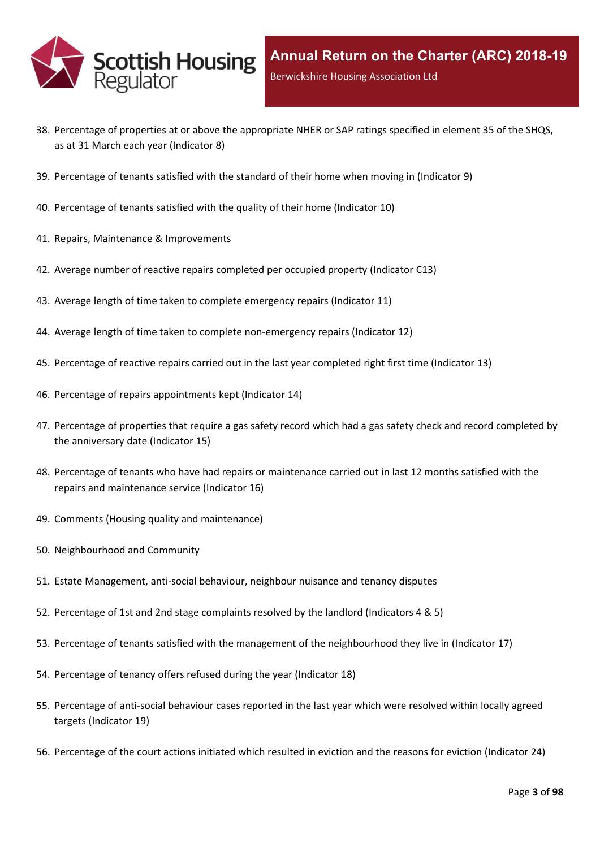

- 38. Percentage of properties at or above the [appropriate](#page-49-0) NHER or SAP ratings specified in element 35 of the SHQS, as at 31 March each year [\(Indicator](#page-49-0) 8)
- 39. [Percentage](#page-50-0) of tenants satisfied with the standard of their home when moving in (Indicator 9)
- 40. [Percentage](#page-51-0) of tenants satisfied with the quality of their home (Indicator 10)
- 41. Repairs, Maintenance & [Improvements](#page-52-0)
- 42. Average number of reactive repairs [completed](#page-53-0) per occupied property (Indicator C13)
- 43. Average length of time taken to complete [emergency](#page-54-0) repairs (Indicator 11)
- 44. Average length of time taken to complete [non-emergency](#page-55-0) repairs (Indicator 12)
- 45. [Percentage](#page-56-0) of reactive repairs carried out in the last year completed right first time (Indicator 13)
- 46. Percentage of repairs [appointments](#page-57-0) kept (Indicator 14)
- 47. [Percentage](#page-58-0) of properties that require a gas safety record which had a gas safety check and record completed by the [anniversary](#page-58-0) date (Indicator 15)
- 48. Percentage of tenants who have had repairs or [maintenance](#page-59-0) carried out in last 12 months satisfied with the repairs and [maintenance](#page-59-0) service (Indicator 16)
- 49. Comments (Housing quality and [maintenance\)](#page-60-0)
- 50. [Neighbourhood](#page-61-0) and Community
- 51. Estate [Management,](#page-62-0) anti-social behaviour, neighbour nuisance and tenancy disputes
- 52. [Percentage](#page-63-0) of 1st and 2nd stage complaints resolved by the landlord (Indicators 4 & 5)
- 53. Percentage of tenants satisfied with the management of the [neighbourhood](#page-66-0) they live in (Indicator 17)
- 54. [Percentage](#page-67-0) of tenancy offers refused during the year (Indicator 18)
- 55. [Percentage](#page-68-0) of anti-social behaviour cases reported in the last year which were resolved within locally agreed targets [\(Indicator](#page-68-0) 19)
- 56. [Percentage](#page-69-0) of the court actions initiated which resulted in eviction and the reasons for eviction (Indicator 24)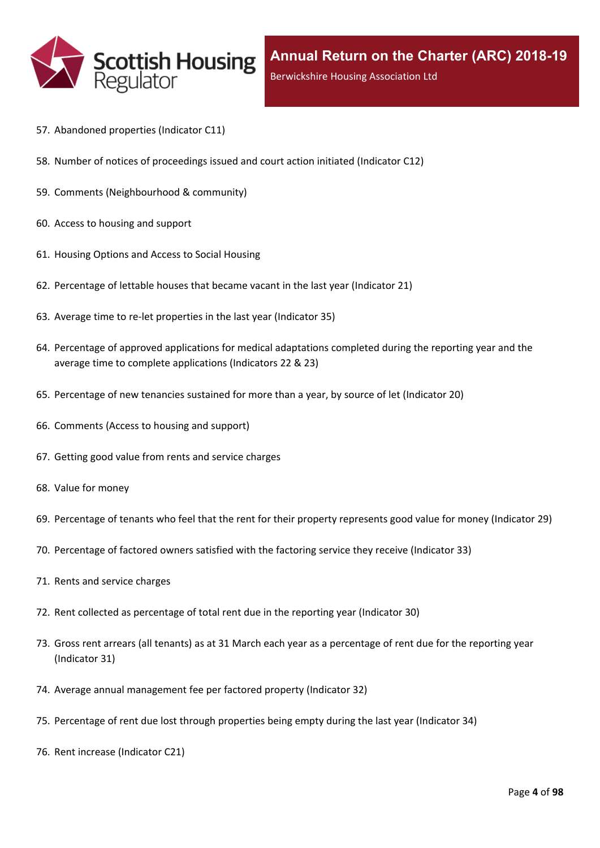

- 57. [Abandoned](#page-70-0) properties (Indicator C11)
- 58. Number of notices of [proceedings](#page-71-0) issued and court action initiated (Indicator C12)
- 59. Comments [\(Neighbourhood](#page-72-0) & community)
- 60. Access to [housing](#page-73-0) and support
- 61. [Housing](#page-74-0) Options and Access to Social Housing
- 62. [Percentage](#page-75-0) of lettable houses that became vacant in the last year (Indicator 21)
- 63. Average time to re-let [properties](#page-76-0) in the last year (Indicator 35)
- 64. Percentage of approved [applications](#page-77-0) for medical adaptations completed during the reporting year and the average time to complete [applications](#page-77-0) (Indicators 22 & 23)
- 65. [Percentage](#page-78-0) of new tenancies sustained for more than a year, by source of let (Indicator 20)
- 66. [Comments](#page-80-0) (Access to housing and support)
- 67. Getting good value from rents and service [charges](#page-81-0)
- 68. Value for [money](#page-82-0)
- 69. [Percentage](#page-83-0) of tenants who feel that the rent for their property represents good value for money (Indicator 29)
- 70. [Percentage](#page-84-0) of factored owners satisfied with the factoring service they receive (Indicator 33)
- 71. Rents and service [charges](#page-85-0)
- 72. Rent collected as [percentage](#page-86-0) of total rent due in the reporting year (Indicator 30)
- 73. Gross rent arrears (all tenants) as at 31 March each year as a [percentage](#page-87-0) of rent due for the reporting year [\(Indicator](#page-87-0) 31)
- 74. Average annual [management](#page-88-0) fee per factored property (Indicator 32)
- 75. [Percentage](#page-89-0) of rent due lost through properties being empty during the last year (Indicator 34)
- 76. Rent increase [\(Indicator](#page-90-0) C21)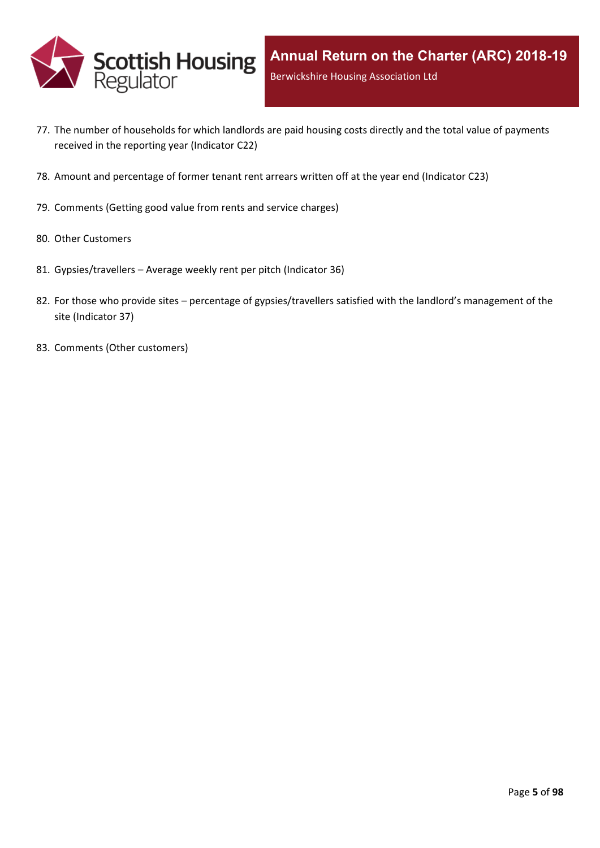

- 77. The number of [households](#page-91-0) for which landlords are paid housing costs directly and the total value of payments received in the reporting year [\(Indicator](#page-91-0) C22)
- 78. Amount and [percentage](#page-92-0) of former tenant rent arrears written off at the year end (Indicator C23)
- 79. [Comments](#page-93-0) (Getting good value from rents and service charges)
- 80. Other [Customers](#page-94-0)
- 81. [Gypsies/travellers](#page-95-0) [–](#page-95-0) Average weekly rent per pitch [\(Indicator](#page-95-0) 36)
- 82. For those who [provide](#page-96-0) sites [–](#page-96-0) percentage of [gypsies/travellers](#page-96-0) satisfied with the landlord's management of the site [\(Indicator](#page-96-0) 37)
- 83. Comments (Other [customers\)](#page-97-0)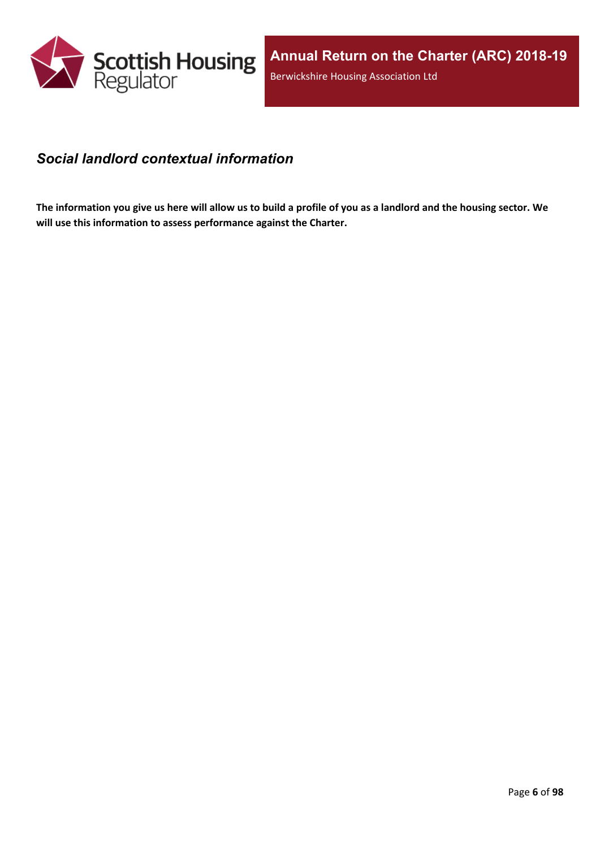

### <span id="page-5-0"></span>*Social landlord contextual information*

The information you give us here will allow us to build a profile of you as a landlord and the housing sector. We **will use this information to assess performance against the Charter.**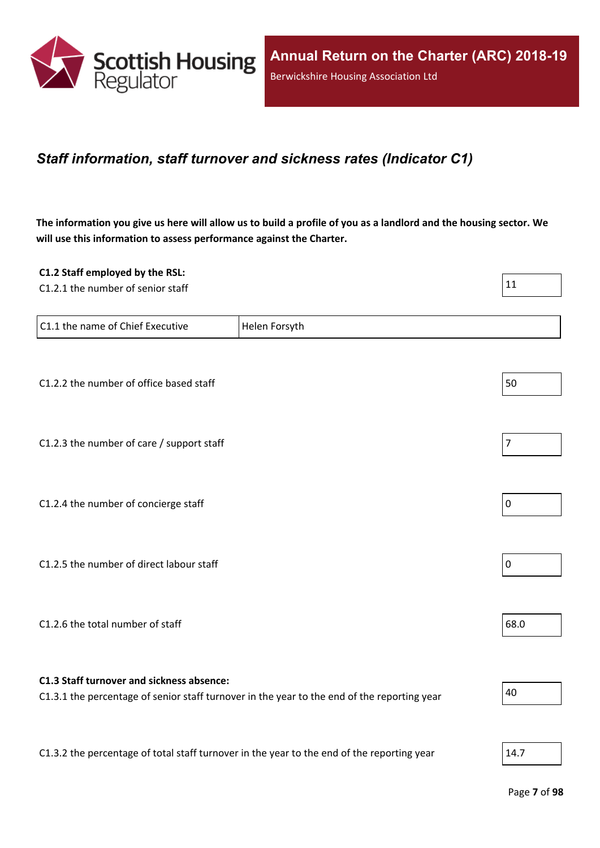

### <span id="page-6-0"></span>*Staff information, staff turnover and sickness rates (Indicator C1)*

The information you give us here will allow us to build a profile of you as a landlord and the housing sector. We **will use this information to assess performance against the Charter.**

| C1.2 Staff employed by the RSL:                                                            |                                                                                             |                |
|--------------------------------------------------------------------------------------------|---------------------------------------------------------------------------------------------|----------------|
| C1.2.1 the number of senior staff                                                          |                                                                                             | 11             |
|                                                                                            |                                                                                             |                |
| C1.1 the name of Chief Executive                                                           | Helen Forsyth                                                                               |                |
|                                                                                            |                                                                                             |                |
|                                                                                            |                                                                                             |                |
| C1.2.2 the number of office based staff                                                    |                                                                                             | 50             |
|                                                                                            |                                                                                             |                |
|                                                                                            |                                                                                             |                |
| C1.2.3 the number of care / support staff                                                  |                                                                                             | $\overline{7}$ |
|                                                                                            |                                                                                             |                |
|                                                                                            |                                                                                             |                |
| C1.2.4 the number of concierge staff                                                       |                                                                                             | $\mathbf 0$    |
|                                                                                            |                                                                                             |                |
|                                                                                            |                                                                                             |                |
| C1.2.5 the number of direct labour staff                                                   |                                                                                             | $\pmb{0}$      |
|                                                                                            |                                                                                             |                |
|                                                                                            |                                                                                             |                |
| C1.2.6 the total number of staff                                                           |                                                                                             | 68.0           |
|                                                                                            |                                                                                             |                |
|                                                                                            |                                                                                             |                |
| C1.3 Staff turnover and sickness absence:                                                  |                                                                                             | 40             |
|                                                                                            | C1.3.1 the percentage of senior staff turnover in the year to the end of the reporting year |                |
|                                                                                            |                                                                                             |                |
| C1.3.2 the percentage of total staff turnover in the year to the end of the reporting year |                                                                                             | 14.7           |
|                                                                                            |                                                                                             |                |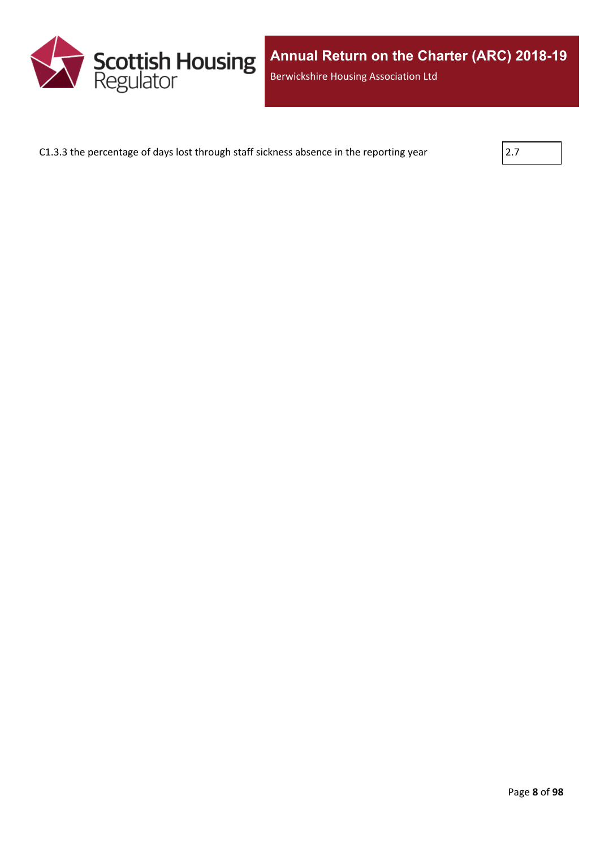

C1.3.3 the percentage of days lost through staff sickness absence in the reporting year

| , |  |  |
|---|--|--|
|   |  |  |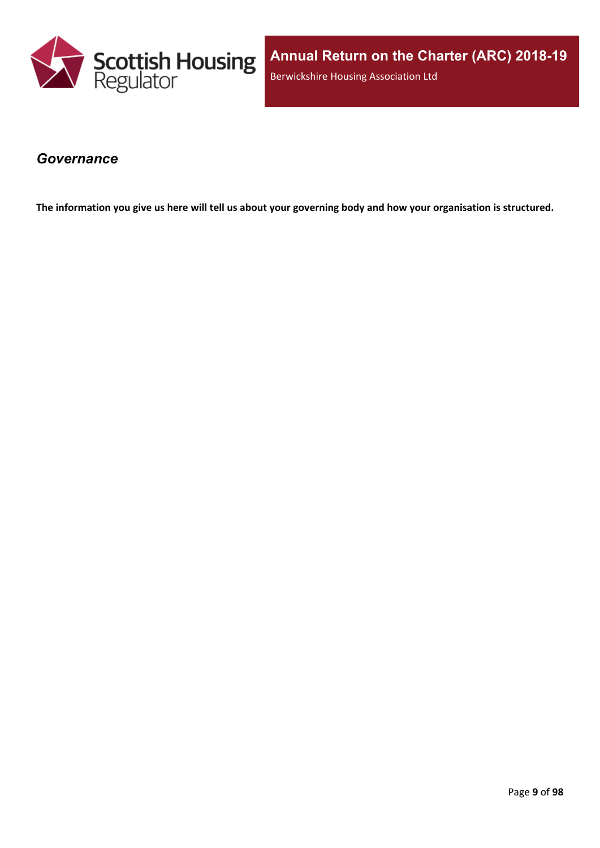

#### <span id="page-8-0"></span>*Governance*

The information you give us here will tell us about your governing body and how your organisation is structured.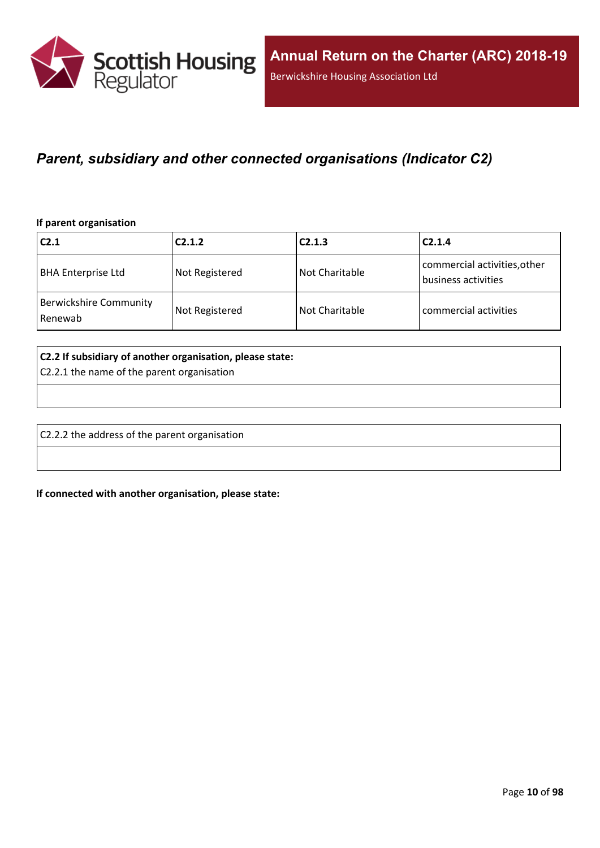

### <span id="page-9-0"></span>*Parent, subsidiary and other connected organisations (Indicator C2)*

#### **If parent organisation**

| C <sub>2.1</sub>                         | C2.1.2         | C2.1.3           | C2.1.4                                              |
|------------------------------------------|----------------|------------------|-----------------------------------------------------|
| <b>BHA Enterprise Ltd</b>                | Not Registered | l Not Charitable | commercial activities, other<br>business activities |
| <b>Berwickshire Community</b><br>Renewab | Not Registered | Not Charitable   | commercial activities                               |

#### **C2.2 If subsidiary of another organisation, please state:**

C2.2.1 the name of the parent organisation

C2.2.2 the address of the parent organisation

**If connected with another organisation, please state:**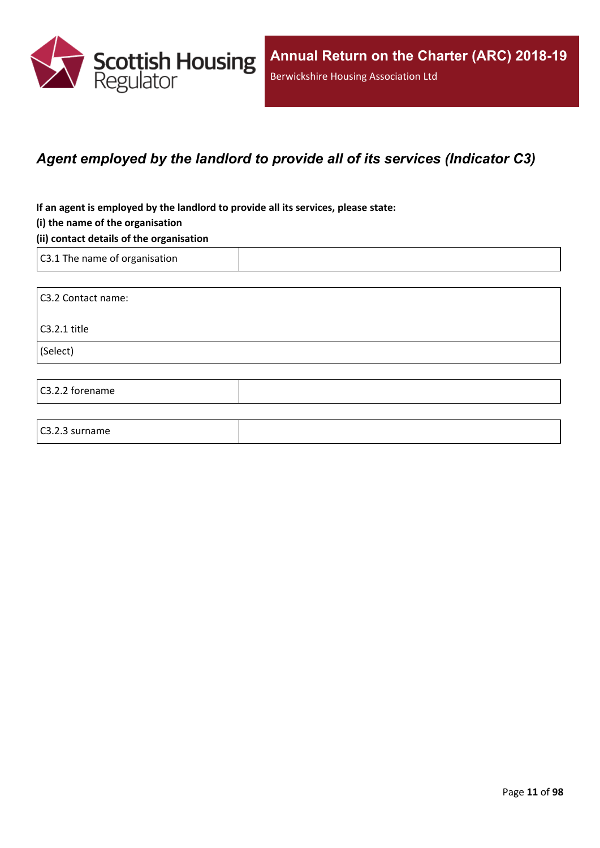

## <span id="page-10-0"></span>*Agent employed by the landlord to provide all of its services (Indicator C3)*

**If an agent is employed by the landlord to provide all its services, please state:**

#### **(i) the name of the organisation**

#### **(ii) contact details of the organisation**

C3.1 The name of organisation

C3.2.3 surname

C3.2 Contact name: C3.2.1 title (Select) C3.2.2 forename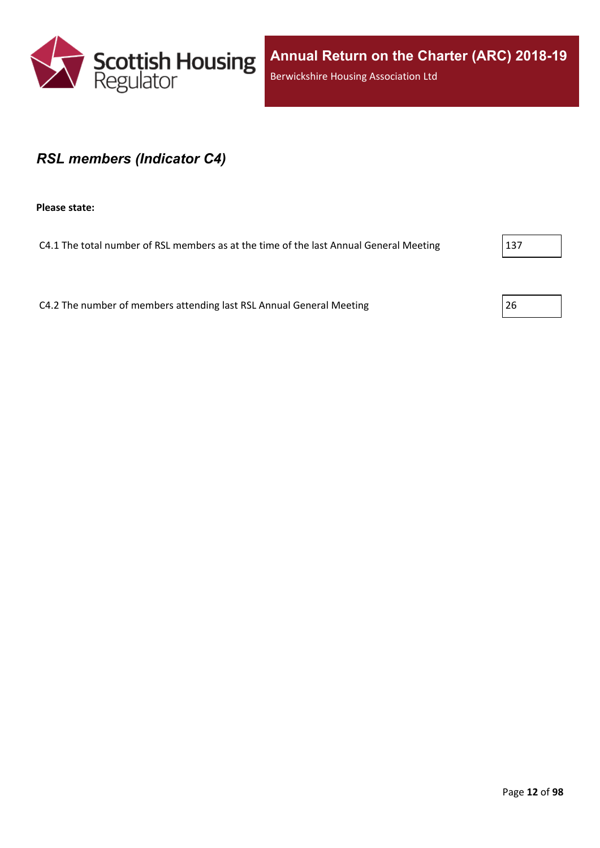

#### <span id="page-11-0"></span>*RSL members (Indicator C4)*

**Please state:**

C4.1 The total number of RSL members as at the time of the last Annual General Meeting 2137

C4.2 The number of members attending last RSL Annual General Meeting 26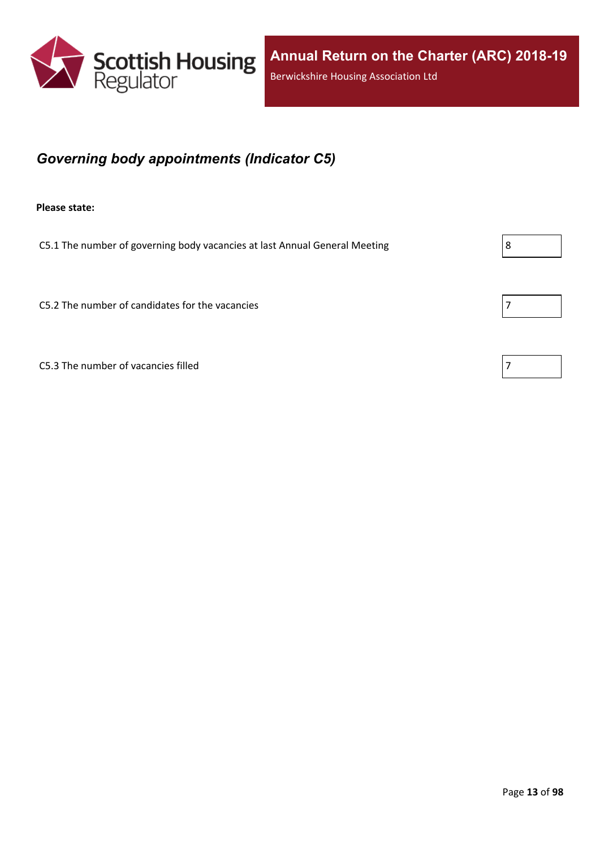

## <span id="page-12-0"></span>*Governing body appointments (Indicator C5)*

**Please state:**

C5.1 The number of governing body vacancies at last Annual General Meeting  $\vert 8 \vert$ 

 $C5.2$  The number of candidates for the vacancies  $\boxed{7}$ 

C5.3 The number of vacancies filled

| 7<br>I |  |  |
|--------|--|--|
|        |  |  |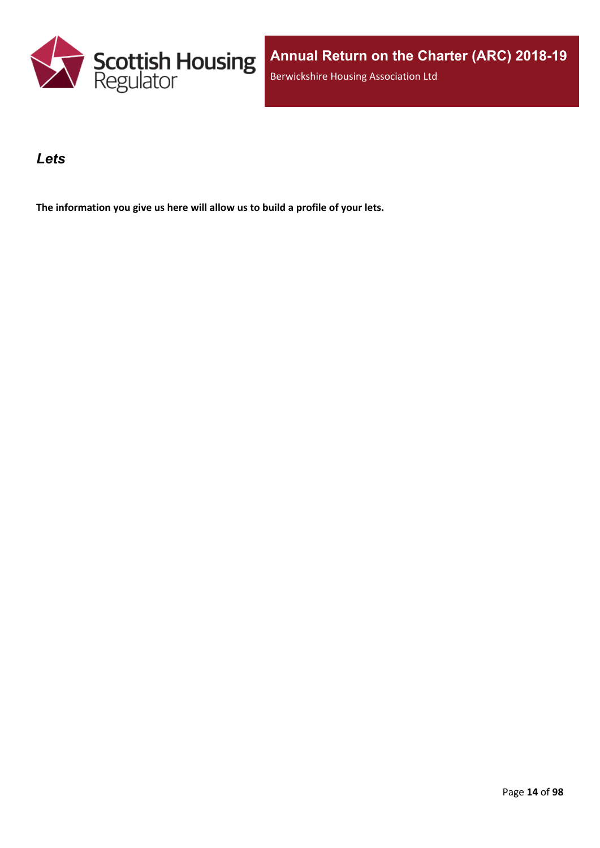

### <span id="page-13-0"></span>*Lets*

**The information you give us here will allow us to build a profile of your lets.**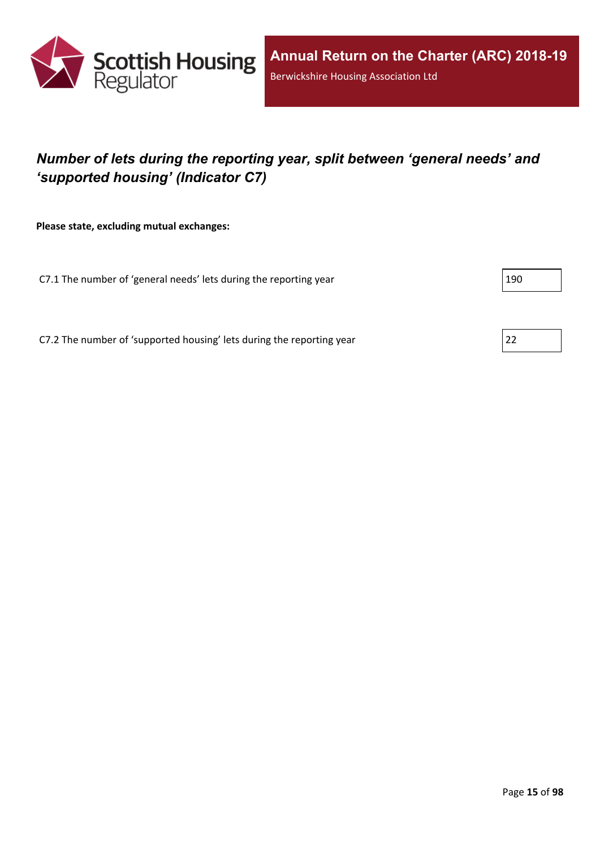

## <span id="page-14-0"></span>*Number of lets during the reporting year, split between 'general needs' and 'supported housing' (Indicator C7)*

**Please state, excluding mutual exchanges:**

C7.1 The number of 'general needs' lets during the reporting year 190

C7.2 The number of 'supported housing' lets during the reporting year 22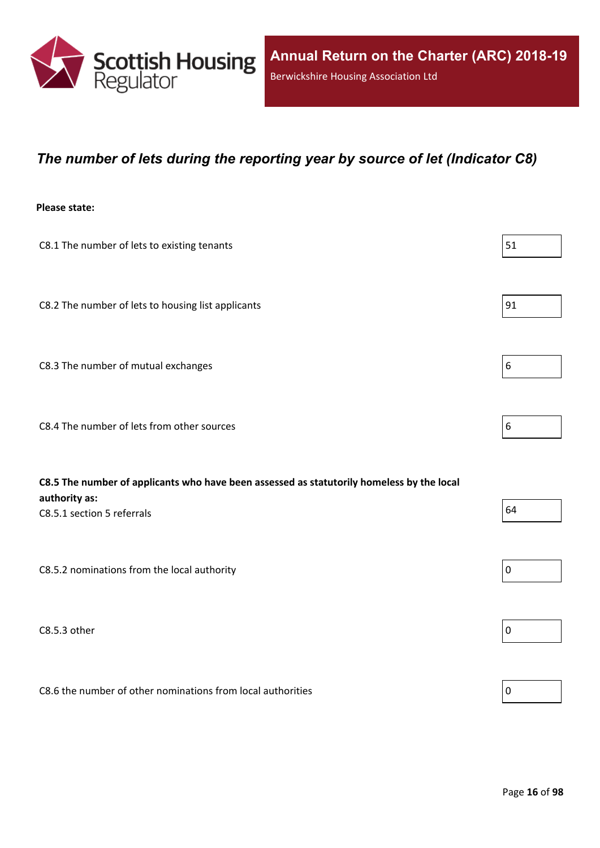

### <span id="page-15-0"></span>*The number of lets during the reporting year by source of let (Indicator C8)*

#### **Please state:**

| C8.1 The number of lets to existing tenants                                                                                              | 51               |
|------------------------------------------------------------------------------------------------------------------------------------------|------------------|
| C8.2 The number of lets to housing list applicants                                                                                       | 91               |
| C8.3 The number of mutual exchanges                                                                                                      | $\boldsymbol{6}$ |
| C8.4 The number of lets from other sources                                                                                               | 6                |
|                                                                                                                                          |                  |
| C8.5 The number of applicants who have been assessed as statutorily homeless by the local<br>authority as:<br>C8.5.1 section 5 referrals | 64               |
| C8.5.2 nominations from the local authority                                                                                              | $\pmb{0}$        |
| C8.5.3 other                                                                                                                             | $\boldsymbol{0}$ |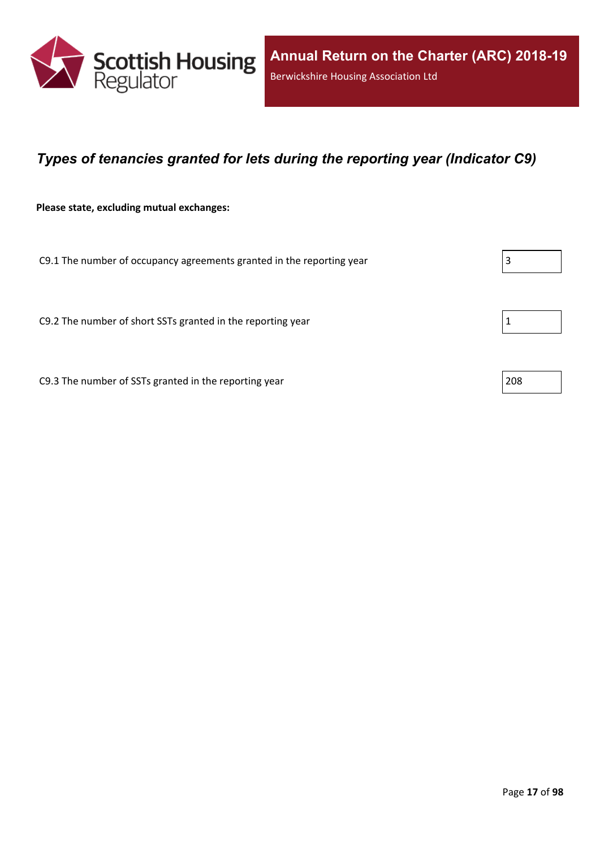

## <span id="page-16-0"></span>*Types of tenancies granted for lets during the reporting year (Indicator C9)*

**Please state, excluding mutual exchanges:**

C9.1 The number of occupancy agreements granted in the reporting year  $\vert$ 3

C9.2 The number of short SSTs granted in the reporting year  $1 \tbinom{1}{1}$ 

C9.3 The number of SSTs granted in the reporting year 208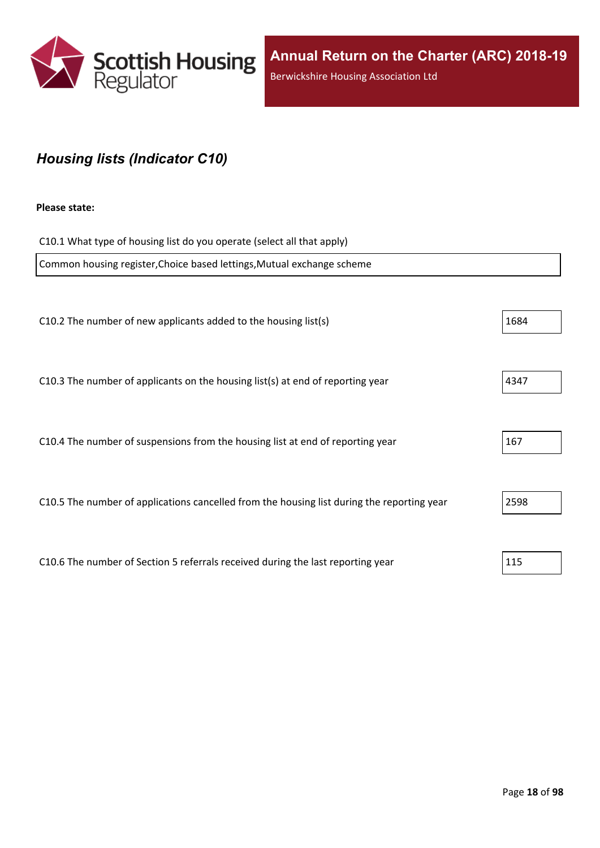

## <span id="page-17-0"></span>*Housing lists (Indicator C10)*

#### **Please state:**

| C10.1 What type of housing list do you operate (select all that apply)                     |      |  |  |
|--------------------------------------------------------------------------------------------|------|--|--|
| Common housing register, Choice based lettings, Mutual exchange scheme                     |      |  |  |
|                                                                                            |      |  |  |
| C10.2 The number of new applicants added to the housing list(s)                            | 1684 |  |  |
|                                                                                            |      |  |  |
| C10.3 The number of applicants on the housing list(s) at end of reporting year             | 4347 |  |  |
|                                                                                            |      |  |  |
| C10.4 The number of suspensions from the housing list at end of reporting year             | 167  |  |  |
|                                                                                            |      |  |  |
| C10.5 The number of applications cancelled from the housing list during the reporting year | 2598 |  |  |
|                                                                                            |      |  |  |
| C10.6 The number of Section 5 referrals received during the last reporting year            | 115  |  |  |
|                                                                                            |      |  |  |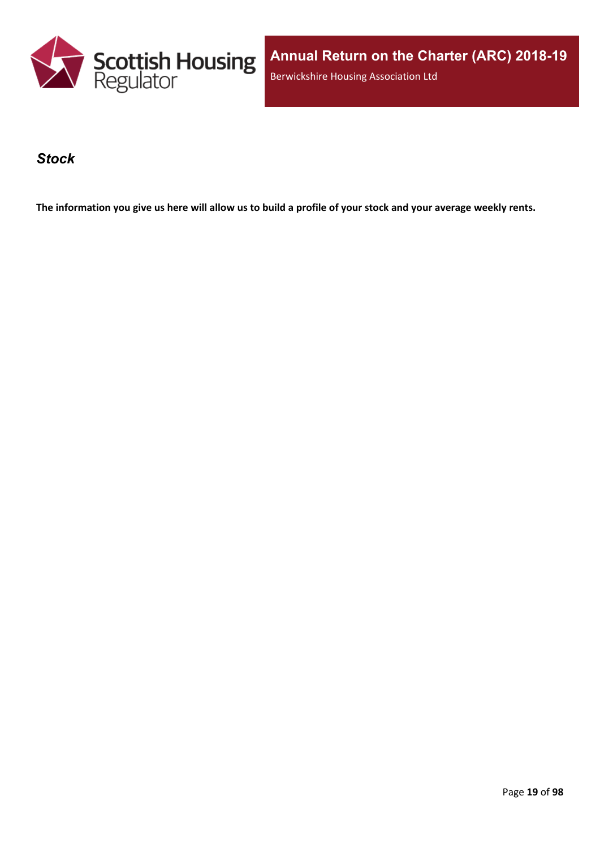

**Annual Return on the Charter (ARC) 2018-19** Berwickshire Housing Association Ltd

#### <span id="page-18-0"></span>*Stock*

The information you give us here will allow us to build a profile of your stock and your average weekly rents.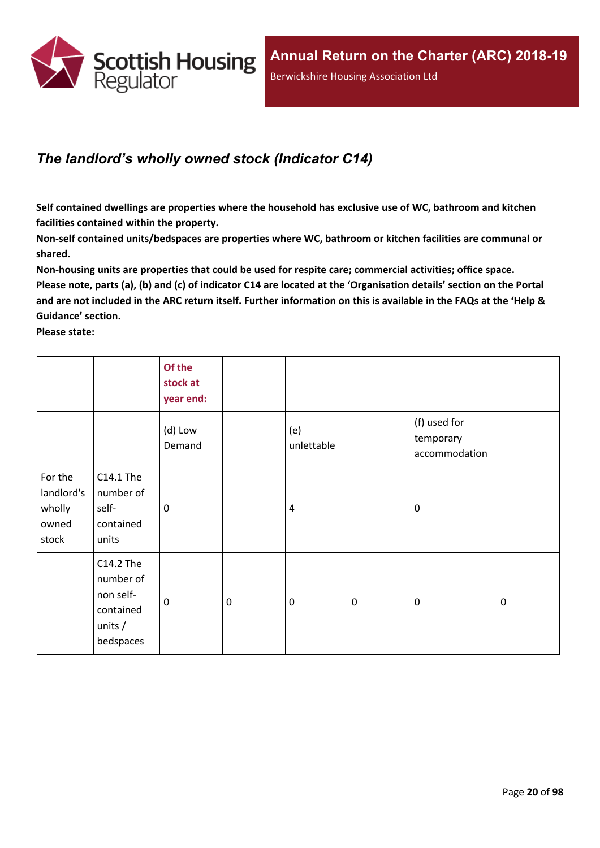

## <span id="page-19-0"></span>*The landlord's wholly owned stock (Indicator C14)*

**Self contained dwellings are properties where the household has exclusive use of WC, bathroom and kitchen facilities contained within the property.**

**Non-self contained units/bedspaces are properties where WC, bathroom or kitchen facilities are communal or shared.**

**Non-housing units are properties that could be used for respite care; commercial activities; office space.** Please note, parts (a), (b) and (c) of indicator C14 are located at the 'Organisation details' section on the Portal and are not included in the ARC return itself. Further information on this is available in the FAQs at the 'Help & **Guidance' section.**

**Please state:**

|                                                   |                                                                            | Of the<br>stock at<br>year end: |                  |                   |           |                                            |             |
|---------------------------------------------------|----------------------------------------------------------------------------|---------------------------------|------------------|-------------------|-----------|--------------------------------------------|-------------|
|                                                   |                                                                            | (d) Low<br>Demand               |                  | (e)<br>unlettable |           | (f) used for<br>temporary<br>accommodation |             |
| For the<br>landlord's<br>wholly<br>owned<br>stock | C14.1 The<br>number of<br>self-<br>contained<br>units                      | $\mathbf 0$                     |                  | 4                 |           | $\mathbf 0$                                |             |
|                                                   | C14.2 The<br>number of<br>non self-<br>contained<br>units $/$<br>bedspaces | $\mathbf 0$                     | $\boldsymbol{0}$ | $\mathbf 0$       | $\pmb{0}$ | $\mathbf 0$                                | $\mathbf 0$ |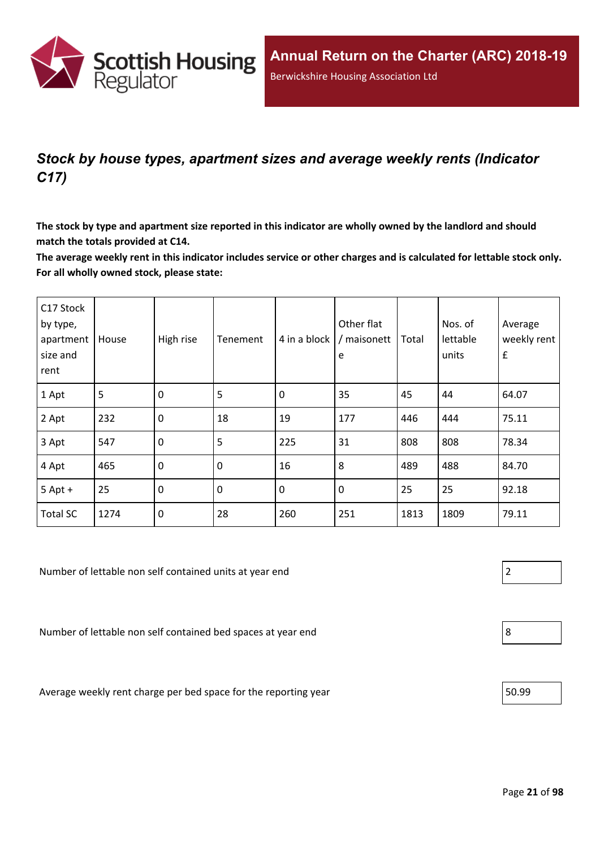

## <span id="page-20-0"></span>*Stock by house types, apartment sizes and average weekly rents (Indicator C17)*

The stock by type and apartment size reported in this indicator are wholly owned by the landlord and should **match the totals provided at C14.**

The average weekly rent in this indicator includes service or other charges and is calculated for lettable stock only. **For all wholly owned stock, please state:**

| C17 Stock<br>by type,<br>apartment<br>size and<br>rent | House | High rise        | Tenement | 4 in a block | Other flat<br>/ maisonett<br>e | Total | Nos. of<br>lettable<br>units | Average<br>weekly rent<br>$\pmb{\mathsf{f}}$ |
|--------------------------------------------------------|-------|------------------|----------|--------------|--------------------------------|-------|------------------------------|----------------------------------------------|
| 1 Apt                                                  | 5     | $\mathbf 0$      | 5        | $\mathbf 0$  | 35                             | 45    | 44                           | 64.07                                        |
| 2 Apt                                                  | 232   | $\mathbf 0$      | 18       | 19           | 177                            | 446   | 444                          | 75.11                                        |
| 3 Apt                                                  | 547   | $\mathbf 0$      | 5        | 225          | 31                             | 808   | 808                          | 78.34                                        |
| 4 Apt                                                  | 465   | $\boldsymbol{0}$ | 0        | 16           | 8                              | 489   | 488                          | 84.70                                        |
| $5$ Apt +                                              | 25    | 0                | 0        | $\mathbf 0$  | $\pmb{0}$                      | 25    | 25                           | 92.18                                        |
| <b>Total SC</b>                                        | 1274  | $\mathbf 0$      | 28       | 260          | 251                            | 1813  | 1809                         | 79.11                                        |

Number of lettable non self contained units at year end 2

Number of lettable non self contained bed spaces at year end  $\vert 8$ 

Average weekly rent charge per bed space for the reporting year  $\vert$  50.99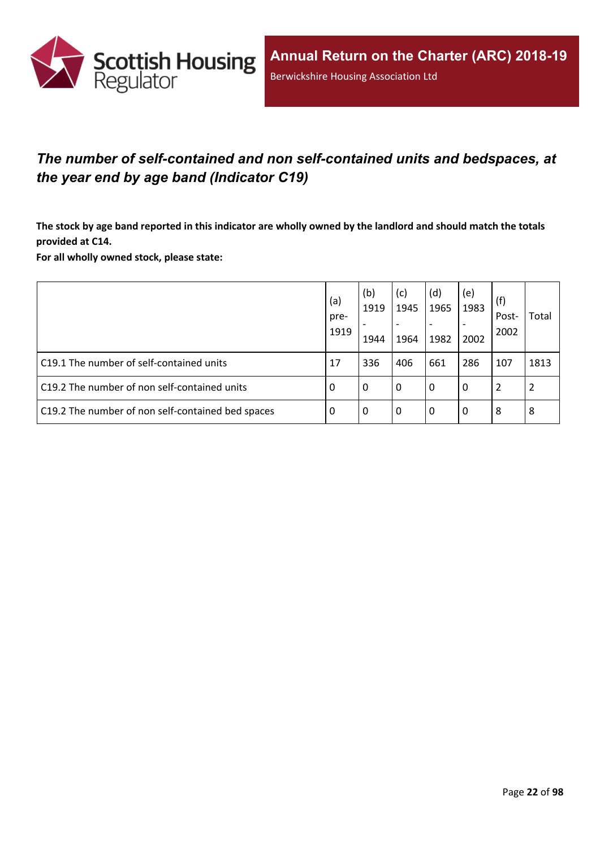

## <span id="page-21-0"></span>*The number of self-contained and non self-contained units and bedspaces, at the year end by age band (Indicator C19)*

The stock by age band reported in this indicator are wholly owned by the landlord and should match the totals **provided at C14.**

**For all wholly owned stock, please state:**

|                                                   | (a)<br>pre-<br>1919 | (b)<br>1919<br>1944 | (c)<br>1945<br>$\overline{\phantom{a}}$<br>1964 | (d)<br>1965<br>1982 | (e)<br>1983<br>2002 | (f)<br>Post-<br>2002 | Total |
|---------------------------------------------------|---------------------|---------------------|-------------------------------------------------|---------------------|---------------------|----------------------|-------|
| C19.1 The number of self-contained units          | 17                  | 336                 | 406                                             | 661                 | 286                 | 107                  | 1813  |
| C19.2 The number of non self-contained units      | -0                  | 0                   | l 0                                             | 0                   | 0                   | 2                    | 2     |
| C19.2 The number of non self-contained bed spaces | -0                  | 0                   | l 0                                             | 0                   | 0                   | 8                    | 8     |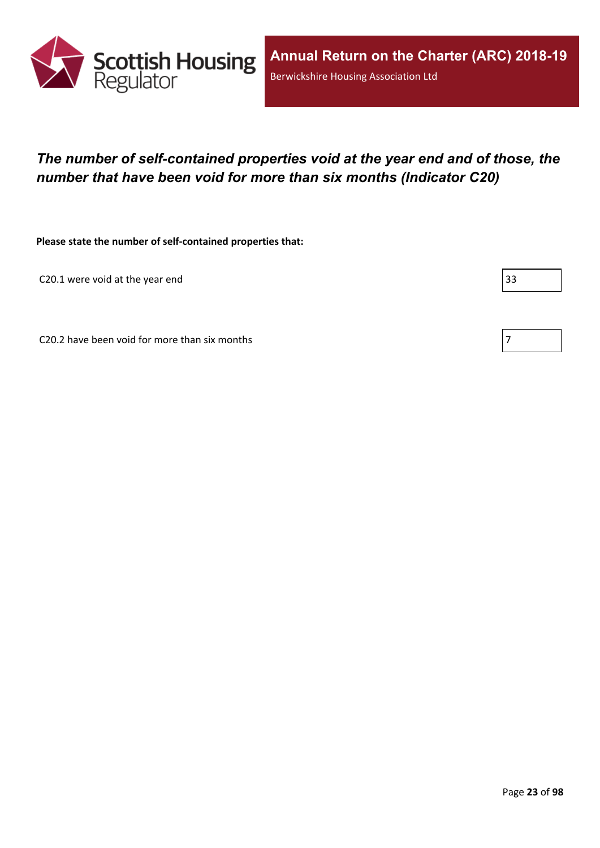

## <span id="page-22-0"></span>*The number of self-contained properties void at the year end and of those, the number that have been void for more than six months (Indicator C20)*

**Please state the number of self-contained properties that:**

C20.1 were void at the year end 33

C20.2 have been void for more than six months  $\vert 7 \rangle$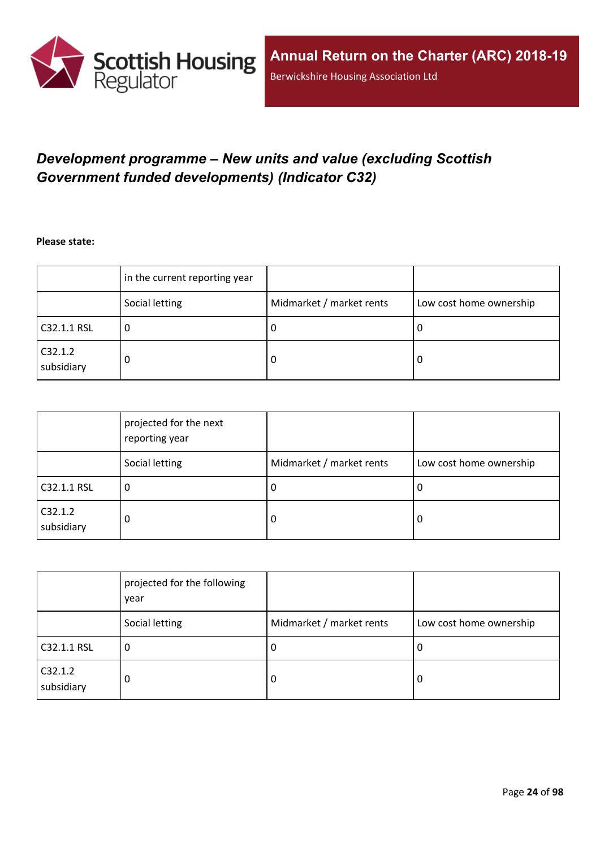

## <span id="page-23-0"></span>*Development programme – New units and value (excluding Scottish Government funded developments) (Indicator C32)*

**Please state:**

|                       | in the current reporting year |                          |                         |
|-----------------------|-------------------------------|--------------------------|-------------------------|
|                       | Social letting                | Midmarket / market rents | Low cost home ownership |
| C32.1.1 RSL           | u                             | υ                        | ∣U                      |
| C32.1.2<br>subsidiary | 0                             | υ                        | O                       |

|                       | projected for the next<br>reporting year |                          |                         |
|-----------------------|------------------------------------------|--------------------------|-------------------------|
|                       | Social letting                           | Midmarket / market rents | Low cost home ownership |
| C32.1.1 RSL           | 0                                        | J.                       | 0                       |
| C32.1.2<br>subsidiary | 0                                        | 0                        | 0                       |

|                       | projected for the following<br>year |                          |                         |
|-----------------------|-------------------------------------|--------------------------|-------------------------|
|                       | Social letting                      | Midmarket / market rents | Low cost home ownership |
| C32.1.1 RSL           | 0                                   | -U                       | 0                       |
| C32.1.2<br>subsidiary | 0                                   | 0                        | 0                       |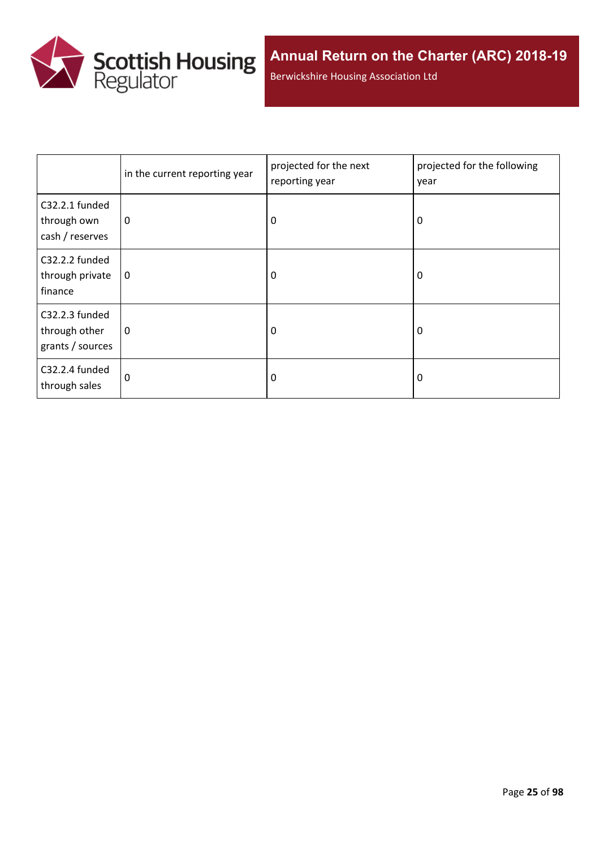

Berwickshire Housing Association Ltd

|                                                     | in the current reporting year | projected for the next<br>reporting year | projected for the following<br>year |
|-----------------------------------------------------|-------------------------------|------------------------------------------|-------------------------------------|
| C32.2.1 funded<br>through own<br>cash / reserves    | 0                             | 0                                        | 0                                   |
| C32.2.2 funded<br>through private<br>finance        | 0                             | 0                                        | 0                                   |
| C32.2.3 funded<br>through other<br>grants / sources | 0                             | 0                                        | 0                                   |
| C32.2.4 funded<br>through sales                     | 0                             | 0                                        | 0                                   |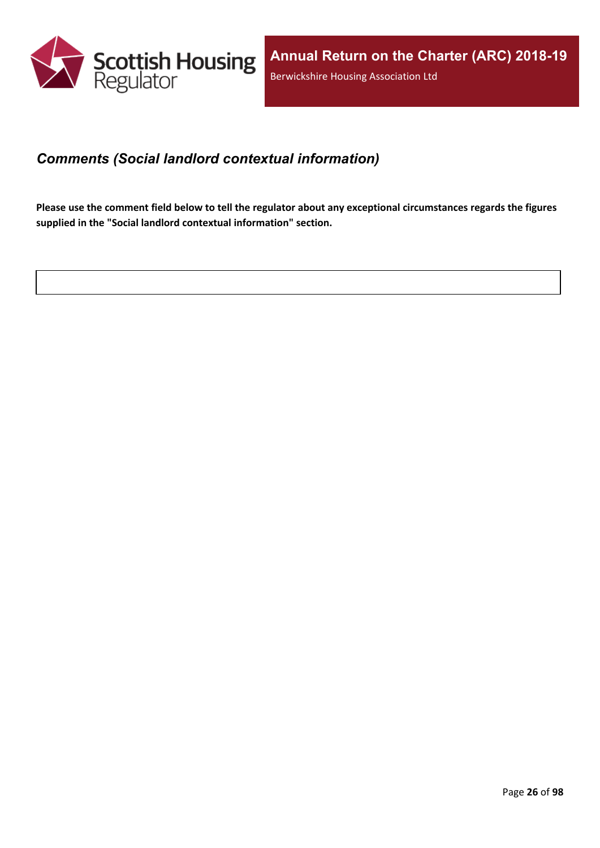

### <span id="page-25-0"></span>*Comments (Social landlord contextual information)*

Please use the comment field below to tell the regulator about any exceptional circumstances regards the figures **supplied in the "Social landlord contextual information" section.**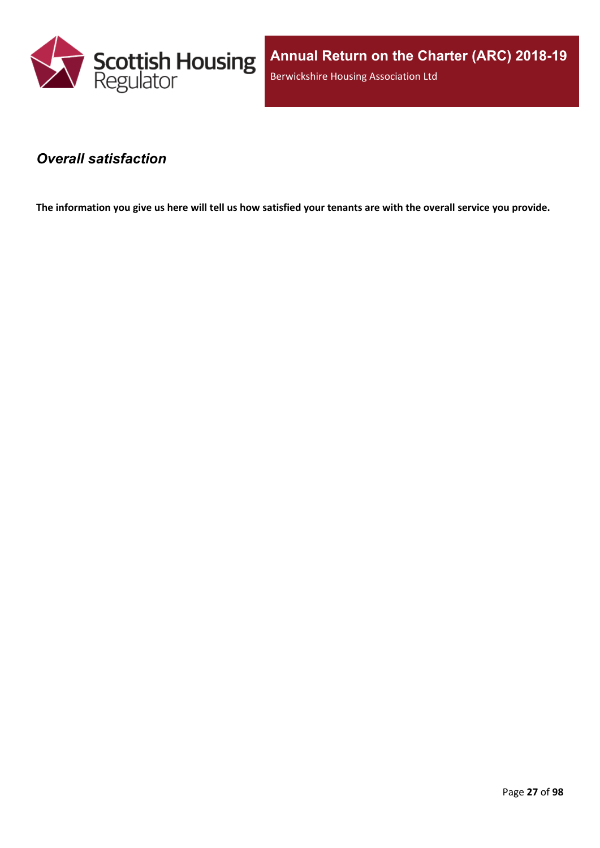

**Annual Return on the Charter (ARC) 2018-19** Berwickshire Housing Association Ltd

### <span id="page-26-0"></span>*Overall satisfaction*

The information you give us here will tell us how satisfied your tenants are with the overall service you provide.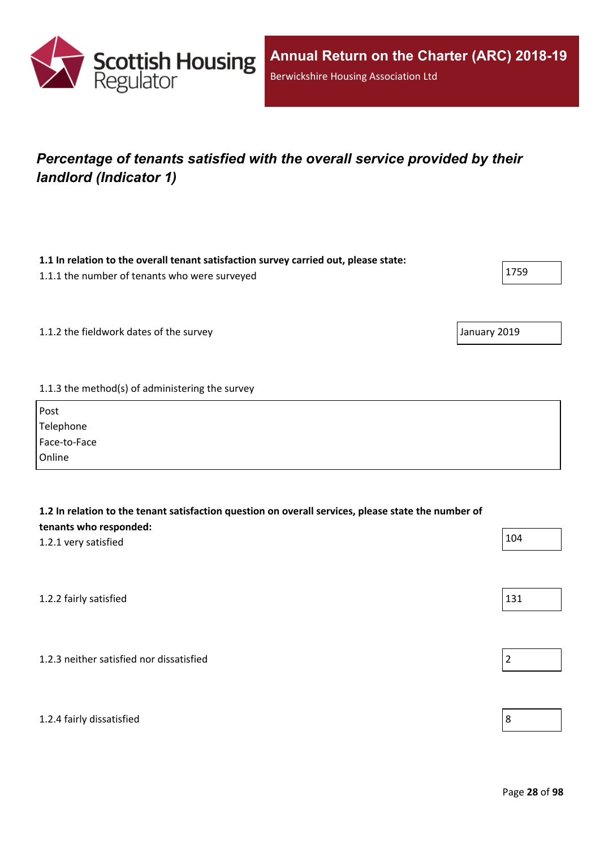

## <span id="page-27-0"></span>*Percentage of tenants satisfied with the overall service provided by their landlord (Indicator 1)*

| 1.1 In relation to the overall tenant satisfaction survey carried out, please state: |      |
|--------------------------------------------------------------------------------------|------|
| 1.1.1 the number of tenants who were surveyed                                        | 1759 |

1.1.2 the fieldwork dates of the survey January 2019

#### 1.1.3 the method(s) of administering the survey

| Post         |  |
|--------------|--|
| Telephone    |  |
| Face-to-Face |  |
| Online       |  |

| 1.2 In relation to the tenant satisfaction question on overall services, please state the number of<br>tenants who responded: |     |  |
|-------------------------------------------------------------------------------------------------------------------------------|-----|--|
| 1.2.1 very satisfied                                                                                                          | 104 |  |
|                                                                                                                               |     |  |
| 1.2.2 fairly satisfied                                                                                                        | 131 |  |
|                                                                                                                               |     |  |
| 1.2.3 neither satisfied nor dissatisfied                                                                                      | 2   |  |
|                                                                                                                               |     |  |

#### 1.2.4 fairly dissatisfied 8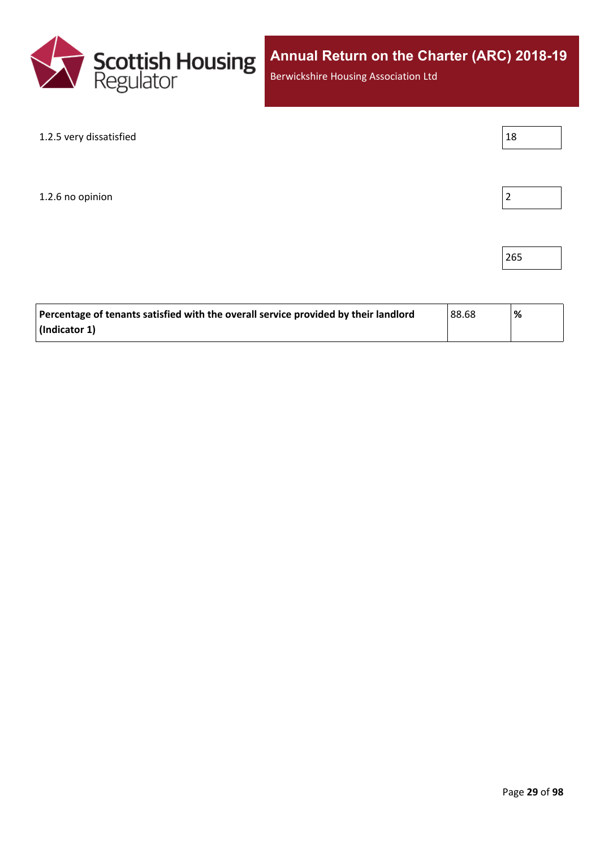

Berwickshire Housing Association Ltd

| 1.2.5 very dissatisfied | 18 |
|-------------------------|----|
|                         |    |
|                         |    |
| 1.2.6 no opinion        | 2  |
|                         |    |
|                         |    |

| Percentage of tenants satisfied with the overall service provided by their landlord<br>88.68 |  | % |
|----------------------------------------------------------------------------------------------|--|---|
| (Indicator 1)                                                                                |  |   |

265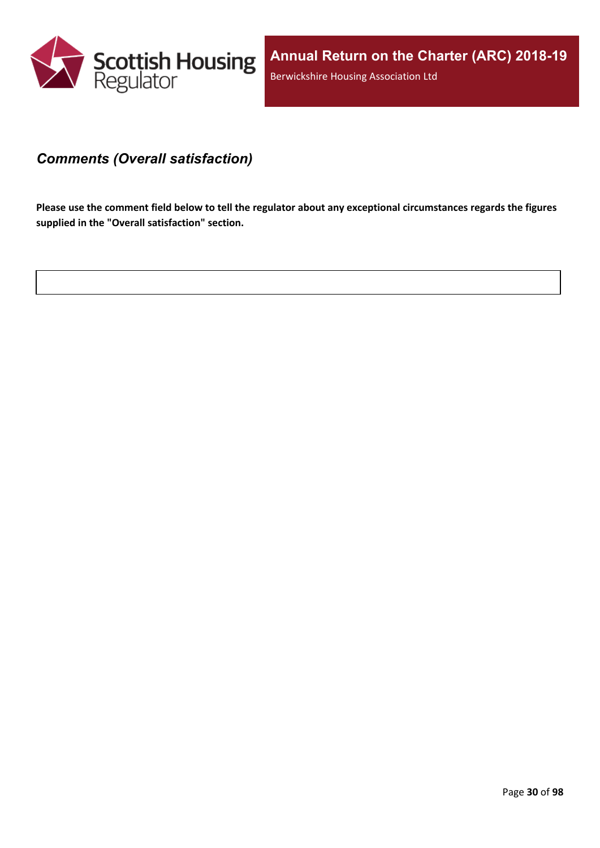

### <span id="page-29-0"></span>*Comments (Overall satisfaction)*

Please use the comment field below to tell the regulator about any exceptional circumstances regards the figures **supplied in the "Overall satisfaction" section.**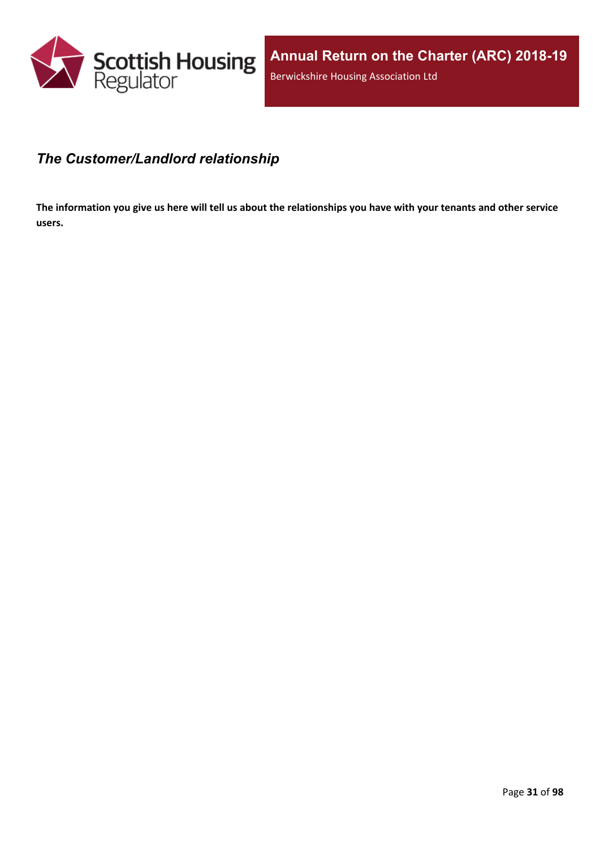

## <span id="page-30-0"></span>*The Customer/Landlord relationship*

The information you give us here will tell us about the relationships you have with your tenants and other service **users.**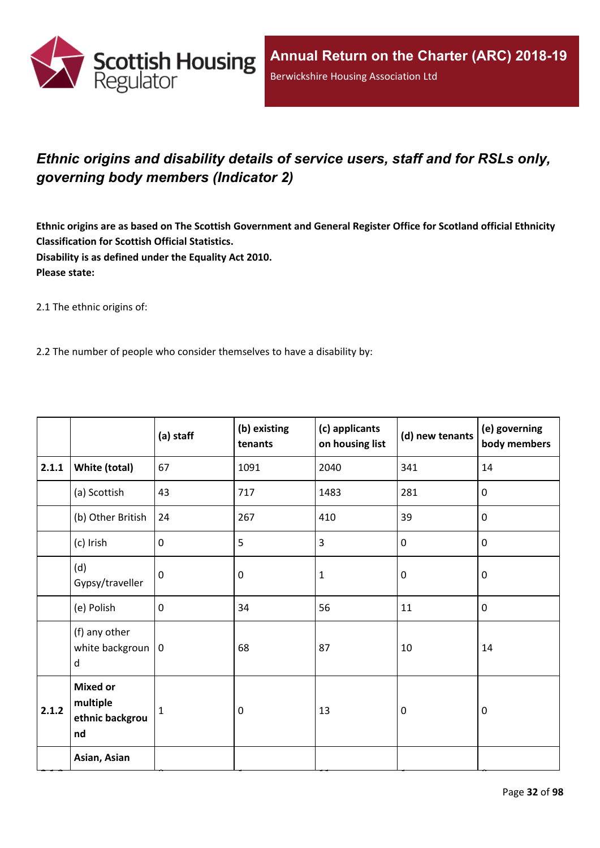

## <span id="page-31-0"></span>*Ethnic origins and disability details of service users, staff and for RSLs only, governing body members (Indicator 2)*

Ethnic origins are as based on The Scottish Government and General Register Office for Scotland official Ethnicity **Classification for Scottish Official Statistics. Disability is as defined under the Equality Act 2010. Please state:**

2.1 The ethnic origins of:

2.2 The number of people who consider themselves to have a disability by:

|       |                                                      | (a) staff   | (b) existing<br>tenants | (c) applicants<br>on housing list | (d) new tenants  | (e) governing<br>body members |
|-------|------------------------------------------------------|-------------|-------------------------|-----------------------------------|------------------|-------------------------------|
| 2.1.1 | White (total)                                        | 67          | 1091                    | 2040                              | 341              | 14                            |
|       | (a) Scottish                                         | 43          | 717                     | 1483                              | 281              | $\mathbf 0$                   |
|       | (b) Other British                                    | 24          | 267                     | 410                               | 39               | $\mathbf 0$                   |
|       | (c) Irish                                            | $\mathbf 0$ | 5                       | 3                                 | $\boldsymbol{0}$ | $\pmb{0}$                     |
|       | (d)<br>Gypsy/traveller                               | $\mathbf 0$ | 0                       | $\mathbf 1$                       | $\mathbf 0$      | $\mathbf 0$                   |
|       | (e) Polish                                           | $\mathbf 0$ | 34                      | 56                                | 11               | $\pmb{0}$                     |
|       | (f) any other<br>white backgroun $ 0$<br>d           |             | 68                      | 87                                | 10               | 14                            |
| 2.1.2 | <b>Mixed or</b><br>multiple<br>ethnic backgrou<br>nd | 1           | $\pmb{0}$               | 13                                | $\boldsymbol{0}$ | $\boldsymbol{0}$              |
|       | Asian, Asian                                         |             |                         |                                   |                  |                               |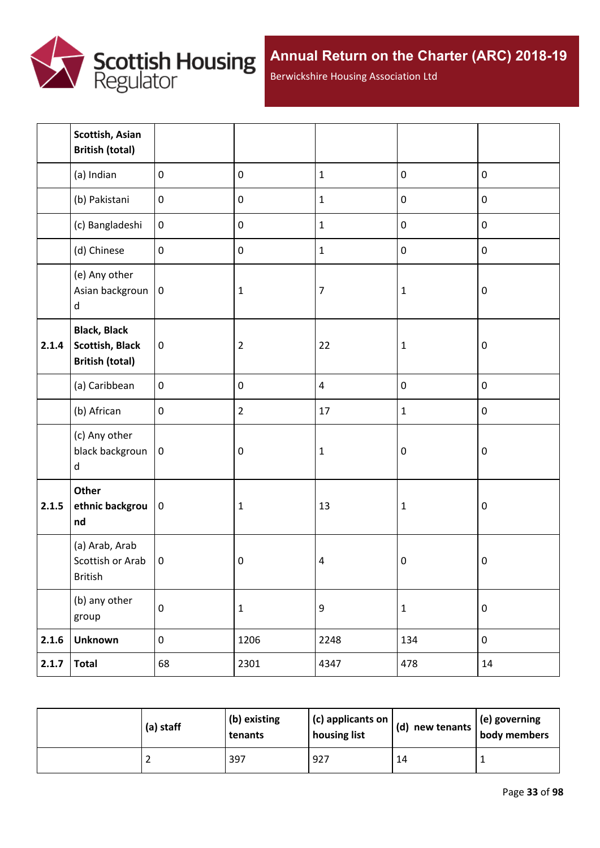

Berwickshire Housing Association Ltd

|       | Scottish, Asian<br><b>British (total)</b>                               |                  |                |                  |                  |           |
|-------|-------------------------------------------------------------------------|------------------|----------------|------------------|------------------|-----------|
|       | (a) Indian                                                              | $\mathbf 0$      | $\pmb{0}$      | $\mathbf 1$      | $\pmb{0}$        | $\pmb{0}$ |
|       | (b) Pakistani                                                           | $\pmb{0}$        | $\pmb{0}$      | $\mathbf{1}$     | $\pmb{0}$        | $\pmb{0}$ |
|       | (c) Bangladeshi                                                         | $\boldsymbol{0}$ | $\pmb{0}$      | $\mathbf{1}$     | $\mathbf 0$      | $\pmb{0}$ |
|       | (d) Chinese                                                             | $\pmb{0}$        | $\pmb{0}$      | $\mathbf{1}$     | $\pmb{0}$        | $\pmb{0}$ |
|       | (e) Any other<br>Asian backgroun<br>$\sf d$                             | $\mathbf 0$      | $\mathbf{1}$   | $\overline{7}$   | 1                | $\pmb{0}$ |
| 2.1.4 | <b>Black, Black</b><br><b>Scottish, Black</b><br><b>British (total)</b> | $\mathbf 0$      | $\overline{2}$ | 22               | $\mathbf 1$      | $\pmb{0}$ |
|       | (a) Caribbean                                                           | $\mathbf 0$      | $\pmb{0}$      | $\overline{4}$   | $\pmb{0}$        | $\pmb{0}$ |
|       | (b) African                                                             | $\pmb{0}$        | $\overline{2}$ | 17               | $\mathbf{1}$     | $\pmb{0}$ |
|       | (c) Any other<br>black backgroun<br>d                                   | $\mathbf 0$      | $\pmb{0}$      | $\mathbf 1$      | $\pmb{0}$        | $\pmb{0}$ |
| 2.1.5 | Other<br>ethnic backgrou<br>nd                                          | 0                | $\mathbf 1$    | 13               | $\mathbf 1$      | $\pmb{0}$ |
|       | (a) Arab, Arab<br>Scottish or Arab<br>British                           | $\mathbf 0$      | $\pmb{0}$      | $\pmb{4}$        | $\boldsymbol{0}$ | $\pmb{0}$ |
|       | (b) any other<br>group                                                  | $\pmb{0}$        | $\mathbf 1$    | $\boldsymbol{9}$ | $\mathbf 1$      | $\pmb{0}$ |
| 2.1.6 | <b>Unknown</b>                                                          | $\boldsymbol{0}$ | 1206           | 2248             | 134              | $\pmb{0}$ |
| 2.1.7 | <b>Total</b>                                                            | 68               | 2301           | 4347             | 478              | 14        |

| (a) staff | (b) existing<br>tenants | (c) applicants on<br>housing list | $\vert$ (d) new tenants $\vert$ (e) governing<br>body members |  |
|-----------|-------------------------|-----------------------------------|---------------------------------------------------------------|--|
|           | 397                     | 927                               | 14                                                            |  |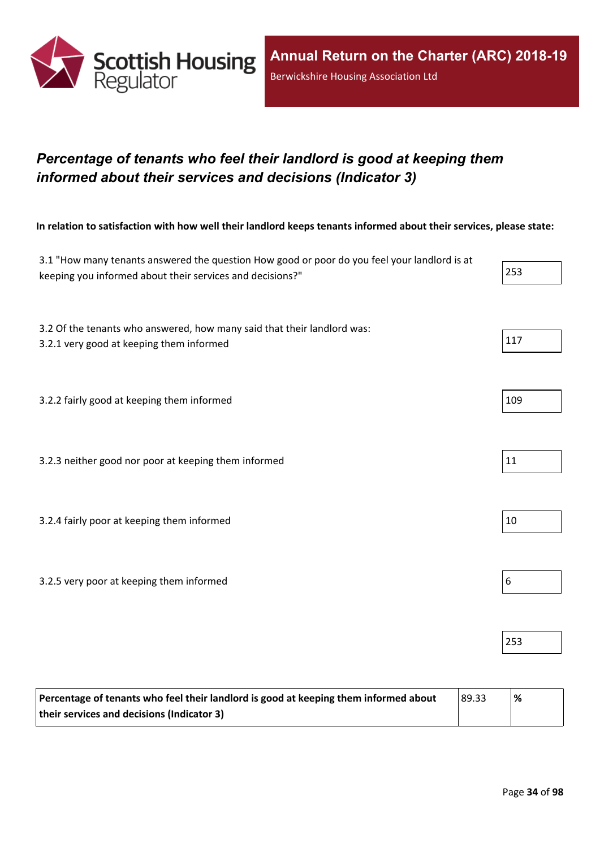

## <span id="page-33-0"></span>*Percentage of tenants who feel their landlord is good at keeping them informed about their services and decisions (Indicator 3)*

In relation to satisfaction with how well their landlord keeps tenants informed about their services, please state:

| 3.1 "How many tenants answered the question How good or poor do you feel your landlord is at<br>keeping you informed about their services and decisions?" | 253 |
|-----------------------------------------------------------------------------------------------------------------------------------------------------------|-----|
| 3.2 Of the tenants who answered, how many said that their landlord was:<br>3.2.1 very good at keeping them informed                                       | 117 |
| 3.2.2 fairly good at keeping them informed                                                                                                                | 109 |
| 3.2.3 neither good nor poor at keeping them informed                                                                                                      | 11  |
| 3.2.4 fairly poor at keeping them informed                                                                                                                | 10  |
| 3.2.5 very poor at keeping them informed                                                                                                                  | 6   |
|                                                                                                                                                           | 253 |

| Percentage of tenants who feel their landlord is good at keeping them informed about | 89.33 | $\%$ |
|--------------------------------------------------------------------------------------|-------|------|
| their services and decisions (Indicator 3)                                           |       |      |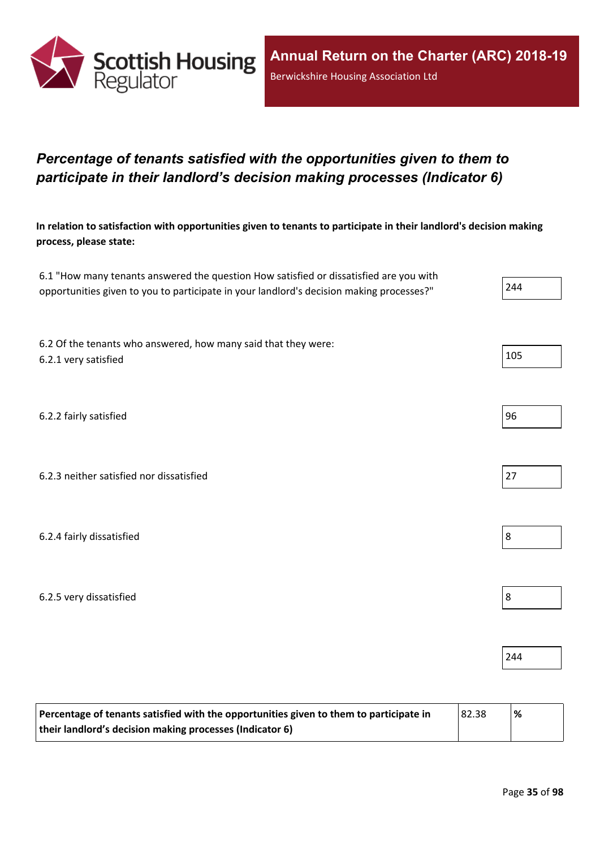

## <span id="page-34-0"></span>*Percentage of tenants satisfied with the opportunities given to them to participate in their landlord's decision making processes (Indicator 6)*

In relation to satisfaction with opportunities given to tenants to participate in their landlord's decision making **process, please state:**

| 6.1 "How many tenants answered the question How satisfied or dissatisfied are you with   |     |
|------------------------------------------------------------------------------------------|-----|
| opportunities given to you to participate in your landlord's decision making processes?" | 244 |

6.2 Of the tenants who answered, how many said that they were: 6.2.1 very satisfied  $\vert$  105

6.2.2 fairly satisfied 96

6.2.3 neither satisfied nor dissatisfied 27

6.2.4 fairly dissatisfied 8

6.2.5 very dissatisfied 8

| Percentage of tenants satisfied with the opportunities given to them to participate in | 82.38 | $\frac{9}{6}$ |
|----------------------------------------------------------------------------------------|-------|---------------|
| their landlord's decision making processes (Indicator 6)                               |       |               |







244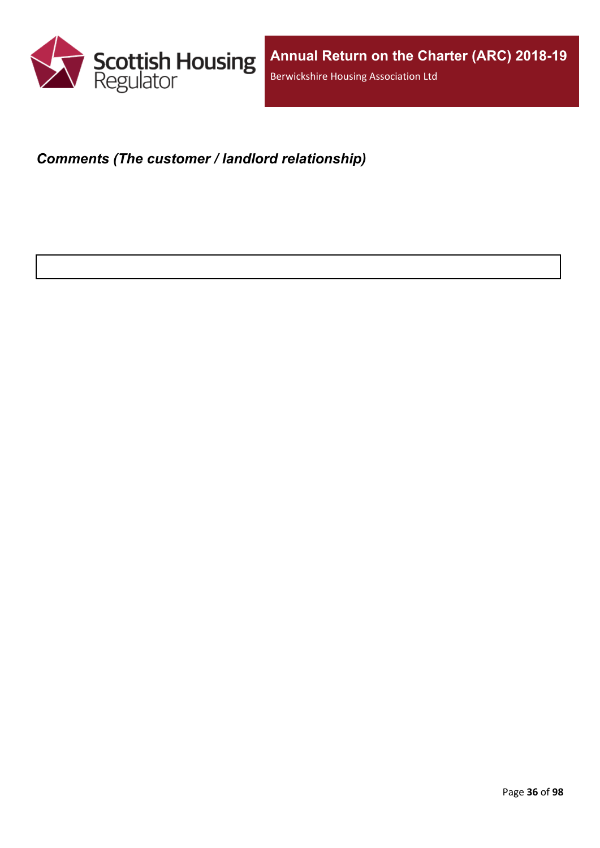

## <span id="page-35-0"></span>*Comments (The customer / landlord relationship)*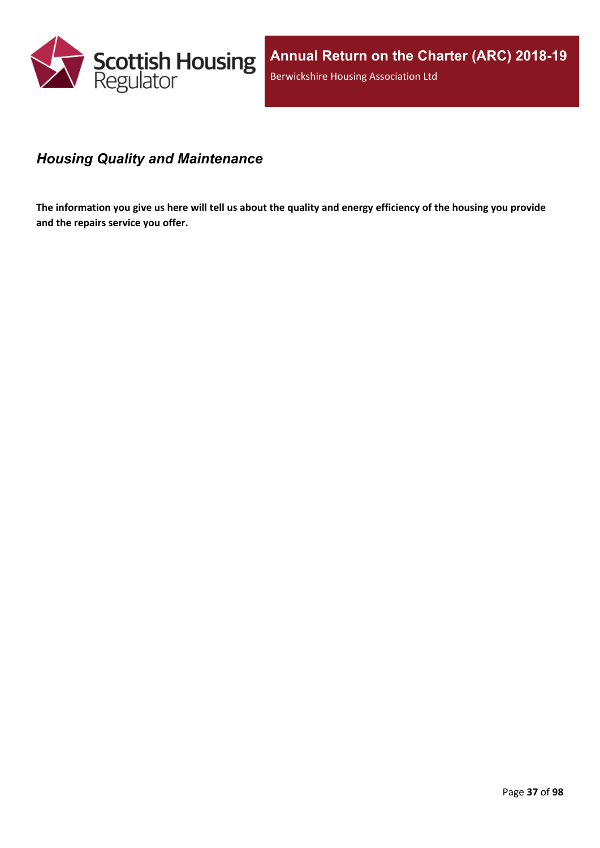

#### *Housing Quality and Maintenance*

The information you give us here will tell us about the quality and energy efficiency of the housing you provide **and the repairs service you offer.**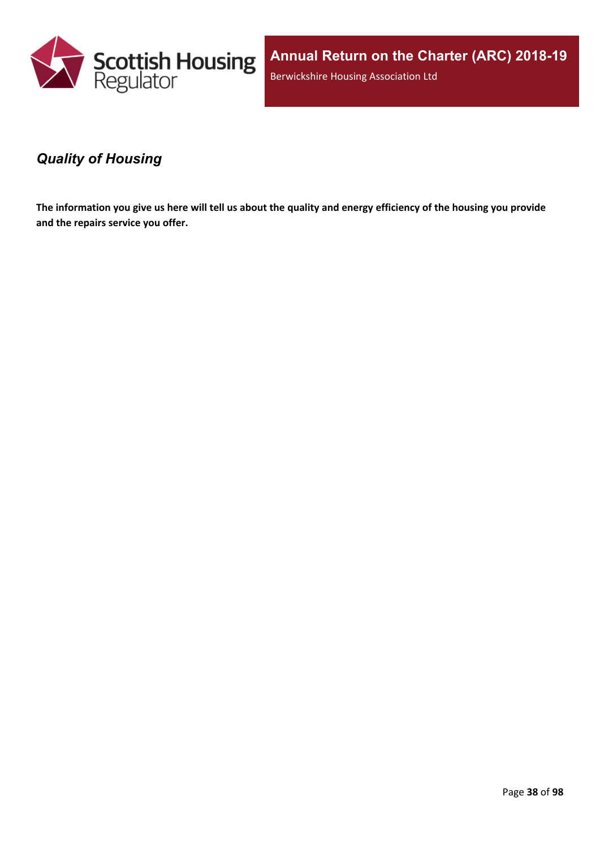

**Annual Return on the Charter (ARC) 2018-19** Berwickshire Housing Association Ltd

#### *Quality of Housing*

The information you give us here will tell us about the quality and energy efficiency of the housing you provide **and the repairs service you offer.**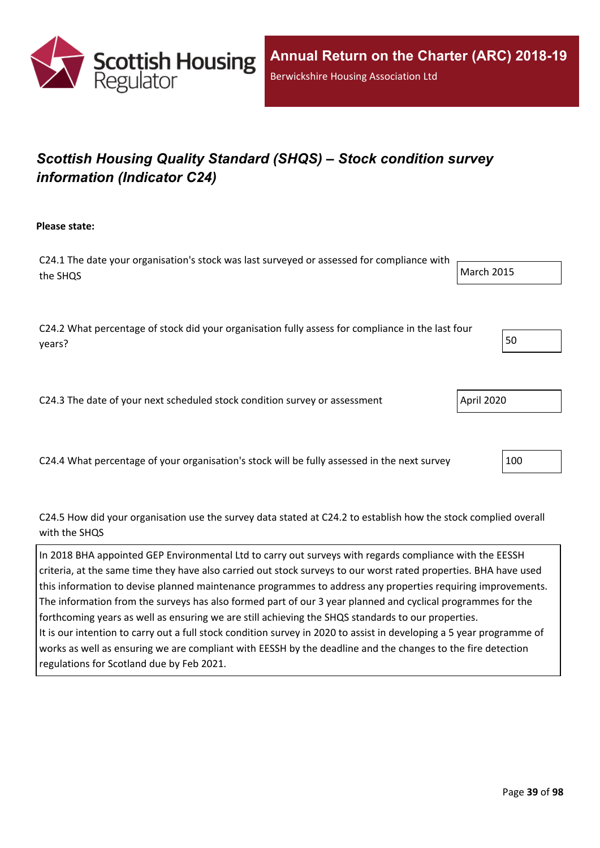

# *Scottish Housing Quality Standard (SHQS) – Stock condition survey information (Indicator C24)*

**Please state:**

C24.1 The date your organisation's stock was last surveyed or assessed for compliance with the SHQS March 2015

C24.2 What percentage of stock did your organisation fully assess for compliance in the last four years? The set of the set of the set of the set of the set of the set of the set of the set of the set of the set of the set of the set of the set of the set of the set of the set of the set of the set of the set of the se

C24.3 The date of your next scheduled stock condition survey or assessment  $\vert$  April 2020

C24.4 What percentage of your organisation's stock will be fully assessed in the next survey 100

C24.5 How did your organisation use the survey data stated at C24.2 to establish how the stock complied overall with the SHQS

In 2018 BHA appointed GEP Environmental Ltd to carry out surveys with regards compliance with the EESSH criteria, at the same time they have also carried out stock surveys to our worst rated properties. BHA have used this information to devise planned maintenance programmes to address any properties requiring improvements. The information from the surveys has also formed part of our 3 year planned and cyclical programmes for the forthcoming years as well as ensuring we are still achieving the SHQS standards to our properties. It is our intention to carry out a full stock condition survey in 2020 to assist in developing a 5 year programme of works as well as ensuring we are compliant with EESSH by the deadline and the changes to the fire detection regulations for Scotland due by Feb 2021.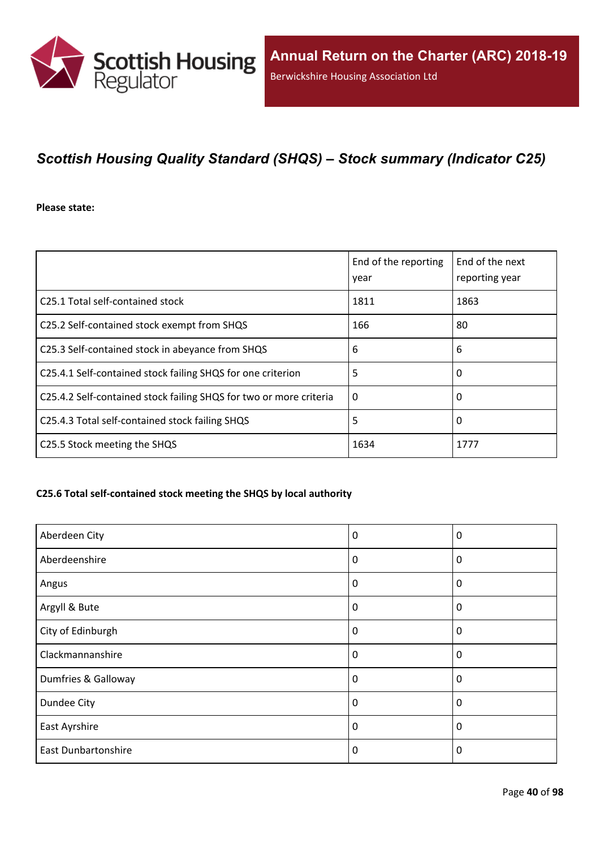

## *Scottish Housing Quality Standard (SHQS) – Stock summary (Indicator C25)*

**Please state:**

|                                                                    | End of the reporting<br>year | End of the next<br>reporting year |
|--------------------------------------------------------------------|------------------------------|-----------------------------------|
| C25.1 Total self-contained stock                                   | 1811                         | 1863                              |
| C25.2 Self-contained stock exempt from SHQS                        | 166                          | 80                                |
| C25.3 Self-contained stock in abeyance from SHQS                   | 6                            | 6                                 |
| C25.4.1 Self-contained stock failing SHQS for one criterion        | 5                            | 0                                 |
| C25.4.2 Self-contained stock failing SHQS for two or more criteria | $\Omega$                     | 0                                 |
| C25.4.3 Total self-contained stock failing SHQS                    | 5                            | 0                                 |
| C25.5 Stock meeting the SHQS                                       | 1634                         | 1777                              |

#### **C25.6 Total self-contained stock meeting the SHQS by local authority**

| Aberdeen City              | 0        | 0           |
|----------------------------|----------|-------------|
| Aberdeenshire              | 0        | 0           |
| Angus                      | $\Omega$ | 0           |
| Argyll & Bute              | 0        | 0           |
| City of Edinburgh          | 0        | $\mathbf 0$ |
| Clackmannanshire           | $\Omega$ | $\Omega$    |
| Dumfries & Galloway        | $\Omega$ | $\Omega$    |
| Dundee City                | 0        | 0           |
| East Ayrshire              | 0        | 0           |
| <b>East Dunbartonshire</b> | 0        | $\Omega$    |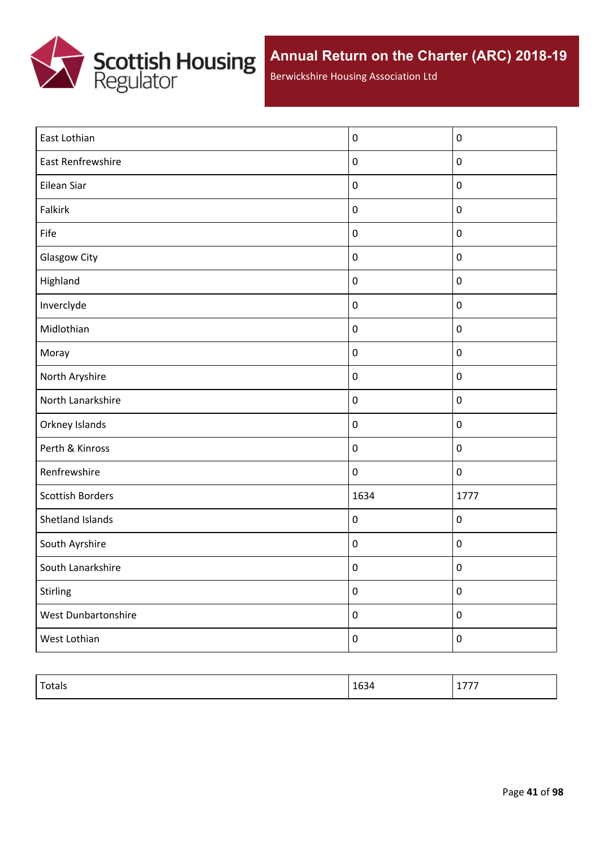

Berwickshire Housing Association Ltd

| East Lothian            | $\pmb{0}$        | $\pmb{0}$        |
|-------------------------|------------------|------------------|
| East Renfrewshire       | $\pmb{0}$        | $\pmb{0}$        |
| Eilean Siar             | $\pmb{0}$        | $\pmb{0}$        |
| Falkirk                 | $\pmb{0}$        | $\pmb{0}$        |
| Fife                    | $\pmb{0}$        | $\pmb{0}$        |
| <b>Glasgow City</b>     | $\pmb{0}$        | $\pmb{0}$        |
| Highland                | $\pmb{0}$        | $\pmb{0}$        |
| Inverclyde              | $\pmb{0}$        | $\pmb{0}$        |
| Midlothian              | $\pmb{0}$        | $\pmb{0}$        |
| Moray                   | $\pmb{0}$        | $\pmb{0}$        |
| North Aryshire          | $\pmb{0}$        | $\pmb{0}$        |
| North Lanarkshire       | $\pmb{0}$        | $\pmb{0}$        |
| Orkney Islands          | $\pmb{0}$        | $\pmb{0}$        |
| Perth & Kinross         | $\pmb{0}$        | $\pmb{0}$        |
| Renfrewshire            | $\pmb{0}$        | $\pmb{0}$        |
| <b>Scottish Borders</b> | 1634             | 1777             |
| Shetland Islands        | $\pmb{0}$        | $\pmb{0}$        |
| South Ayrshire          | $\pmb{0}$        | $\pmb{0}$        |
| South Lanarkshire       | $\pmb{0}$        | $\boldsymbol{0}$ |
| Stirling                | $\pmb{0}$        | $\pmb{0}$        |
| West Dunbartonshire     | $\pmb{0}$        | $\boldsymbol{0}$ |
| West Lothian            | $\boldsymbol{0}$ | $\pmb{0}$        |

| Totals | $\sim$<br>п.<br>1634 | .<br>.<br>_ _ _ _ |
|--------|----------------------|-------------------|
|        |                      |                   |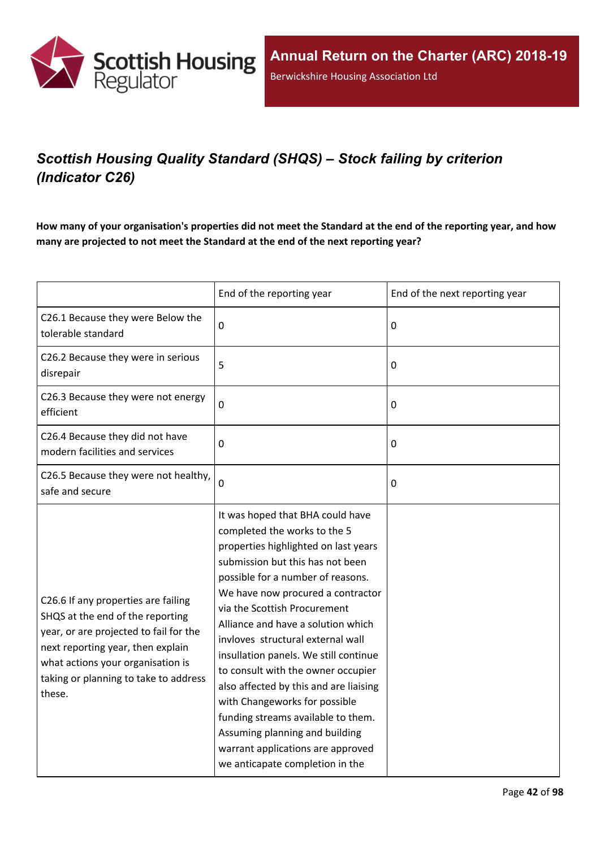

# *Scottish Housing Quality Standard (SHQS) – Stock failing by criterion (Indicator C26)*

How many of your organisation's properties did not meet the Standard at the end of the reporting year, and how **many are projected to not meet the Standard at the end of the next reporting year?**

|                                                                                                                                                                                                                                                | End of the reporting year                                                                                                                                                                                                                                                                                                                                                                                                                                                                                                                                                                                                                   | End of the next reporting year |
|------------------------------------------------------------------------------------------------------------------------------------------------------------------------------------------------------------------------------------------------|---------------------------------------------------------------------------------------------------------------------------------------------------------------------------------------------------------------------------------------------------------------------------------------------------------------------------------------------------------------------------------------------------------------------------------------------------------------------------------------------------------------------------------------------------------------------------------------------------------------------------------------------|--------------------------------|
| C26.1 Because they were Below the<br>tolerable standard                                                                                                                                                                                        | $\mathbf 0$                                                                                                                                                                                                                                                                                                                                                                                                                                                                                                                                                                                                                                 | 0                              |
| C26.2 Because they were in serious<br>disrepair                                                                                                                                                                                                | 5                                                                                                                                                                                                                                                                                                                                                                                                                                                                                                                                                                                                                                           | 0                              |
| C26.3 Because they were not energy<br>efficient                                                                                                                                                                                                | $\mathbf 0$                                                                                                                                                                                                                                                                                                                                                                                                                                                                                                                                                                                                                                 | 0                              |
| C26.4 Because they did not have<br>modern facilities and services                                                                                                                                                                              | $\mathbf 0$                                                                                                                                                                                                                                                                                                                                                                                                                                                                                                                                                                                                                                 | 0                              |
| C26.5 Because they were not healthy,<br>safe and secure                                                                                                                                                                                        | $\mathbf 0$                                                                                                                                                                                                                                                                                                                                                                                                                                                                                                                                                                                                                                 | 0                              |
| C26.6 If any properties are failing<br>SHQS at the end of the reporting<br>year, or are projected to fail for the<br>next reporting year, then explain<br>what actions your organisation is<br>taking or planning to take to address<br>these. | It was hoped that BHA could have<br>completed the works to the 5<br>properties highlighted on last years<br>submission but this has not been<br>possible for a number of reasons.<br>We have now procured a contractor<br>via the Scottish Procurement<br>Alliance and have a solution which<br>invloves structural external wall<br>insullation panels. We still continue<br>to consult with the owner occupier<br>also affected by this and are liaising<br>with Changeworks for possible<br>funding streams available to them.<br>Assuming planning and building<br>warrant applications are approved<br>we anticapate completion in the |                                |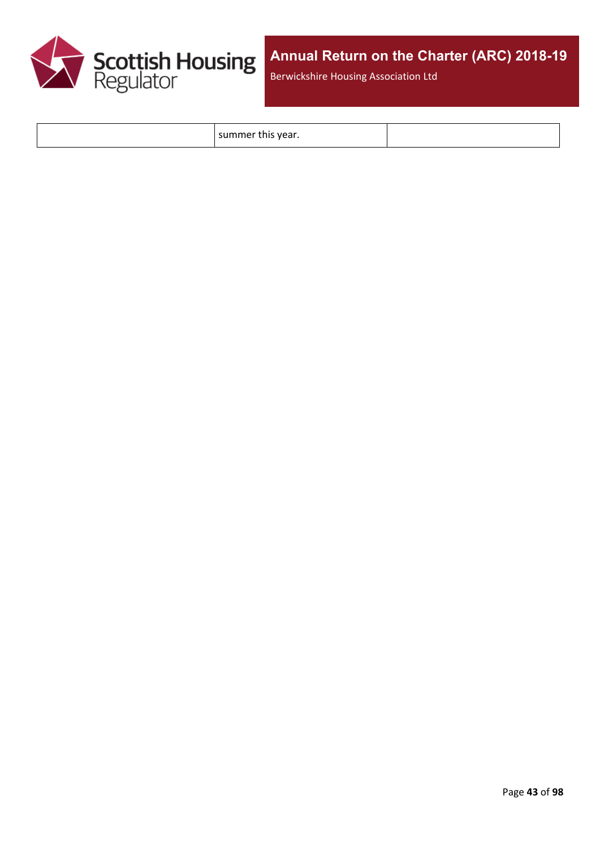

Berwickshire Housing Association Ltd

summer this year.

Page **43** of **98**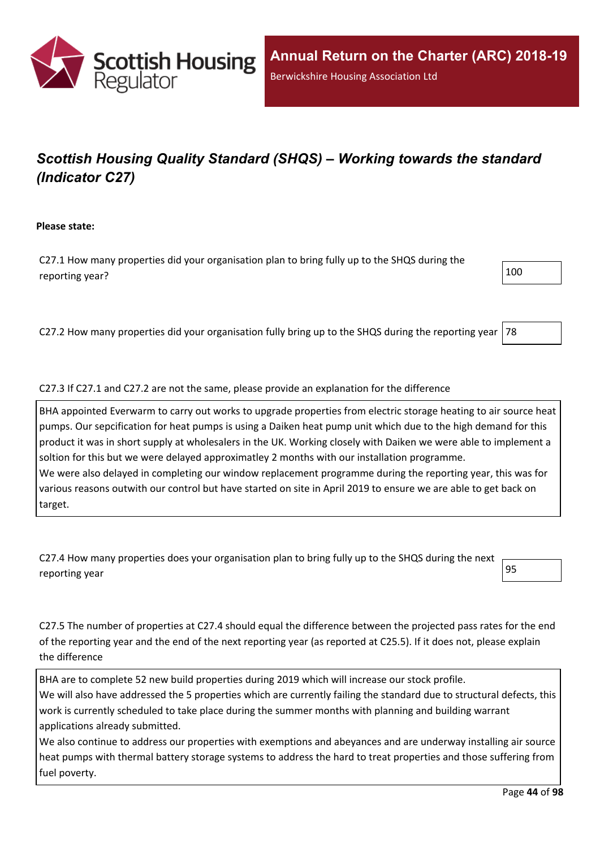

# *Scottish Housing Quality Standard (SHQS) – Working towards the standard (Indicator C27)*

**Please state:**

C27.1 How many properties did your organisation plan to bring fully up to the SHQS during the reporting year?  $100$ 

C27.2 How many properties did your organisation fully bring up to the SHQS during the reporting year  $78$ 

#### C27.3 If C27.1 and C27.2 are not the same, please provide an explanation for the difference

BHA appointed Everwarm to carry out works to upgrade properties from electric storage heating to air source heat pumps. Our sepcification for heat pumps is using a Daiken heat pump unit which due to the high demand for this product it was in short supply at wholesalers in the UK. Working closely with Daiken we were able to implement a soltion for this but we were delayed approximatley 2 months with our installation programme. We were also delayed in completing our window replacement programme during the reporting year, this was for various reasons outwith our control but have started on site in April 2019 to ensure we are able to get back on target.

| C27.4 How many properties does your organisation plan to bring fully up to the SHQS during the next $\leftarrow$ |  |
|------------------------------------------------------------------------------------------------------------------|--|
| reporting year                                                                                                   |  |

C27.5 The number of properties at C27.4 should equal the difference between the projected pass rates for the end of the reporting year and the end of the next reporting year (as reported at C25.5). If it does not, please explain the difference

BHA are to complete 52 new build properties during 2019 which will increase our stock profile. We will also have addressed the 5 properties which are currently failing the standard due to structural defects, this work is currently scheduled to take place during the summer months with planning and building warrant applications already submitted.

We also continue to address our properties with exemptions and abeyances and are underway installing air source heat pumps with thermal battery storage systems to address the hard to treat properties and those suffering from fuel poverty.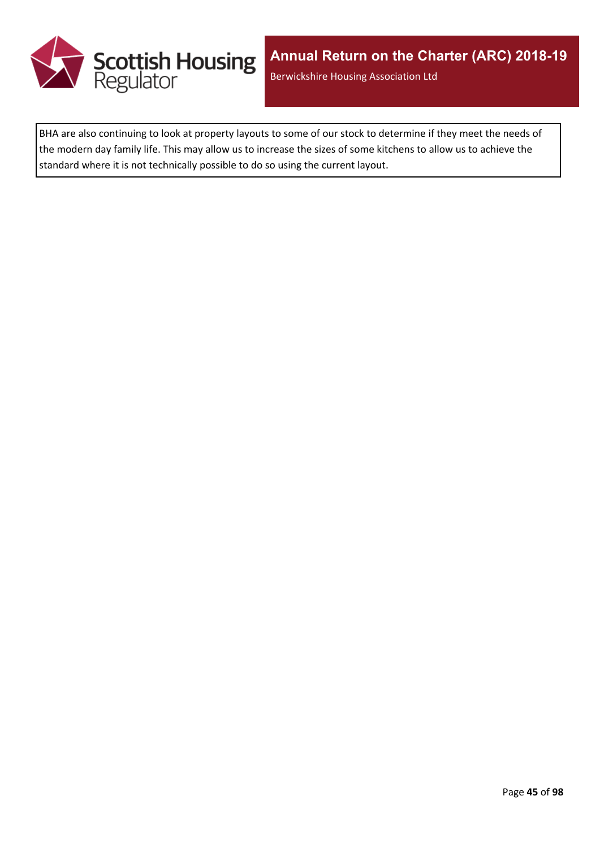

BHA are also continuing to look at property layouts to some of our stock to determine if they meet the needs of the modern day family life. This may allow us to increase the sizes of some kitchens to allow us to achieve the standard where it is not technically possible to do so using the current layout.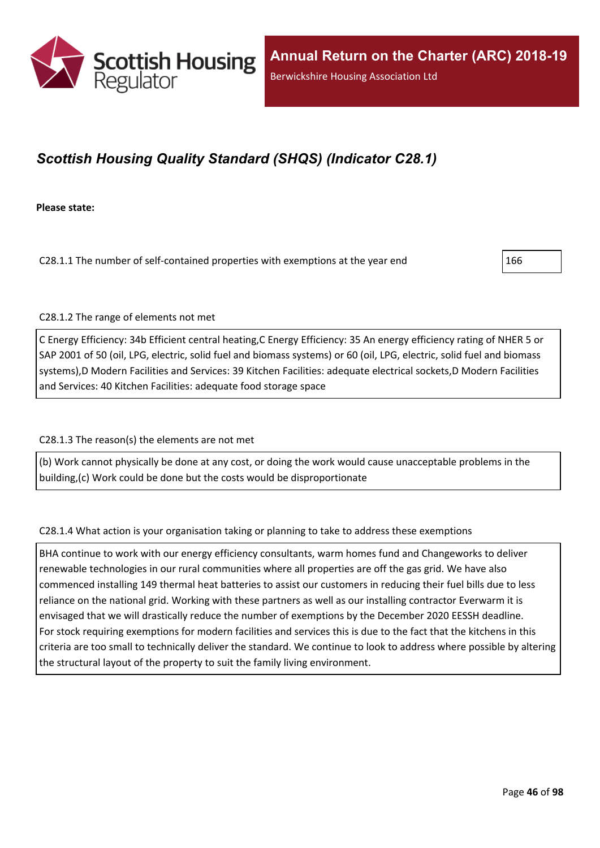

## *Scottish Housing Quality Standard (SHQS) (Indicator C28.1)*

**Please state:**

C28.1.1 The number of self-contained properties with exemptions at the year end  $\vert$ 166

C28.1.2 The range of elements not met

C Energy Efficiency: 34b Efficient central heating,C Energy Efficiency: 35 An energy efficiency rating of NHER 5 or SAP 2001 of 50 (oil, LPG, electric, solid fuel and biomass systems) or 60 (oil, LPG, electric, solid fuel and biomass systems),D Modern Facilities and Services: 39 Kitchen Facilities: adequate electrical sockets,D Modern Facilities and Services: 40 Kitchen Facilities: adequate food storage space

#### C28.1.3 The reason(s) the elements are not met

(b) Work cannot physically be done at any cost, or doing the work would cause unacceptable problems in the building,(c) Work could be done but the costs would be disproportionate

#### C28.1.4 What action is your organisation taking or planning to take to address these exemptions

BHA continue to work with our energy efficiency consultants, warm homes fund and Changeworks to deliver renewable technologies in our rural communities where all properties are off the gas grid. We have also commenced installing 149 thermal heat batteries to assist our customers in reducing their fuel bills due to less reliance on the national grid. Working with these partners as well as our installing contractor Everwarm it is envisaged that we will drastically reduce the number of exemptions by the December 2020 EESSH deadline. For stock requiring exemptions for modern facilities and services this is due to the fact that the kitchens in this criteria are too small to technically deliver the standard. We continue to look to address where possible by altering the structural layout of the property to suit the family living environment.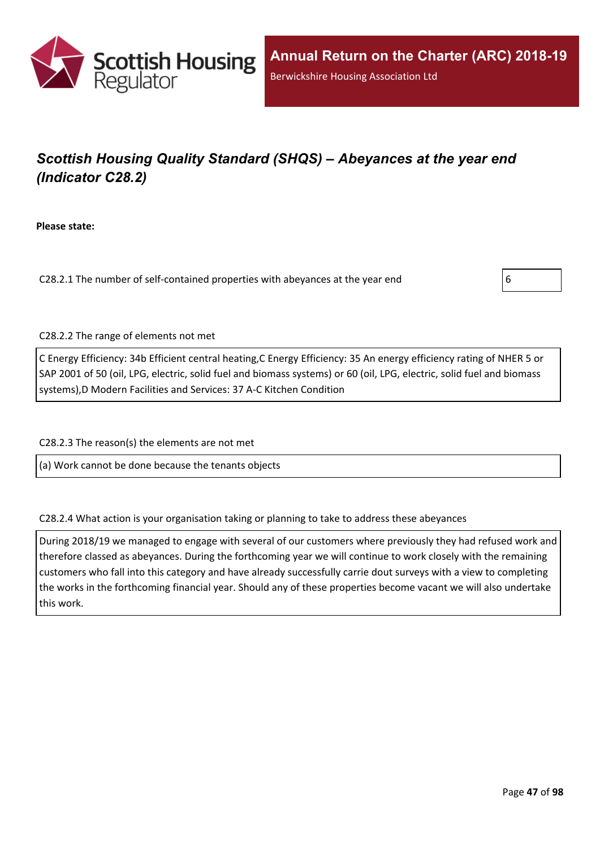

# *Scottish Housing Quality Standard (SHQS) – Abeyances at the year end (Indicator C28.2)*

**Please state:**

C28.2.1 The number of self-contained properties with abeyances at the year end  $\vert 6 \vert$ 



C28.2.2 The range of elements not met

C Energy Efficiency: 34b Efficient central heating,C Energy Efficiency: 35 An energy efficiency rating of NHER 5 or SAP 2001 of 50 (oil, LPG, electric, solid fuel and biomass systems) or 60 (oil, LPG, electric, solid fuel and biomass systems),D Modern Facilities and Services: 37 A-C Kitchen Condition

C28.2.3 The reason(s) the elements are not met

(a) Work cannot be done because the tenants objects

C28.2.4 What action is your organisation taking or planning to take to address these abeyances

During 2018/19 we managed to engage with several of our customers where previously they had refused work and therefore classed as abeyances. During the forthcoming year we will continue to work closely with the remaining customers who fall into this category and have already successfully carrie dout surveys with a view to completing the works in the forthcoming financial year. Should any of these properties become vacant we will also undertake this work.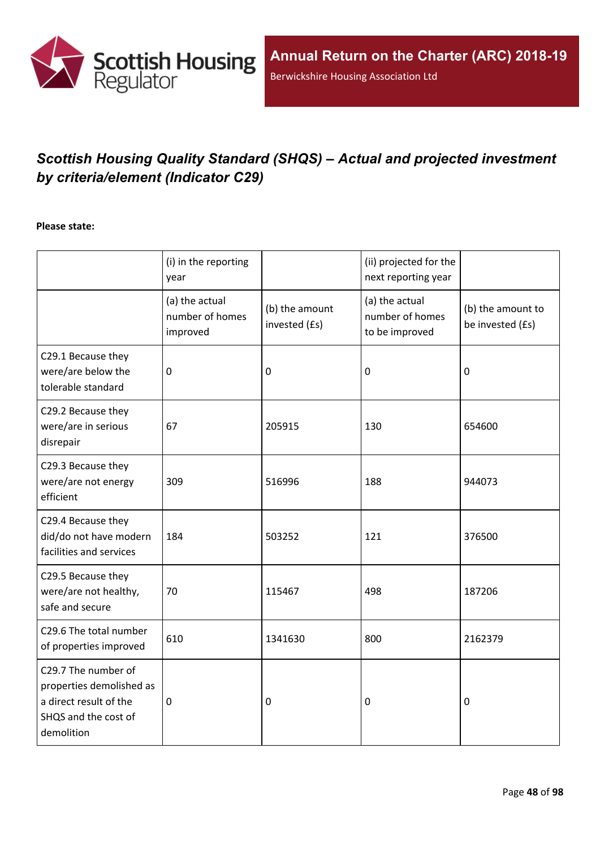

# *Scottish Housing Quality Standard (SHQS) – Actual and projected investment by criteria/element (Indicator C29)*

#### **Please state:**

|                                                                                                                 | (i) in the reporting<br>year                  |                                 | (ii) projected for the<br>next reporting year       |                                       |
|-----------------------------------------------------------------------------------------------------------------|-----------------------------------------------|---------------------------------|-----------------------------------------------------|---------------------------------------|
|                                                                                                                 | (a) the actual<br>number of homes<br>improved | (b) the amount<br>invested (£s) | (a) the actual<br>number of homes<br>to be improved | (b) the amount to<br>be invested (£s) |
| C29.1 Because they<br>were/are below the<br>tolerable standard                                                  | $\mathbf 0$                                   | 0                               | 0                                                   | $\mathbf 0$                           |
| C29.2 Because they<br>were/are in serious<br>disrepair                                                          | 67                                            | 205915                          | 130                                                 | 654600                                |
| C29.3 Because they<br>were/are not energy<br>efficient                                                          | 309                                           | 516996                          | 188                                                 | 944073                                |
| C29.4 Because they<br>did/do not have modern<br>facilities and services                                         | 184                                           | 503252                          | 121                                                 | 376500                                |
| C29.5 Because they<br>were/are not healthy,<br>safe and secure                                                  | 70                                            | 115467                          | 498                                                 | 187206                                |
| C29.6 The total number<br>of properties improved                                                                | 610                                           | 1341630                         | 800                                                 | 2162379                               |
| C29.7 The number of<br>properties demolished as<br>a direct result of the<br>SHQS and the cost of<br>demolition | $\mathbf 0$                                   | 0                               | 0                                                   | 0                                     |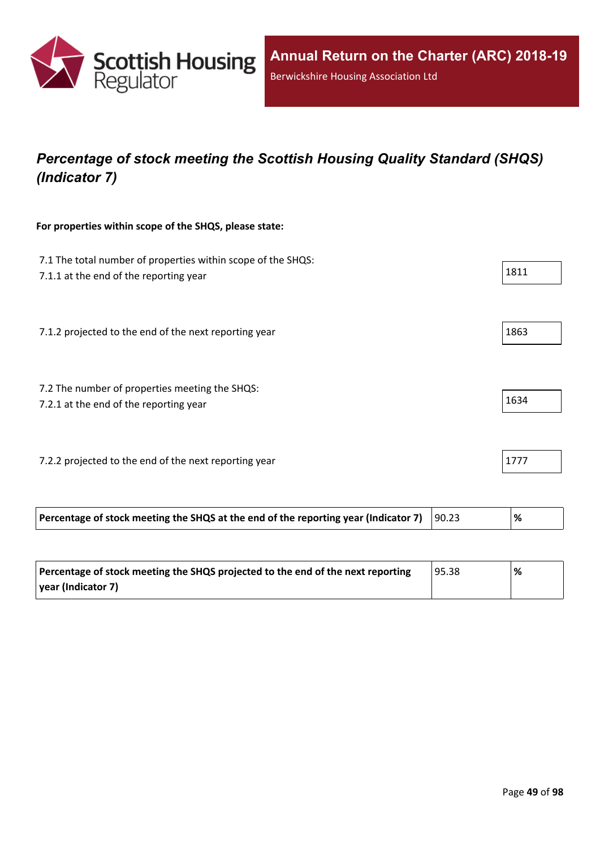

## *Percentage of stock meeting the Scottish Housing Quality Standard (SHQS) (Indicator 7)*

#### **For properties within scope of the SHQS, please state:**

| 7.1 The total number of properties within scope of the SHQS:<br>7.1.1 at the end of the reporting year | 1811 |
|--------------------------------------------------------------------------------------------------------|------|
| 7.1.2 projected to the end of the next reporting year                                                  | 1863 |
| 7.2 The number of properties meeting the SHQS:<br>7.2.1 at the end of the reporting year               | 1634 |
| 7.2.2 projected to the end of the next reporting year                                                  | 1777 |

| Percentage of stock meeting the SHQS at the end of the reporting year (Indicator 7) $\parallel$<br>90.23 |
|----------------------------------------------------------------------------------------------------------|
|----------------------------------------------------------------------------------------------------------|

| Percentage of stock meeting the SHQS projected to the end of the next reporting | 95.38 | % |
|---------------------------------------------------------------------------------|-------|---|
| year (Indicator 7)                                                              |       |   |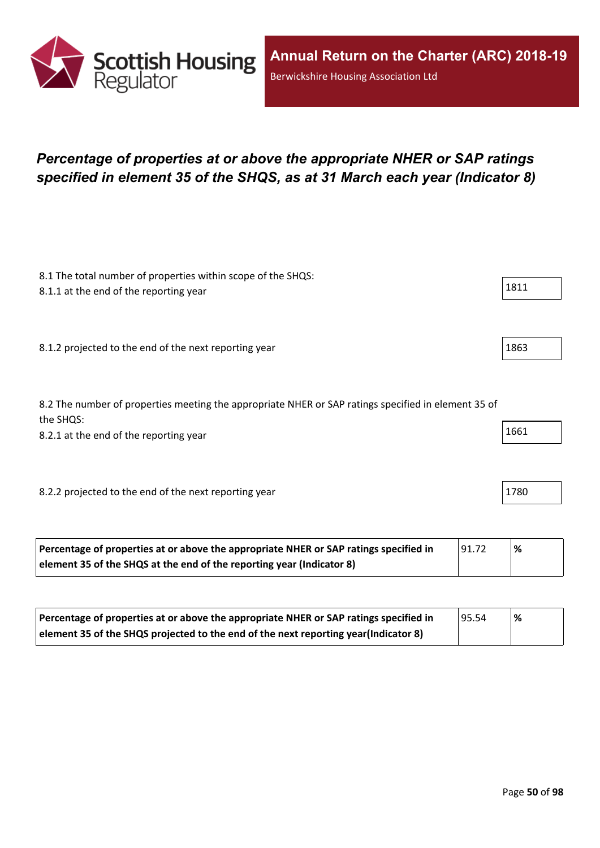

## *Percentage of properties at or above the appropriate NHER or SAP ratings specified in element 35 of the SHQS, as at 31 March each year (Indicator 8)*

| 8.1 The total number of properties within scope of the SHQS:                                        |      |
|-----------------------------------------------------------------------------------------------------|------|
| 8.1.1 at the end of the reporting year                                                              | 1811 |
|                                                                                                     |      |
|                                                                                                     |      |
| 8.1.2 projected to the end of the next reporting year                                               | 1863 |
|                                                                                                     |      |
|                                                                                                     |      |
| 8.2 The number of properties meeting the appropriate NHER or SAP ratings specified in element 35 of |      |
| the SHQS:                                                                                           | 1661 |
| 8.2.1 at the end of the reporting year                                                              |      |
|                                                                                                     |      |
|                                                                                                     |      |
| 8.2.2 projected to the end of the next reporting year                                               | 1780 |
|                                                                                                     |      |
|                                                                                                     |      |

| Percentage of properties at or above the appropriate NHER or SAP ratings specified in | 91.72 | $\%$ |
|---------------------------------------------------------------------------------------|-------|------|
| element 35 of the SHQS at the end of the reporting year (Indicator 8)                 |       |      |

| Percentage of properties at or above the appropriate NHER or SAP ratings specified in | 95.54 | '% |
|---------------------------------------------------------------------------------------|-------|----|
| element 35 of the SHQS projected to the end of the next reporting year(Indicator 8)   |       |    |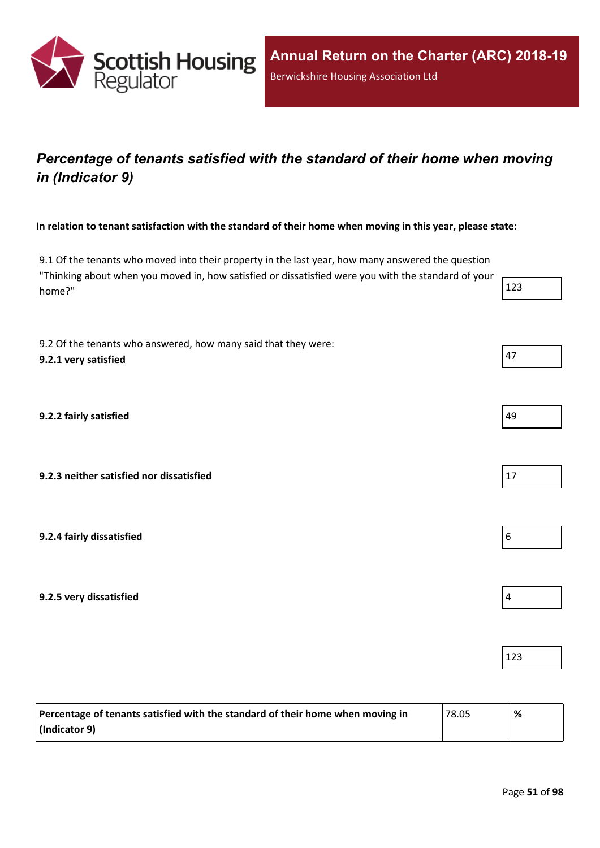

## *Percentage of tenants satisfied with the standard of their home when moving in (Indicator 9)*

In relation to tenant satisfaction with the standard of their home when moving in this year, please state:

9.1 Of the tenants who moved into their property in the last year, how many answered the question "Thinking about when you moved in, how satisfied or dissatisfied were you with the standard of your home?"  $\vert$  123

9.2 Of the tenants who answered, how many said that they were: **9.2.1 very satisfied** 47

**9.2.2 fairly satisfied** 49

**9.2.3 neither satisfied nor dissatisfied** 17

**9.2.4 fairly dissatisfied** 6

**9.2.5 very dissatisfied** 4

| Percentage of tenants satisfied with the standard of their home when moving in<br>$^{\circ}78.05$ |  | % |
|---------------------------------------------------------------------------------------------------|--|---|
| (Indicator 9)                                                                                     |  |   |

123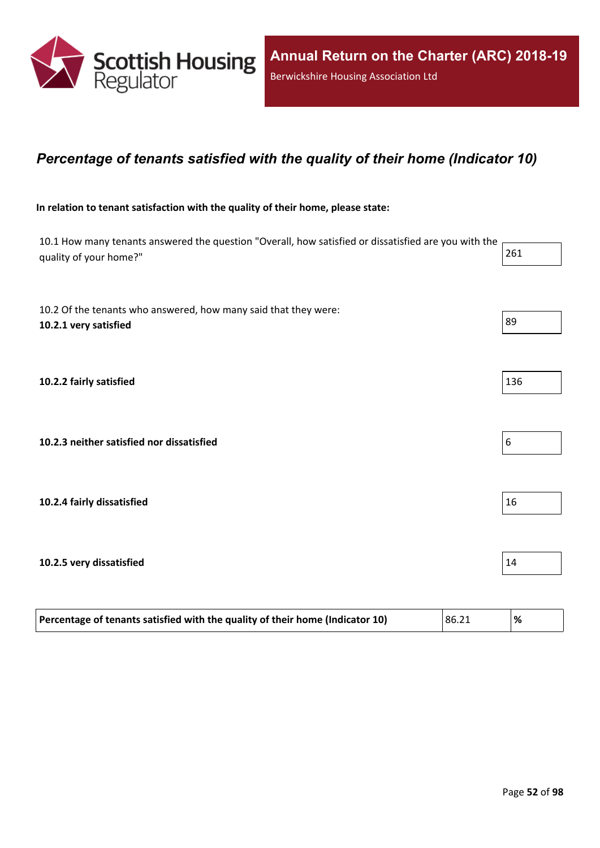

#### *Percentage of tenants satisfied with the quality of their home (Indicator 10)*

#### **In relation to tenant satisfaction with the quality of their home, please state:**

10.1 How many tenants answered the question "Overall, how satisfied or dissatisfied are you with the quality of your home?" 261 10.2 Of the tenants who answered, how many said that they were: **10.2.1 very satisfied** 89 **10.2.2 fairly satisfied** 136

**10.2.3 neither satisfied nor dissatisfied** 6

**10.2.4** fairly dissatisfied  $\vert$  16

#### **10.2.5 very dissatisfied** 14

| Percentage of tenants satisfied with the quality of their home (Indicator 10) | 86.21 | ℅ |
|-------------------------------------------------------------------------------|-------|---|
|-------------------------------------------------------------------------------|-------|---|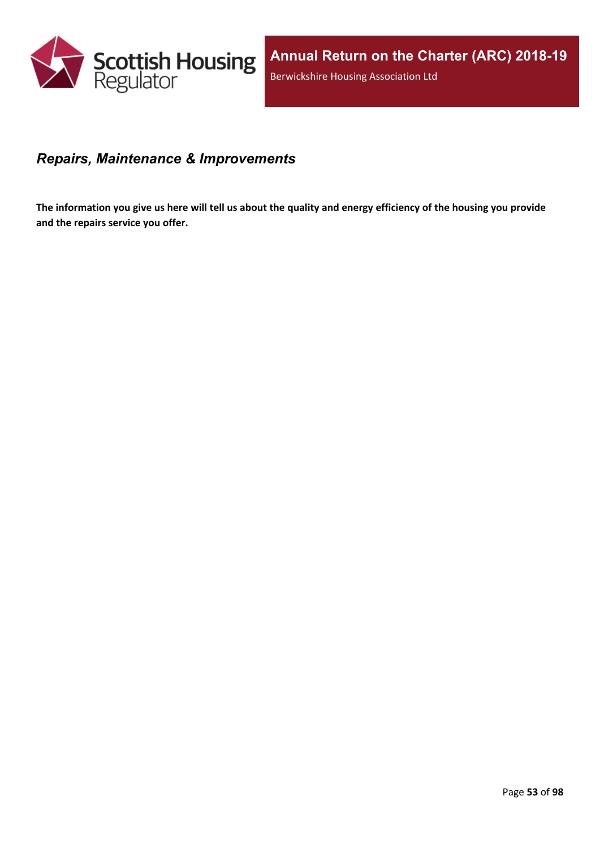

#### *Repairs, Maintenance & Improvements*

The information you give us here will tell us about the quality and energy efficiency of the housing you provide **and the repairs service you offer.**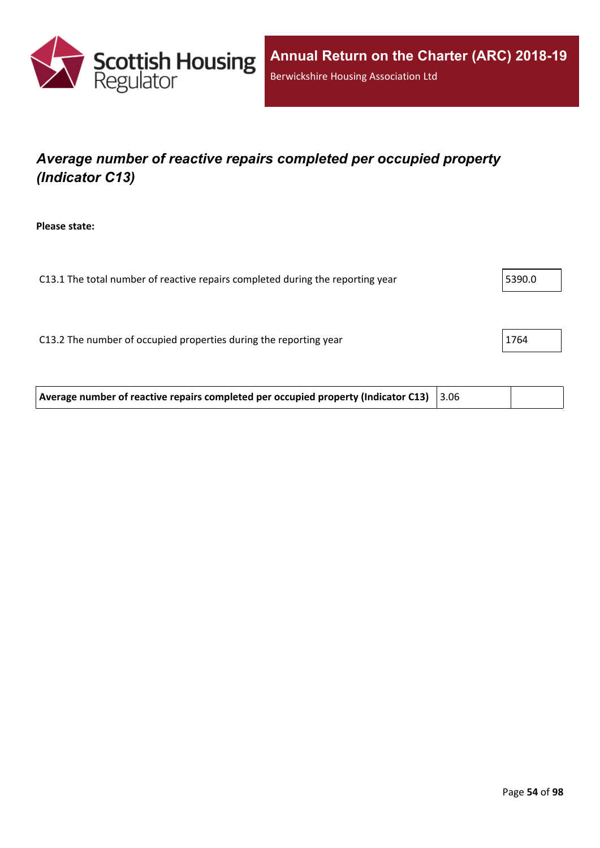

## *Average number of reactive repairs completed per occupied property (Indicator C13)*

**Please state:**

C13.1 The total number of reactive repairs completed during the reporting year  $\vert$  5390.0 C13.2 The number of occupied properties during the reporting year 1764

**Average number of reactive repairs completed per occupied property (Indicator C13)** 3.06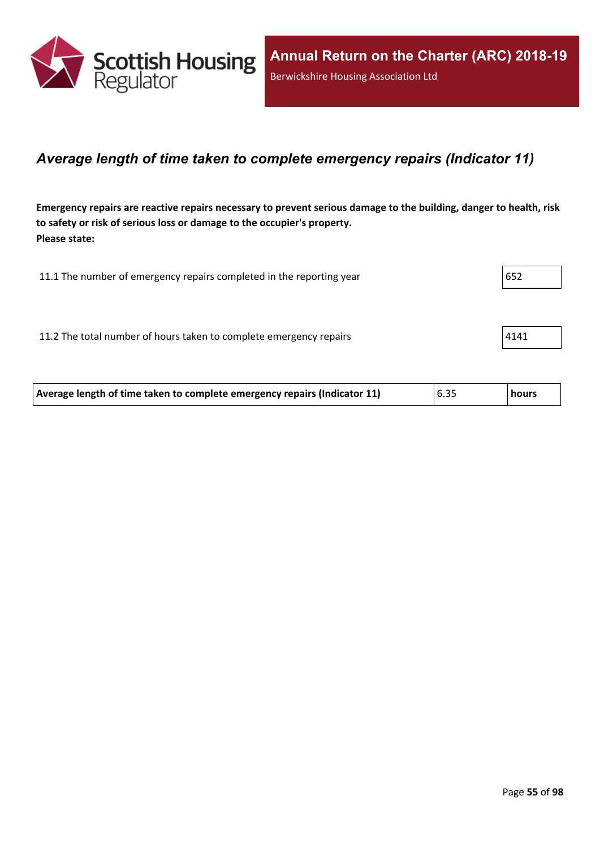

#### *Average length of time taken to complete emergency repairs (Indicator 11)*

Emergency repairs are reactive repairs necessary to prevent serious damage to the building, danger to health, risk **to safety or risk of serious loss or damage to the occupier's property. Please state:**

| 11.1 The number of emergency repairs completed in the reporting year | 652  |
|----------------------------------------------------------------------|------|
|                                                                      |      |
| 11.2 The total number of hours taken to complete emergency repairs   | 4141 |
|                                                                      |      |

| Average length of time taken to complete emergency repairs (Indicator 11) | 6.35 | <b>hours</b> |
|---------------------------------------------------------------------------|------|--------------|
|                                                                           |      |              |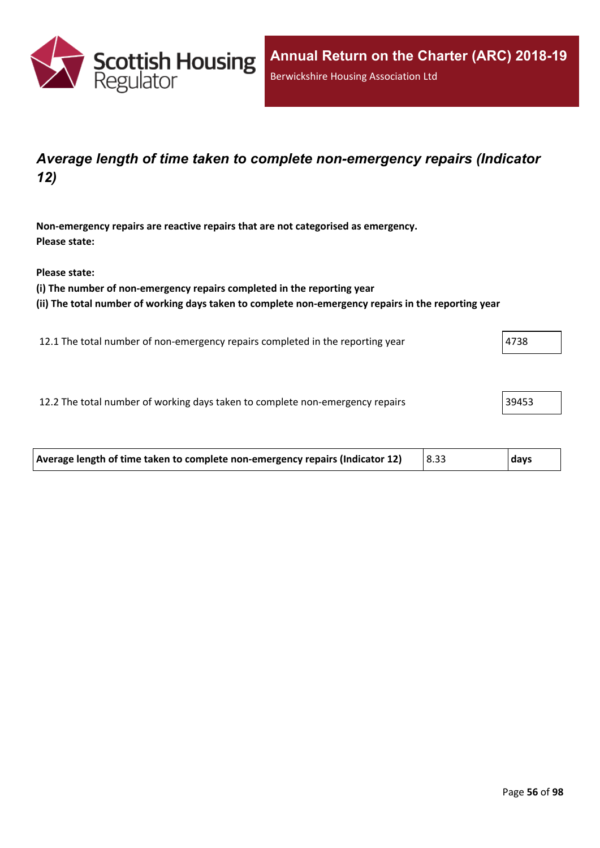

### *Average length of time taken to complete non-emergency repairs (Indicator 12)*

**Non-emergency repairs are reactive repairs that are not categorised as emergency. Please state:**

**Please state:**

**(i) The number of non-emergency repairs completed in the reporting year**

**(ii) The total number of working days taken to complete non-emergency repairs in the reporting year**

12.1 The total number of non-emergency repairs completed in the reporting year 4738

12.2 The total number of working days taken to complete non-emergency repairs 39453

| Average length of time taken to complete non-emergency repairs (Indicator 12) | $ 8.33\rangle$ | days |
|-------------------------------------------------------------------------------|----------------|------|
|                                                                               |                |      |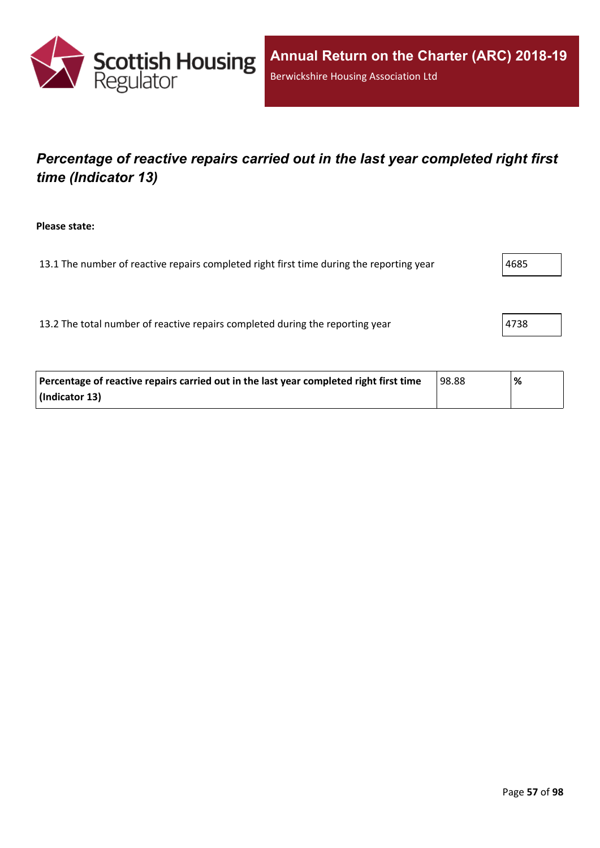

## *Percentage of reactive repairs carried out in the last year completed right first time (Indicator 13)*

**Please state:**

13.1 The number of reactive repairs completed right first time during the reporting year  $\vert$ 4685

13.2 The total number of reactive repairs completed during the reporting year  $|4738|$ 

| Percentage of reactive repairs carried out in the last year completed right first time | 98.88 | % |
|----------------------------------------------------------------------------------------|-------|---|
| (Indicator 13)                                                                         |       |   |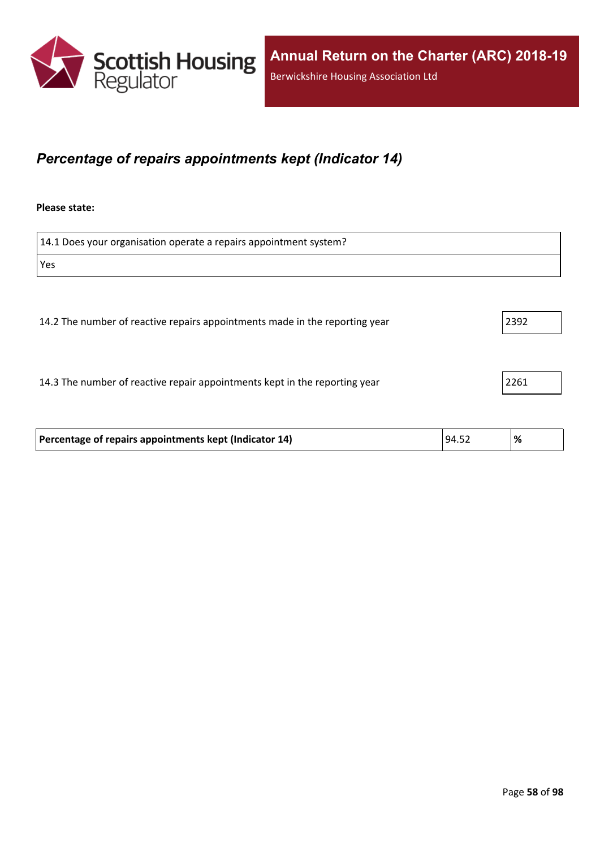

#### *Percentage of repairs appointments kept (Indicator 14)*

#### **Please state:**

| 14.1 Does your organisation operate a repairs appointment system?           |      |
|-----------------------------------------------------------------------------|------|
| Yes                                                                         |      |
|                                                                             |      |
| 14.2 The number of reactive repairs appointments made in the reporting year | 2392 |
| 14.3 The number of reactive repair appointments kept in the reporting year  | 2261 |

| Percentage of repairs appointments kept (Indicator 14) | 94.52 | % |
|--------------------------------------------------------|-------|---|
|                                                        |       |   |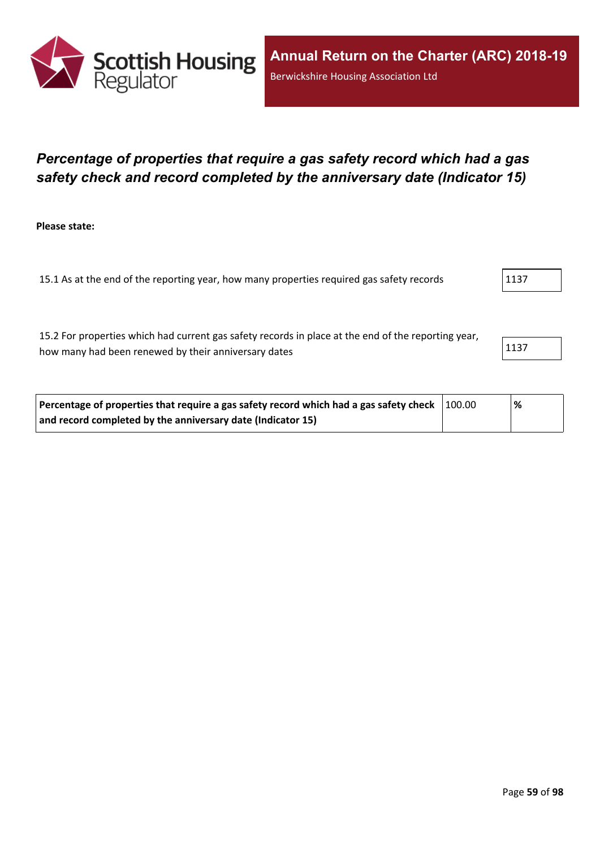

### *Percentage of properties that require a gas safety record which had a gas safety check and record completed by the anniversary date (Indicator 15)*

**Please state:**

15.1 As at the end of the reporting year, how many properties required gas safety records 1137

15.2 For properties which had current gas safety records in place at the end of the reporting year, how many had been renewed by their anniversary dates 1137

| Percentage of properties that require a gas safety record which had a gas safety check $\vert$ 100.00 | <b>%</b> |
|-------------------------------------------------------------------------------------------------------|----------|
| and record completed by the anniversary date (Indicator 15)                                           |          |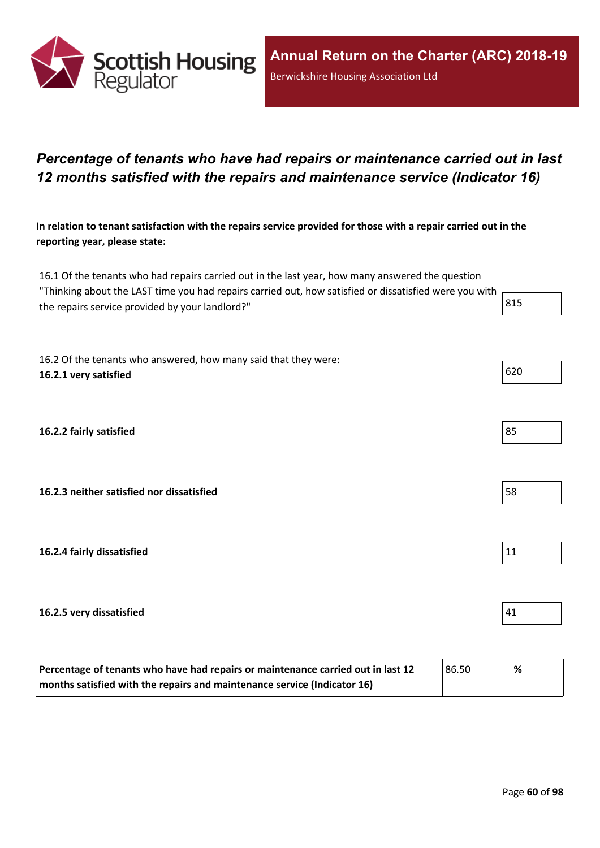

### *Percentage of tenants who have had repairs or maintenance carried out in last 12 months satisfied with the repairs and maintenance service (Indicator 16)*

In relation to tenant satisfaction with the repairs service provided for those with a repair carried out in the **reporting year, please state:**

16.1 Of the tenants who had repairs carried out in the last year, how many answered the question "Thinking about the LAST time you had repairs carried out, how satisfied or dissatisfied were you with the repairs service provided by your landlord?"  $\vert$  815

16.2 Of the tenants who answered, how many said that they were: **16.2.1 very satisfied** 620

**16.2.2 fairly satisfied** 85

**16.2.3 neither satisfied nor dissatisfied** 58

**16.2.4 fairly dissatisfied** 11

#### **16.2.5 very dissatisfied** 41

| Percentage of tenants who have had repairs or maintenance carried out in last 12<br>86.50 |  | '% |
|-------------------------------------------------------------------------------------------|--|----|
| months satisfied with the repairs and maintenance service (Indicator 16)                  |  |    |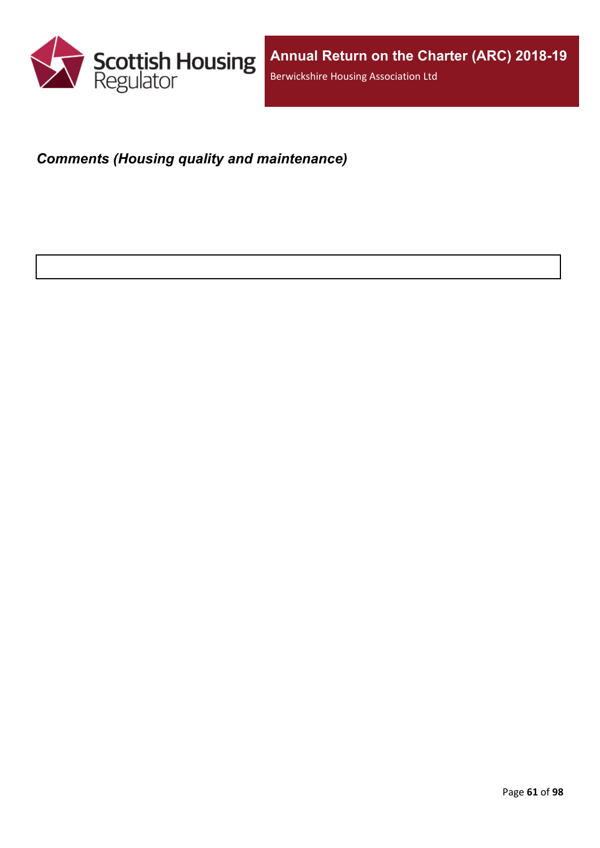

## *Comments (Housing quality and maintenance)*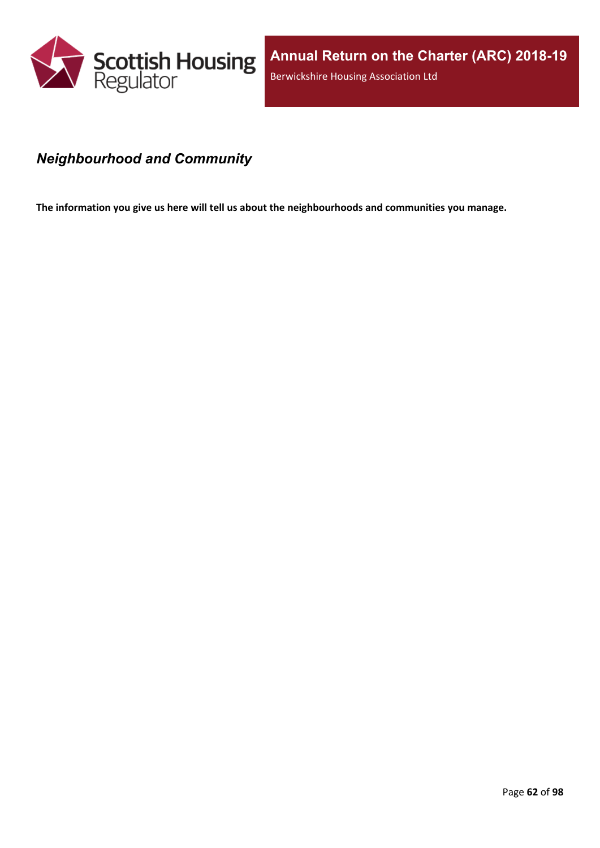

### *Neighbourhood and Community*

**The information you give us here will tell us about the neighbourhoods and communities you manage.**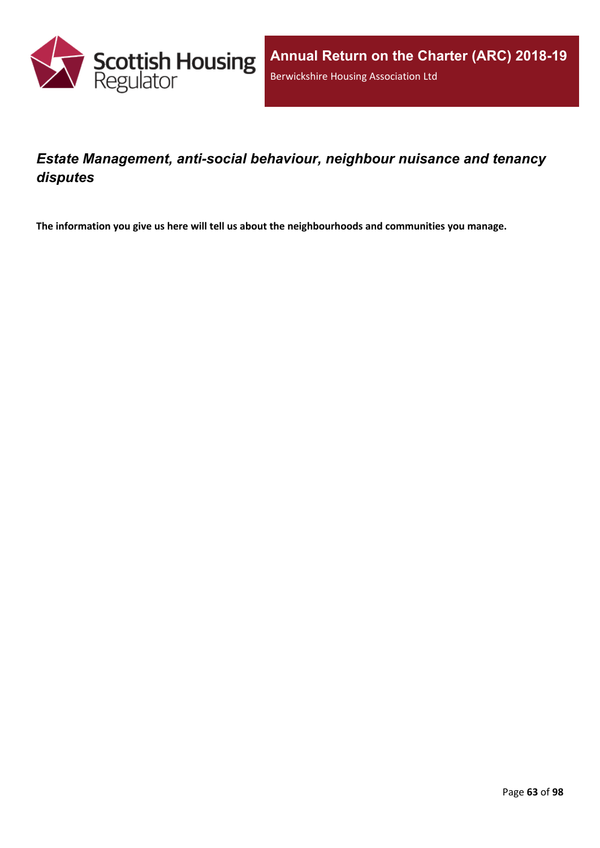

## *Estate Management, anti-social behaviour, neighbour nuisance and tenancy disputes*

**The information you give us here will tell us about the neighbourhoods and communities you manage.**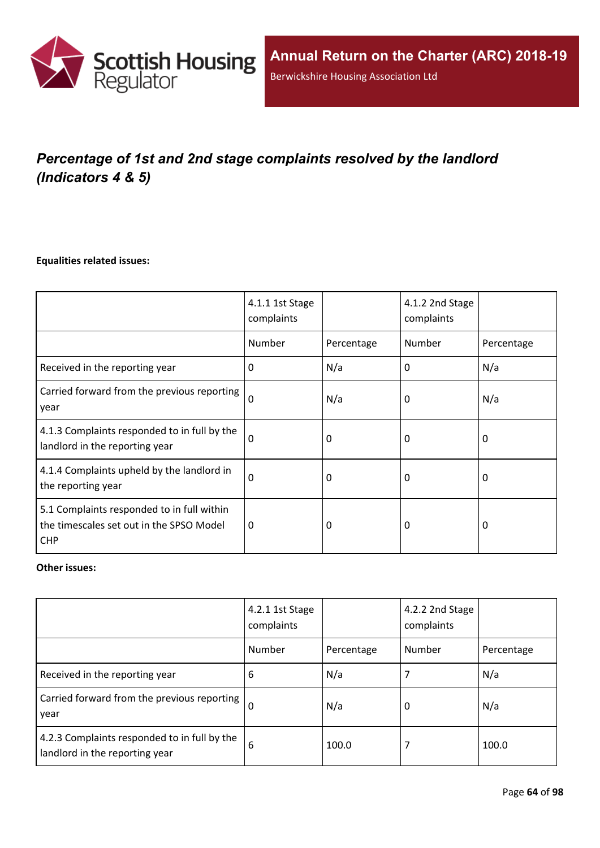

# *Percentage of 1st and 2nd stage complaints resolved by the landlord (Indicators 4 & 5)*

#### **Equalities related issues:**

|                                                                                                      | 4.1.1 1st Stage<br>complaints |            | 4.1.2 2nd Stage<br>complaints |            |
|------------------------------------------------------------------------------------------------------|-------------------------------|------------|-------------------------------|------------|
|                                                                                                      | Number                        | Percentage | Number                        | Percentage |
| Received in the reporting year                                                                       | $\Omega$                      | N/a        | 0                             | N/a        |
| Carried forward from the previous reporting<br>year                                                  | $\Omega$                      | N/a        | 0                             | N/a        |
| 4.1.3 Complaints responded to in full by the<br>landlord in the reporting year                       | $\Omega$                      | 0          | 0                             | 0          |
| 4.1.4 Complaints upheld by the landlord in<br>the reporting year                                     | 0                             | 0          | 0                             | 0          |
| 5.1 Complaints responded to in full within<br>the timescales set out in the SPSO Model<br><b>CHP</b> | 0                             | 0          | 0                             | $\Omega$   |

#### **Other issues:**

|                                                                                | 4.2.1 1st Stage<br>complaints |            | 4.2.2 2nd Stage<br>complaints |            |
|--------------------------------------------------------------------------------|-------------------------------|------------|-------------------------------|------------|
|                                                                                | Number                        | Percentage | Number                        | Percentage |
| Received in the reporting year                                                 | 6                             | N/a        |                               | N/a        |
| Carried forward from the previous reporting  <br>year                          | $\Omega$                      | N/a        | 0                             | N/a        |
| 4.2.3 Complaints responded to in full by the<br>landlord in the reporting year | 6                             | 100.0      |                               | 100.0      |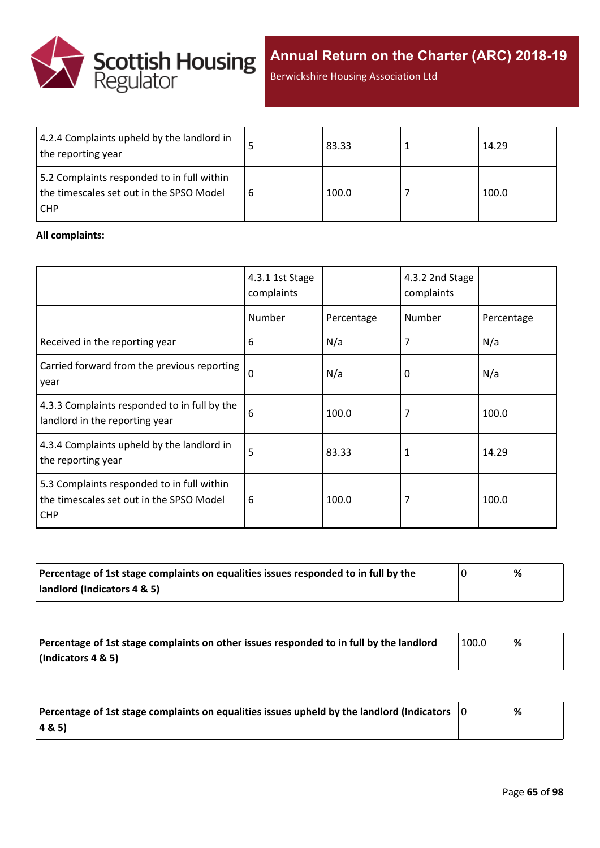

Berwickshire Housing Association Ltd

| 4.2.4 Complaints upheld by the landlord in<br>the reporting year                                     | 83.33 | 14.29 |
|------------------------------------------------------------------------------------------------------|-------|-------|
| 5.2 Complaints responded to in full within<br>the timescales set out in the SPSO Model<br><b>CHP</b> | 100.0 | 100.0 |

#### **All complaints:**

|                                                                                                      | 4.3.1 1st Stage<br>complaints |            | 4.3.2 2nd Stage<br>complaints |            |
|------------------------------------------------------------------------------------------------------|-------------------------------|------------|-------------------------------|------------|
|                                                                                                      | Number                        | Percentage | Number                        | Percentage |
| Received in the reporting year                                                                       | 6                             | N/a        | 7                             | N/a        |
| Carried forward from the previous reporting<br>year                                                  | $\Omega$                      | N/a        | 0                             | N/a        |
| 4.3.3 Complaints responded to in full by the<br>landlord in the reporting year                       | 6                             | 100.0      | 7                             | 100.0      |
| 4.3.4 Complaints upheld by the landlord in<br>the reporting year                                     | 5                             | 83.33      | 1                             | 14.29      |
| 5.3 Complaints responded to in full within<br>the timescales set out in the SPSO Model<br><b>CHP</b> | 6                             | 100.0      | 7                             | 100.0      |

| Percentage of 1st stage complaints on equalities issues responded to in full by the | % |
|-------------------------------------------------------------------------------------|---|
| landlord (Indicators 4 & 5)                                                         |   |

| Percentage of 1st stage complaints on other issues responded to in full by the landlord | 100.0 | % |
|-----------------------------------------------------------------------------------------|-------|---|
| (Indicators 4 & 5)                                                                      |       |   |

| Percentage of 1st stage complaints on equalities issues upheld by the landlord (Indicators $\vert$ 0 | % |
|------------------------------------------------------------------------------------------------------|---|
| (48.5)                                                                                               |   |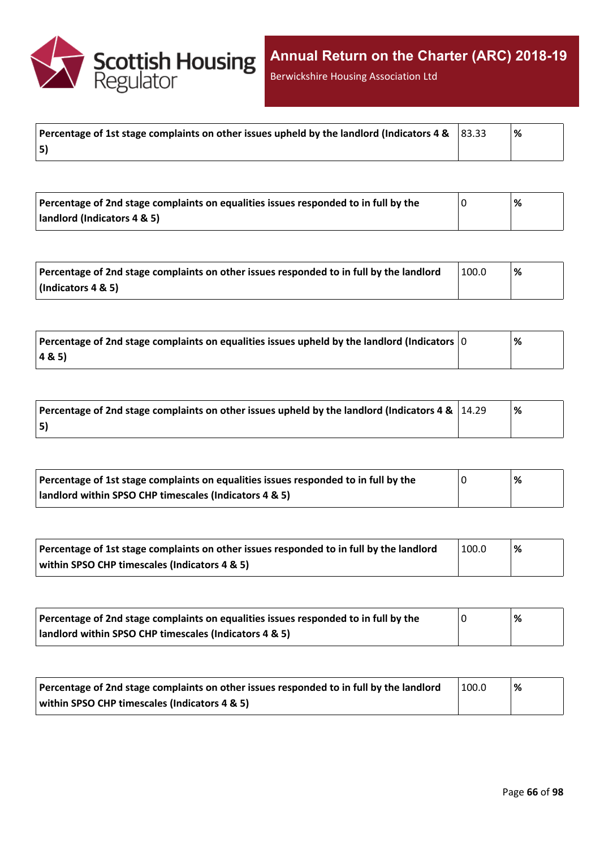

Berwickshire Housing Association Ltd

| Percentage of 1st stage complaints on other issues upheld by the landlord (Indicators 4 & $ 83.33 $ | l % |
|-----------------------------------------------------------------------------------------------------|-----|
| 5)                                                                                                  |     |

| Percentage of 2nd stage complaints on equalities issues responded to in full by the | % |
|-------------------------------------------------------------------------------------|---|
| landlord (Indicators 4 & 5)                                                         |   |

| Percentage of 2nd stage complaints on other issues responded to in full by the landlord | 100.0 | '% |
|-----------------------------------------------------------------------------------------|-------|----|
| $\vert$ (Indicators 4 & 5)                                                              |       |    |

| $\mid$ Percentage of 2nd stage complaints on equalities issues upheld by the landlord (Indicators $\mid$ 0 | % |
|------------------------------------------------------------------------------------------------------------|---|
| 4&5)                                                                                                       |   |

| Percentage of 2nd stage complaints on other issues upheld by the landlord (Indicators 4 & $\mid$ 14.29 | % |
|--------------------------------------------------------------------------------------------------------|---|
| 5)                                                                                                     |   |

| Percentage of 1st stage complaints on equalities issues responded to in full by the | % |
|-------------------------------------------------------------------------------------|---|
| landlord within SPSO CHP timescales (Indicators 4 & 5)                              |   |

| Percentage of 1st stage complaints on other issues responded to in full by the landlord | 100.0 | '% |
|-----------------------------------------------------------------------------------------|-------|----|
| within SPSO CHP timescales (Indicators 4 & 5)                                           |       |    |

| Percentage of 2nd stage complaints on equalities issues responded to in full by the | '% |
|-------------------------------------------------------------------------------------|----|
| landlord within SPSO CHP timescales (Indicators 4 & 5)                              |    |

| Percentage of 2nd stage complaints on other issues responded to in full by the landlord | 100.0 | '% |
|-----------------------------------------------------------------------------------------|-------|----|
| within SPSO CHP timescales (Indicators 4 & 5)                                           |       |    |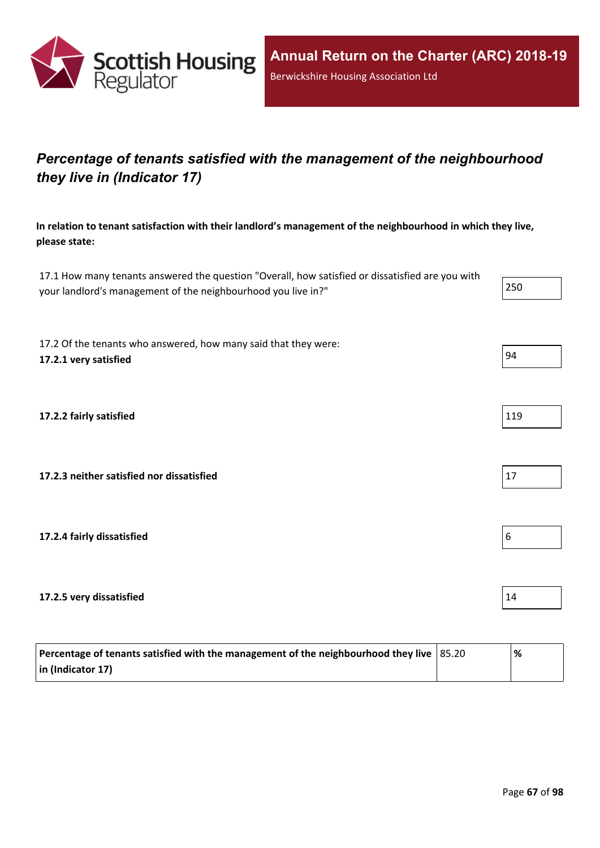

## *Percentage of tenants satisfied with the management of the neighbourhood they live in (Indicator 17)*

**In relation to tenant satisfaction with their landlord's management of the neighbourhood in which they live, please state:**

17.1 How many tenants answered the question "Overall, how satisfied or dissatisfied are you with your landlord's management of the neighbourhood you live in?"

17.2 Of the tenants who answered, how many said that they were: **17.2.1 very satisfied** 94

**17.2.2 fairly satisfied** 119

**17.2.3 neither satisfied nor dissatisfied** 17

**17.2.4 fairly dissatisfied** 6

**17.2.5 very dissatisfied** 14

| Percentage of tenants satisfied with the management of the neighbourhood they live $ 85.20\rangle$ | '% |
|----------------------------------------------------------------------------------------------------|----|
| $\vert$ in (Indicator 17)                                                                          |    |

| ノトト<br>. . |
|------------|
|------------|





| í |  |  |
|---|--|--|
|   |  |  |

| l |
|---|
|---|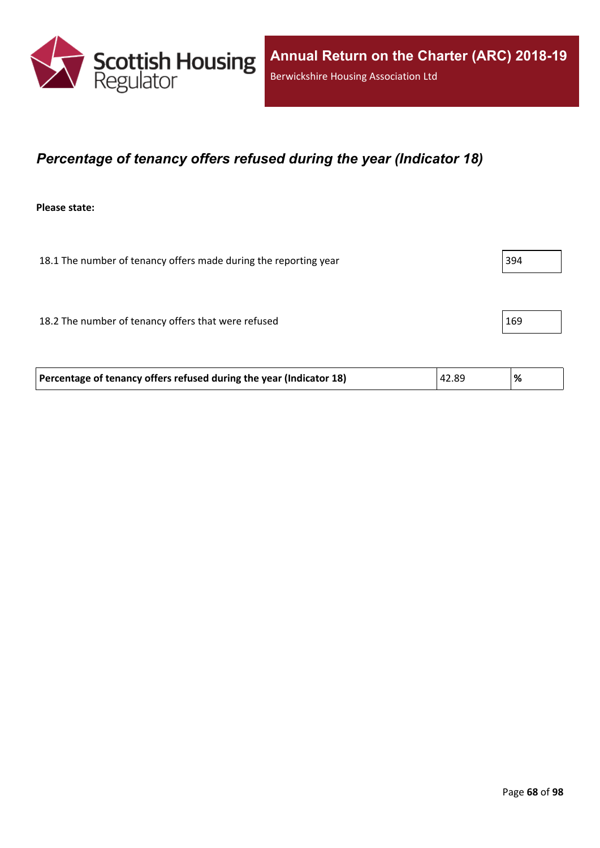

### *Percentage of tenancy offers refused during the year (Indicator 18)*

**Please state:**

| 18.1 The number of tenancy offers made during the reporting year | 394 |
|------------------------------------------------------------------|-----|
|                                                                  |     |
| 18.2 The number of tenancy offers that were refused              | 169 |
|                                                                  |     |

| Percentage of tenancy offers refused during the year (Indicator 18) | 42.89 | % |  |
|---------------------------------------------------------------------|-------|---|--|
|---------------------------------------------------------------------|-------|---|--|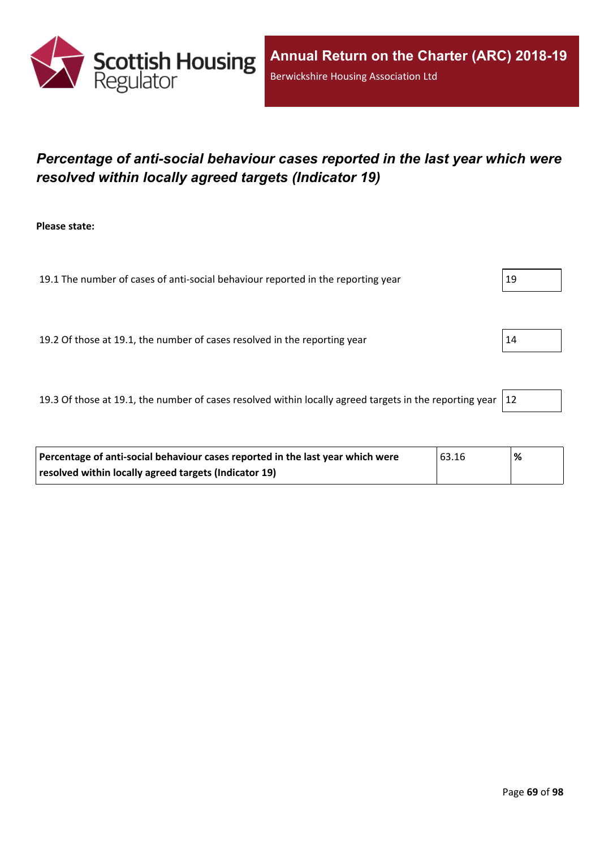

## *Percentage of anti-social behaviour cases reported in the last year which were resolved within locally agreed targets (Indicator 19)*

**Please state:**

19.1 The number of cases of anti-social behaviour reported in the reporting year 19 19.2 Of those at 19.1, the number of cases resolved in the reporting year 14

19.3 Of those at 19.1, the number of cases resolved within locally agreed targets in the reporting year  $|12|$ 

| Percentage of anti-social behaviour cases reported in the last year which were | 63.16 | % |
|--------------------------------------------------------------------------------|-------|---|
| resolved within locally agreed targets (Indicator 19)                          |       |   |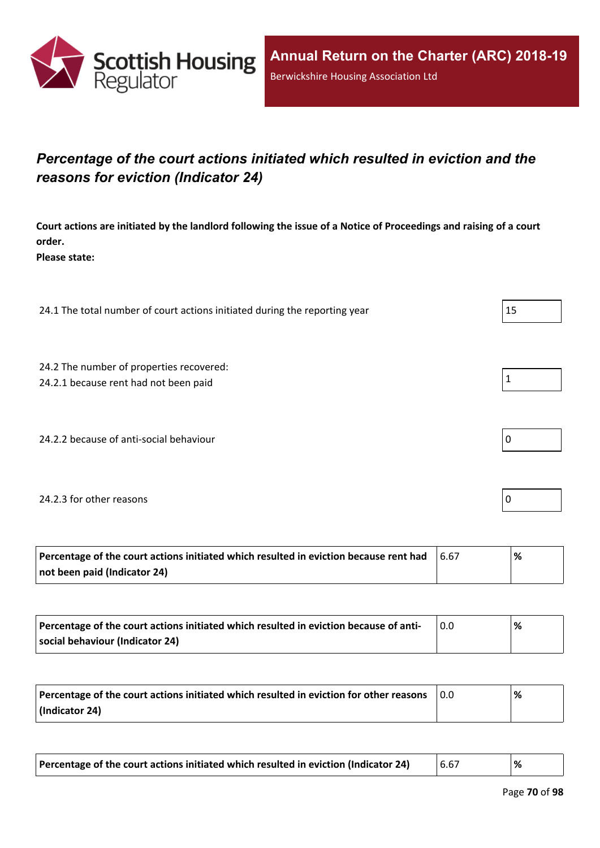

## *Percentage of the court actions initiated which resulted in eviction and the reasons for eviction (Indicator 24)*

Court actions are initiated by the landlord following the issue of a Notice of Proceedings and raising of a court **order.**

**Please state:**

24.1 The total number of court actions initiated during the reporting year  $|15|$ 

24.2 The number of properties recovered:

24.2.1 because rent had not been paid  $\vert$  1

24.2.2 because of anti-social behaviour  $\vert 0 \rangle$ 

#### 24.2.3 for other reasons  $\vert$  0

| Percentage of the court actions initiated which resulted in eviction because rent had | 6.67 | % |
|---------------------------------------------------------------------------------------|------|---|
| not been paid (Indicator 24)                                                          |      |   |

| Percentage of the court actions initiated which resulted in eviction because of anti- | % |
|---------------------------------------------------------------------------------------|---|
| social behaviour (Indicator 24)                                                       |   |

| Percentage of the court actions initiated which resulted in eviction for other reasons | 0.0 | % |
|----------------------------------------------------------------------------------------|-----|---|
| (Indicator 24)                                                                         |     |   |

| Percentage of the court actions initiated which resulted in eviction (Indicator 24) | 16.67 | % |
|-------------------------------------------------------------------------------------|-------|---|
|-------------------------------------------------------------------------------------|-------|---|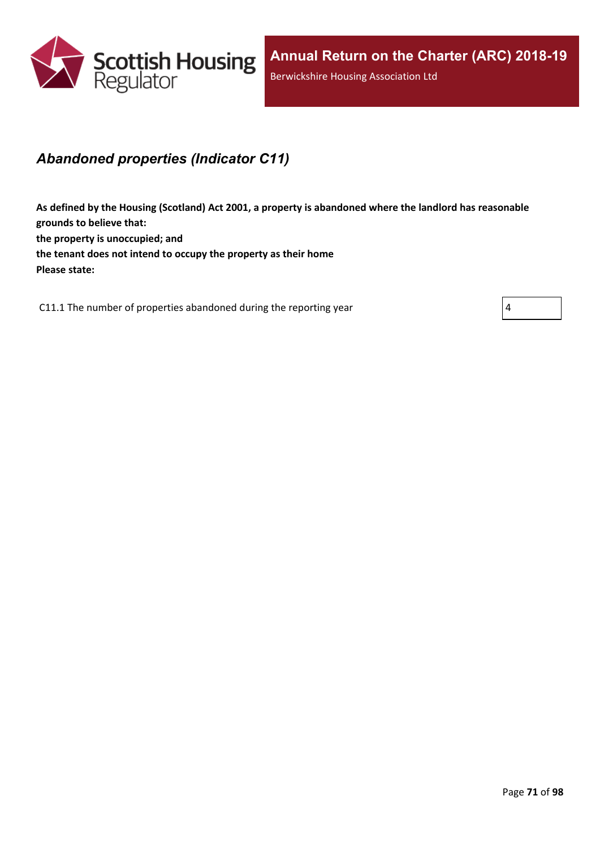

### *Abandoned properties (Indicator C11)*

**As defined by the Housing (Scotland) Act 2001, a property is abandoned where the landlord has reasonable grounds to believe that: the property is unoccupied; and the tenant does not intend to occupy the property as their home Please state:**

C11.1 The number of properties abandoned during the reporting year  $|4|$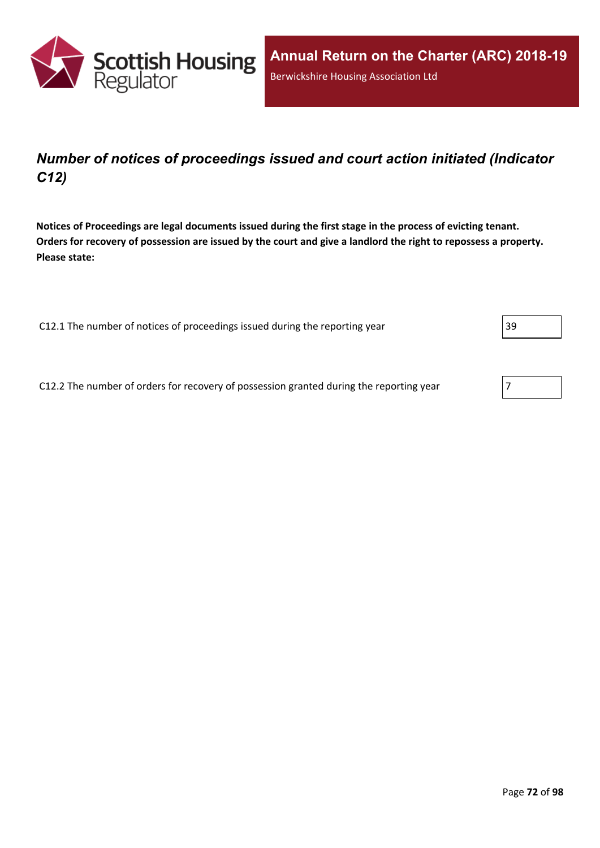

## *Number of notices of proceedings issued and court action initiated (Indicator C12)*

Notices of Proceedings are legal documents issued during the first stage in the process of evicting tenant. Orders for recovery of possession are issued by the court and give a landlord the right to repossess a property. **Please state:**

C12.1 The number of notices of proceedings issued during the reporting year 39

C12.2 The number of orders for recovery of possession granted during the reporting year  $\sqrt{7}$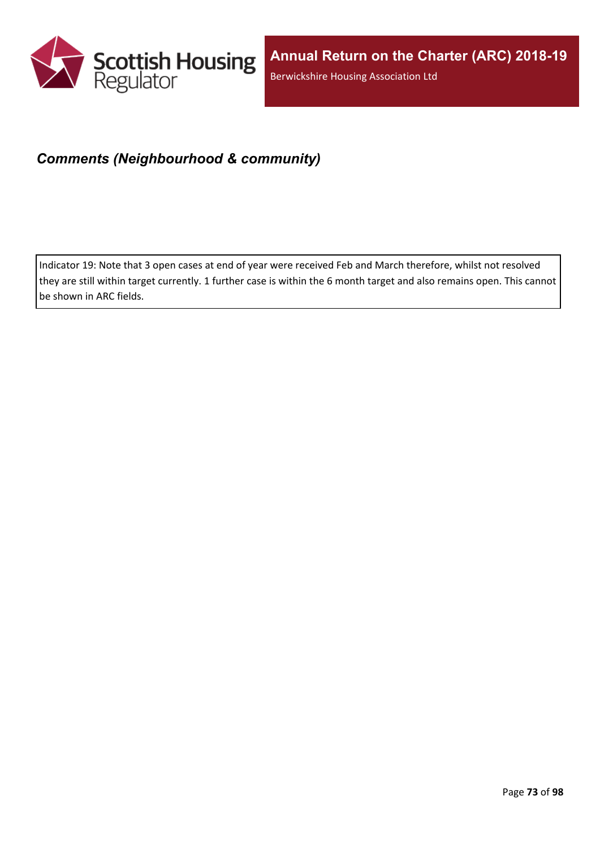

## *Comments (Neighbourhood & community)*

Indicator 19: Note that 3 open cases at end of year were received Feb and March therefore, whilst not resolved they are still within target currently. 1 further case is within the 6 month target and also remains open. This cannot be shown in ARC fields.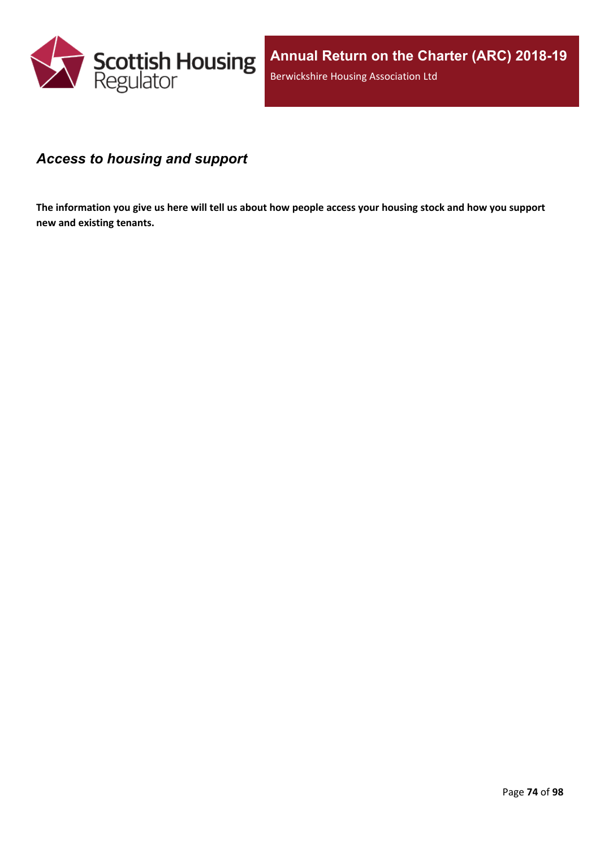

### *Access to housing and support*

The information you give us here will tell us about how people access your housing stock and how you support **new and existing tenants.**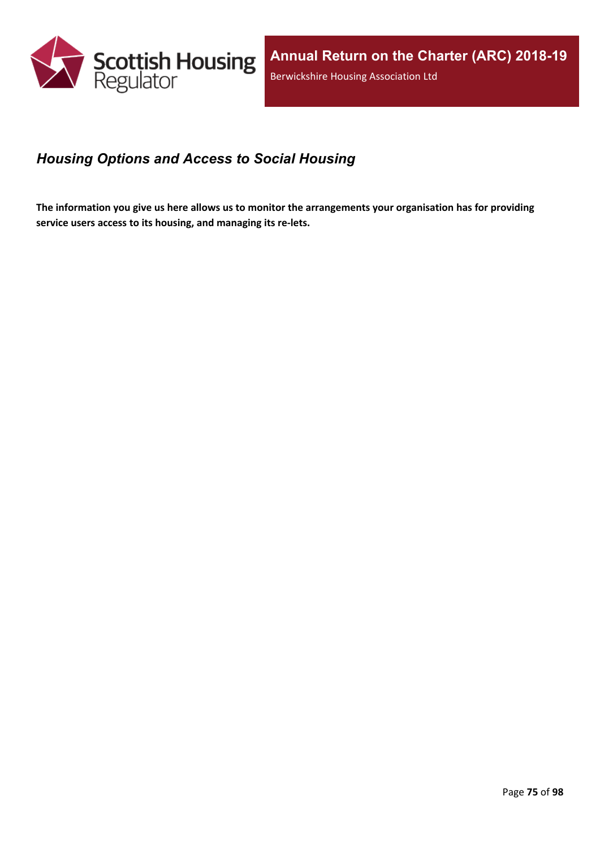

## *Housing Options and Access to Social Housing*

The information you give us here allows us to monitor the arrangements your organisation has for providing **service users access to its housing, and managing its re-lets.**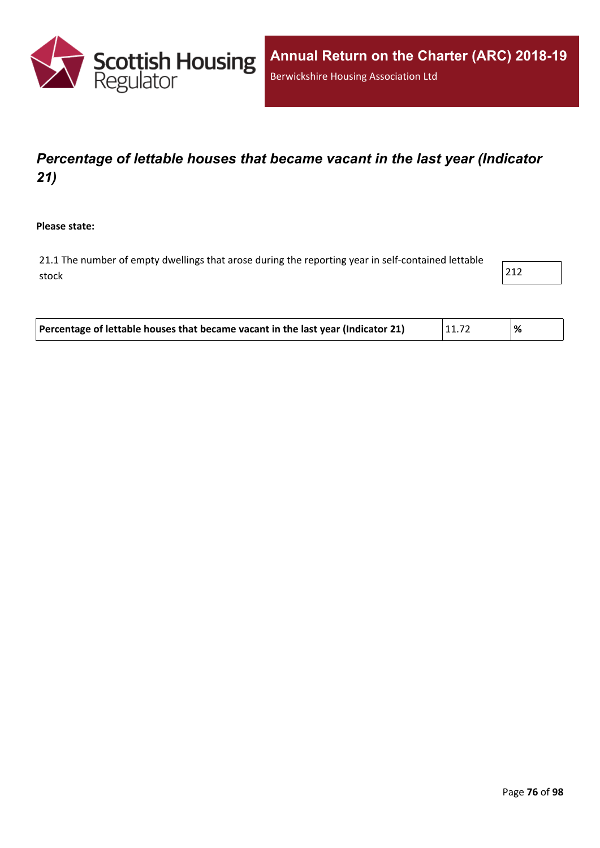

## *Percentage of lettable houses that became vacant in the last year (Indicator 21)*

**Please state:**

21.1 The number of empty dwellings that arose during the reporting year in self-contained lettable stock 212

| Percentage of lettable houses that became vacant in the last year (Indicator 21) | 11.72 |  |
|----------------------------------------------------------------------------------|-------|--|
|                                                                                  |       |  |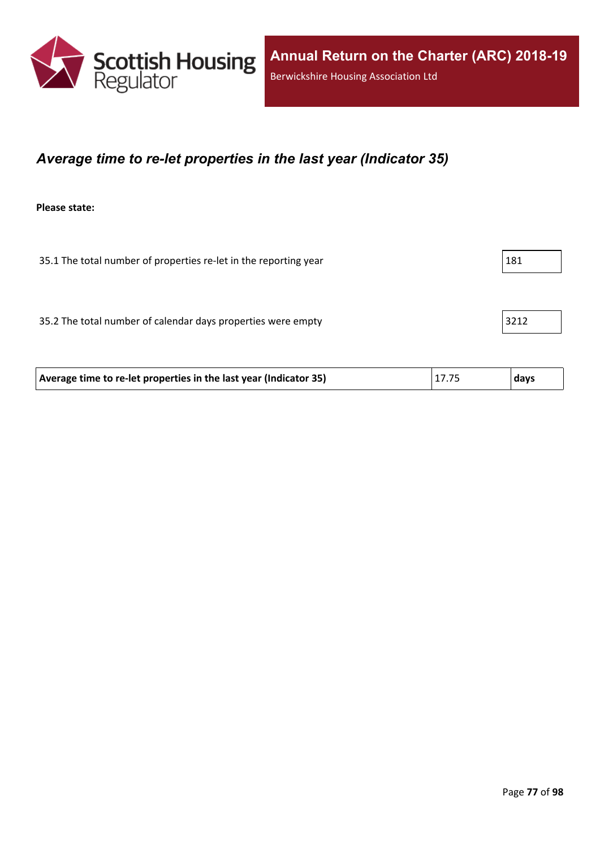

### *Average time to re-let properties in the last year (Indicator 35)*

**Please state:**

| 35.1 The total number of properties re-let in the reporting year |      |
|------------------------------------------------------------------|------|
|                                                                  |      |
| 35.2 The total number of calendar days properties were empty     | 3212 |

| 17.75<br>Average time to re-let properties in the last year (Indicator 35) | days |
|----------------------------------------------------------------------------|------|
|----------------------------------------------------------------------------|------|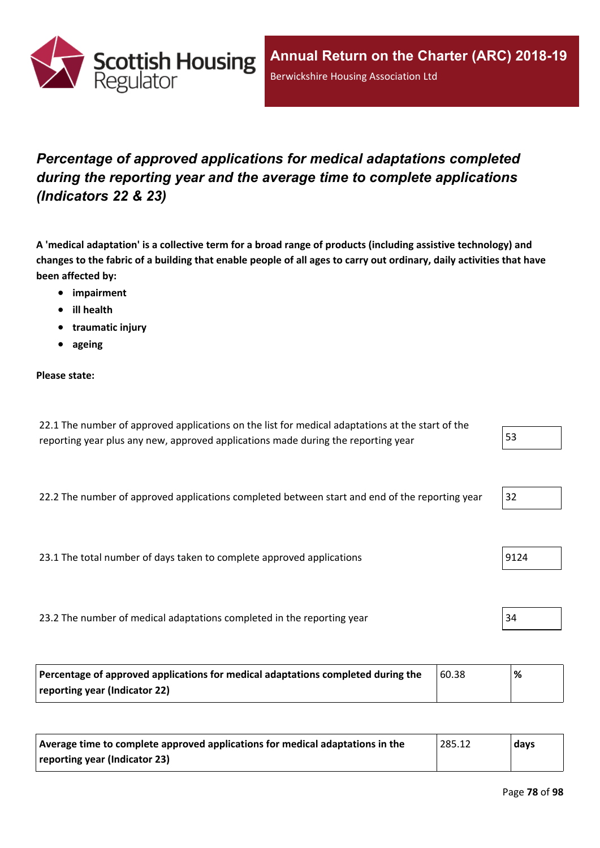

# *Percentage of approved applications for medical adaptations completed during the reporting year and the average time to complete applications (Indicators 22 & 23)*

A 'medical adaptation' is a collective term for a broad range of products (including assistive technology) and changes to the fabric of a building that enable people of all ages to carry out ordinary, daily activities that have **been affected by:**

- **impairment**
- **ill health**
- **traumatic injury**
- **ageing**

#### **Please state:**

| 22.1 The number of approved applications on the list for medical adaptations at the start of the |    |
|--------------------------------------------------------------------------------------------------|----|
| reporting year plus any new, approved applications made during the reporting year                | 53 |

22.2 The number of approved applications completed between start and end of the reporting year 32

23.1 The total number of days taken to complete approved applications | 9124

23.2 The number of medical adaptations completed in the reporting year 34

| Percentage of approved applications for medical adaptations completed during the | 60.38 | ℅ |
|----------------------------------------------------------------------------------|-------|---|
| reporting year (Indicator 22)                                                    |       |   |

| Average time to complete approved applications for medical adaptations in the | 285.12 | days |
|-------------------------------------------------------------------------------|--------|------|
| reporting year (Indicator 23)                                                 |        |      |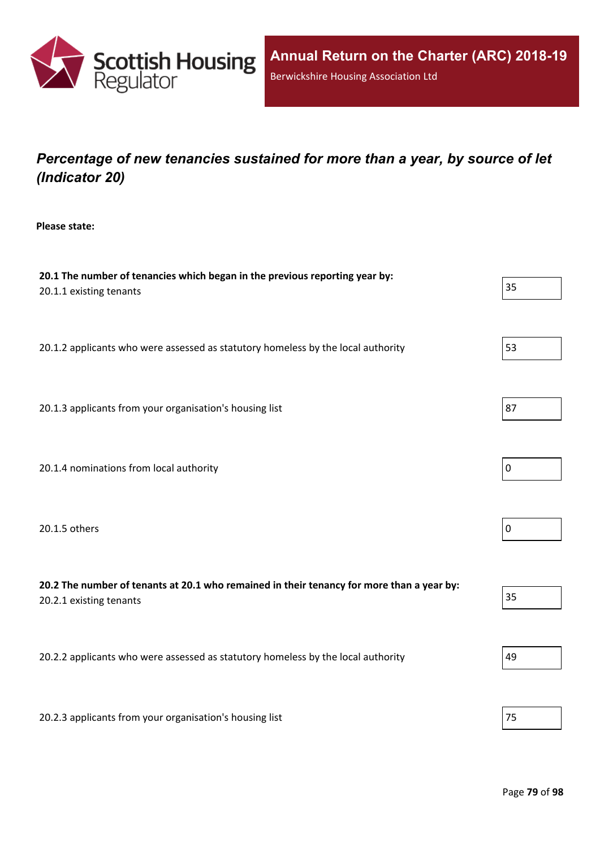

## *Percentage of new tenancies sustained for more than a year, by source of let (Indicator 20)*

**Please state:**

| 20.1 The number of tenancies which began in the previous reporting year by:<br>20.1.1 existing tenants               |             |  |  |  |
|----------------------------------------------------------------------------------------------------------------------|-------------|--|--|--|
| 20.1.2 applicants who were assessed as statutory homeless by the local authority                                     | 53          |  |  |  |
| 20.1.3 applicants from your organisation's housing list                                                              | 87          |  |  |  |
| 20.1.4 nominations from local authority                                                                              | $\mathbf 0$ |  |  |  |
| 20.1.5 others                                                                                                        | $\pmb{0}$   |  |  |  |
| 20.2 The number of tenants at 20.1 who remained in their tenancy for more than a year by:<br>20.2.1 existing tenants | 35          |  |  |  |
| 20.2.2 applicants who were assessed as statutory homeless by the local authority                                     | 49          |  |  |  |
| 20.2.3 applicants from your organisation's housing list                                                              | 75          |  |  |  |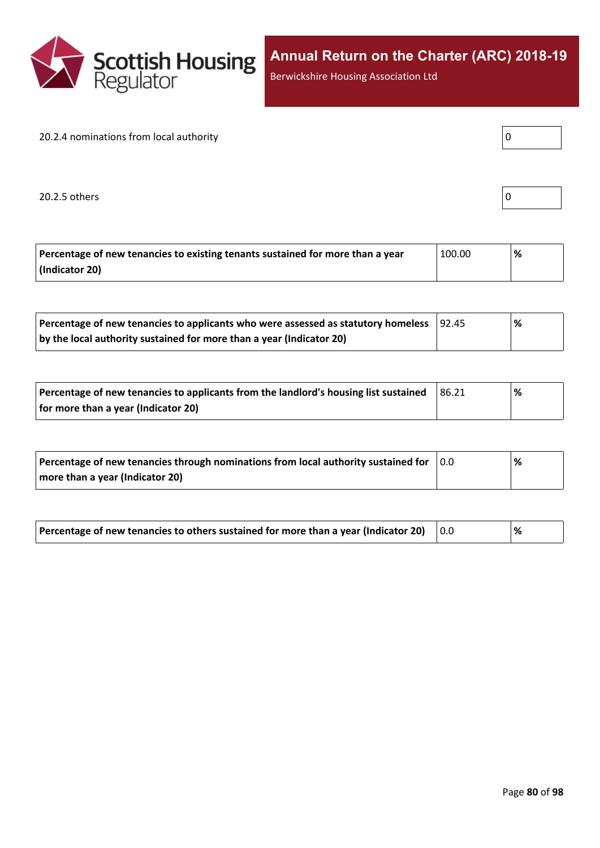

Berwickshire Housing Association Ltd

### 20.2.4 nominations from local authority

20.2.5 others  $\boxed{0}$ 

| . .<br>۔ |
|----------|
|          |
|          |

| Percentage of new tenancies to existing tenants sustained for more than a year | 100.00 | % |
|--------------------------------------------------------------------------------|--------|---|
| (Indicator 20)                                                                 |        |   |

| Percentage of new tenancies to applicants who were assessed as statutory homeless | 92.45 | % |
|-----------------------------------------------------------------------------------|-------|---|
| by the local authority sustained for more than a year (Indicator 20)              |       |   |

| Percentage of new tenancies to applicants from the landlord's housing list sustained | 86.21 | % |  |
|--------------------------------------------------------------------------------------|-------|---|--|
| for more than a year (Indicator 20)                                                  |       |   |  |

| Percentage of new tenancies through nominations from local authority sustained for | 10.0 | % |
|------------------------------------------------------------------------------------|------|---|
| more than a year (Indicator 20)                                                    |      |   |

| Percentage of new tenancies to others sustained for more than a year (Indicator 20) |  | ℅ |
|-------------------------------------------------------------------------------------|--|---|
|-------------------------------------------------------------------------------------|--|---|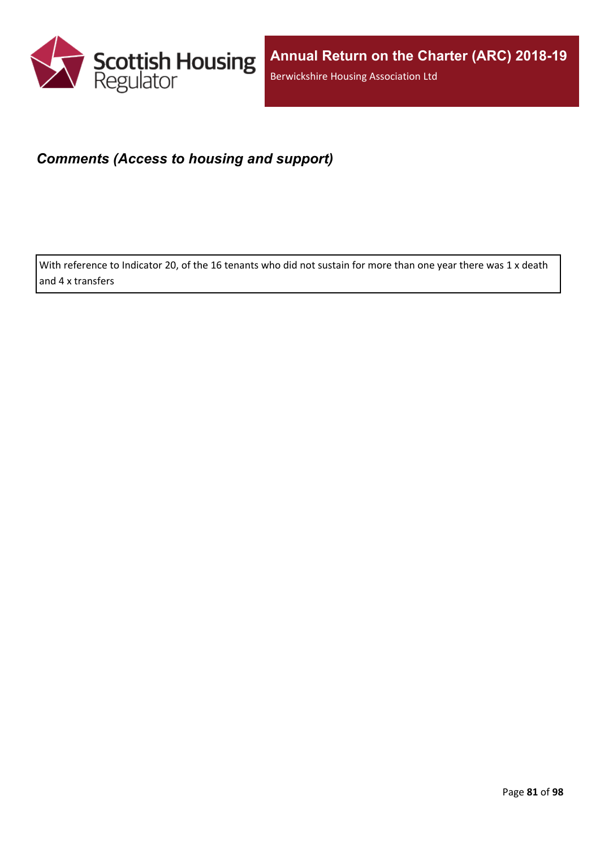

## *Comments (Access to housing and support)*

With reference to Indicator 20, of the 16 tenants who did not sustain for more than one year there was 1 x death and 4 x transfers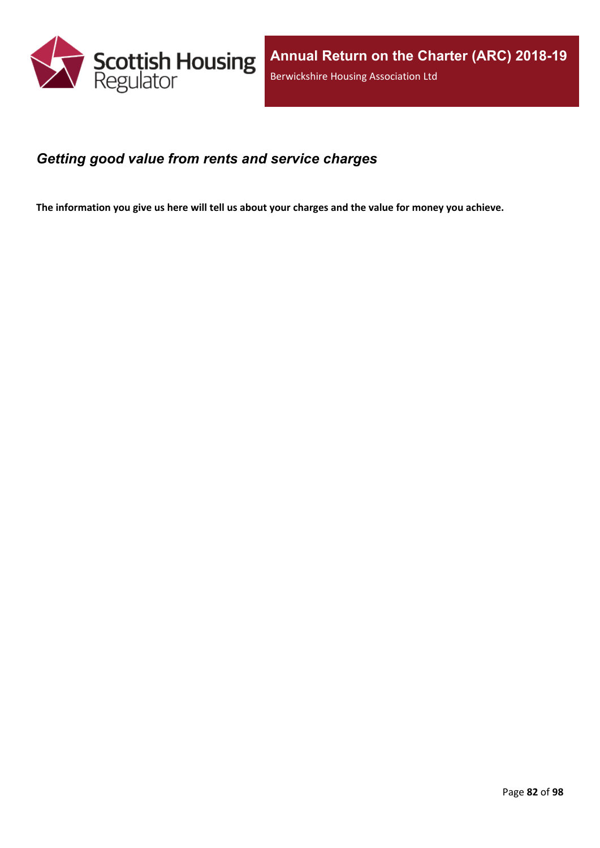

### *Getting good value from rents and service charges*

The information you give us here will tell us about your charges and the value for money you achieve.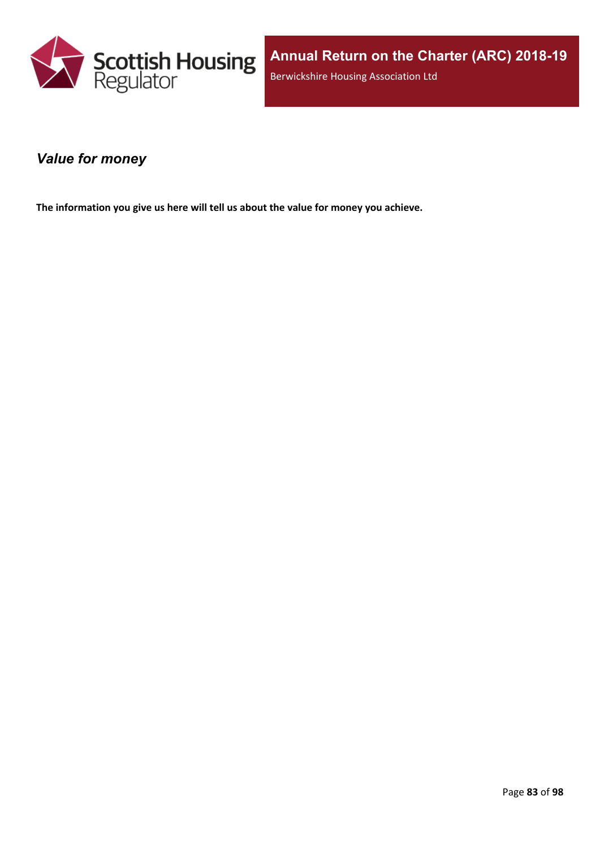

### *Value for money*

**The information you give us here will tell us about the value for money you achieve.**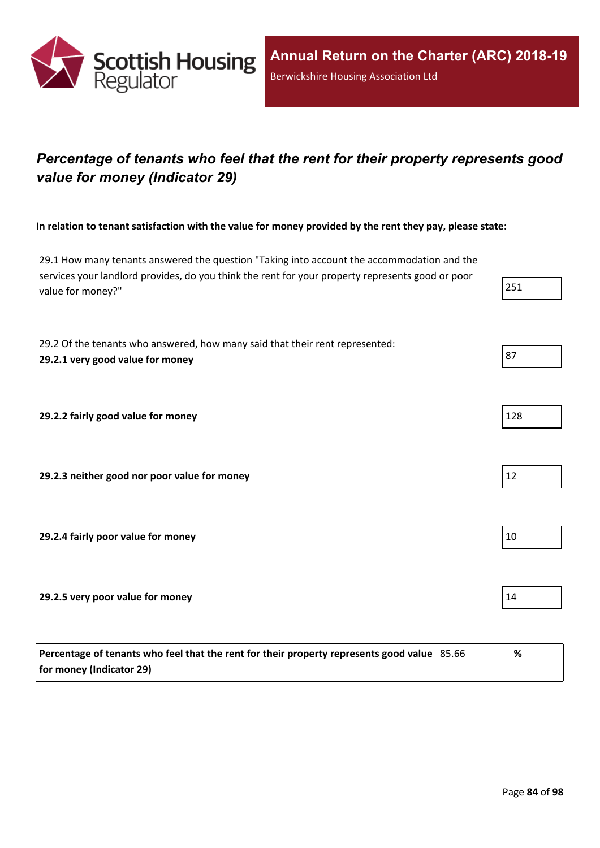

## *Percentage of tenants who feel that the rent for their property represents good value for money (Indicator 29)*

In relation to tenant satisfaction with the value for money provided by the rent they pay, please state:

29.1 How many tenants answered the question "Taking into account the accommodation and the services your landlord provides, do you think the rent for your property represents good or poor value for money?"  $25$ 

29.2 Of the tenants who answered, how many said that their rent represented: **29.2.1 very good value for money** 87

**29.2.2 fairly good value for money** 

**29.2.3 neither good nor poor value for money** 12

**29.2.4 fairly poor value for money** 10

**29.2.5 very poor value for money** 14

| Percentage of tenants who feel that the rent for their property represents good value   85.66 | % |
|-----------------------------------------------------------------------------------------------|---|
| for money (Indicator 29)                                                                      |   |

| 128 |  |
|-----|--|
|     |  |

|--|--|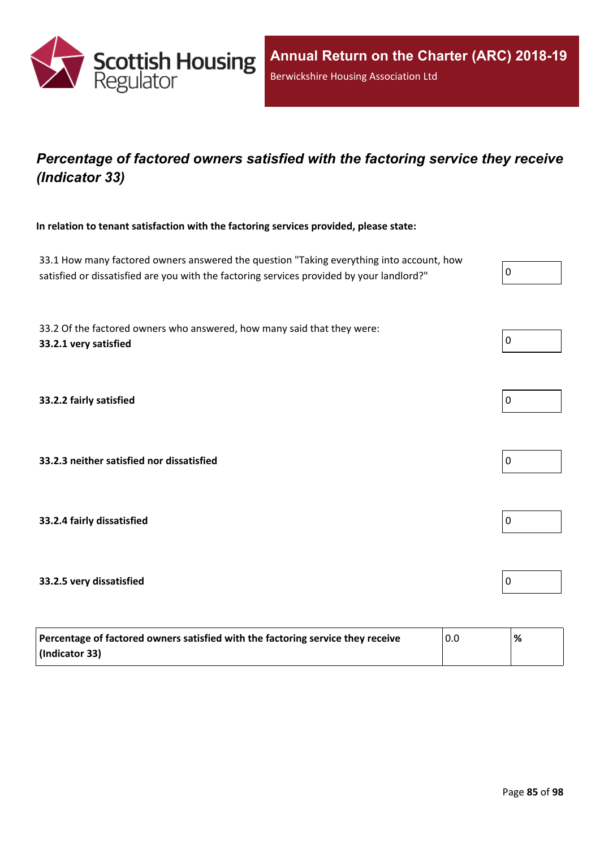

## *Percentage of factored owners satisfied with the factoring service they receive (Indicator 33)*

**In relation to tenant satisfaction with the factoring services provided, please state:**

33.1 How many factored owners answered the question "Taking everything into account, how satisfied or dissatisfied are you with the factoring services provided by your landlord?"

33.2 Of the factored owners who answered, how many said that they were: **33.2.1 very satisfied** 0

**33.2.2 fairly satisfied** 0

**33.2.3 neither satisfied nor dissatisfied** 0

**33.2.4 fairly dissatisfied** 0

#### **33.2.5 very dissatisfied** 0

| Percentage of factored owners satisfied with the factoring service they receive | 0.0 | % |
|---------------------------------------------------------------------------------|-----|---|
| (Indicator 33)                                                                  |     |   |





| -<br>0 |  |  |  |
|--------|--|--|--|
|        |  |  |  |



| 0 |  |  |  |
|---|--|--|--|
|   |  |  |  |

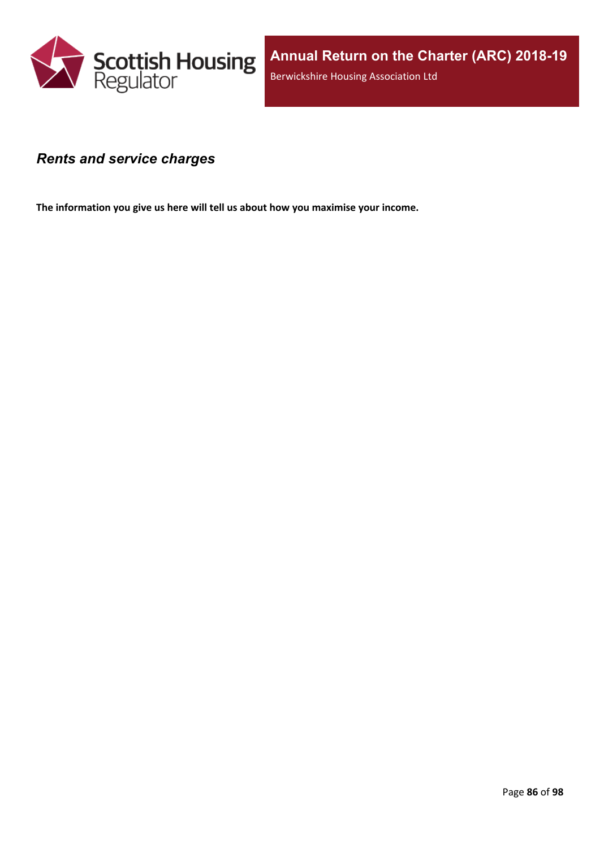

### *Rents and service charges*

**The information you give us here will tell us about how you maximise your income.**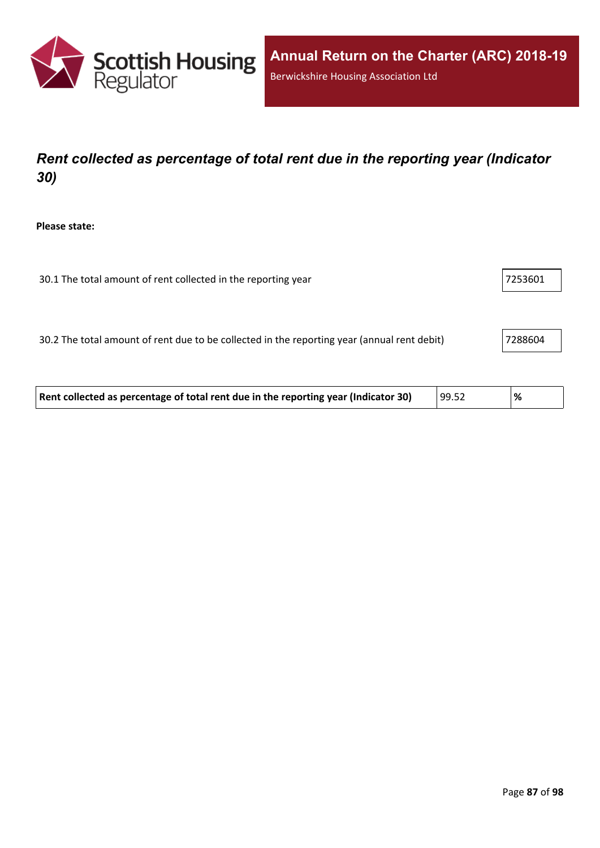

## *Rent collected as percentage of total rent due in the reporting year (Indicator 30)*

**Please state:**

| 30.1 The total amount of rent collected in the reporting year | 7253601 |
|---------------------------------------------------------------|---------|
|---------------------------------------------------------------|---------|

30.2 The total amount of rent due to be collected in the reporting year (annual rent debit) 7288604

| Rent collected as percentage of total rent due in the reporting year (Indicator 30) | 99.52 | '% |  |
|-------------------------------------------------------------------------------------|-------|----|--|
|-------------------------------------------------------------------------------------|-------|----|--|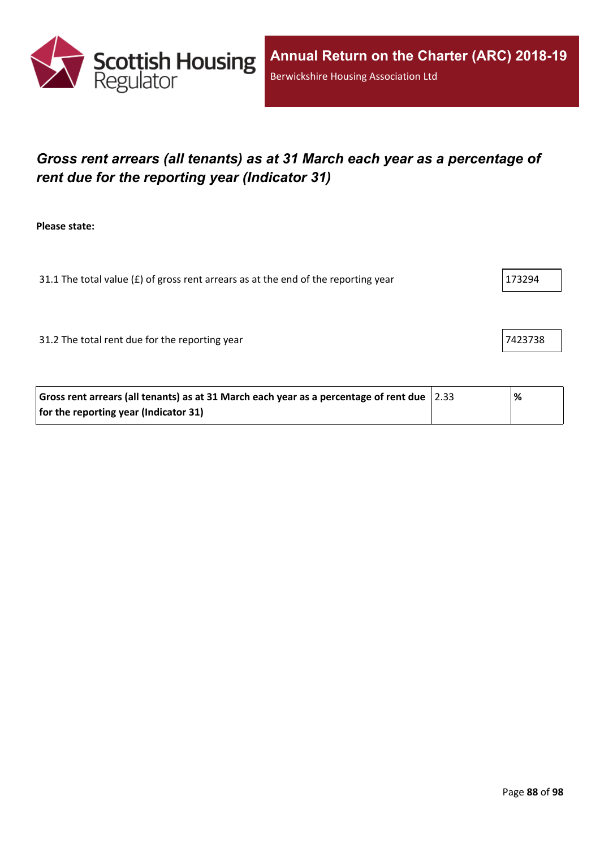

## *Gross rent arrears (all tenants) as at 31 March each year as a percentage of rent due for the reporting year (Indicator 31)*

**Please state:**

31.1 The total value ( $E$ ) of gross rent arrears as at the end of the reporting year  $173294$ 

31.2 The total rent due for the reporting year 7423738

| Gross rent arrears (all tenants) as at 31 March each year as a percentage of rent due $ 2.33\rangle$ | % |
|------------------------------------------------------------------------------------------------------|---|
| for the reporting year (Indicator 31)                                                                |   |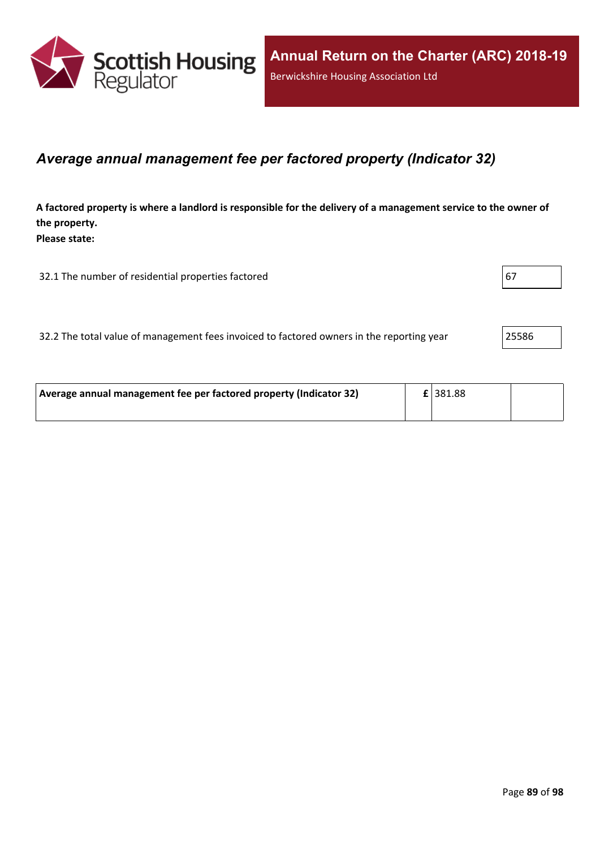

### *Average annual management fee per factored property (Indicator 32)*

A factored property is where a landlord is responsible for the delivery of a management service to the owner of **the property. Please state:**

32.1 The number of residential properties factored  $\vert$  67

32.2 The total value of management fees invoiced to factored owners in the reporting year 25586

| Average annual management fee per factored property (Indicator 32) | $E$   381.88 |  |
|--------------------------------------------------------------------|--------------|--|
|                                                                    |              |  |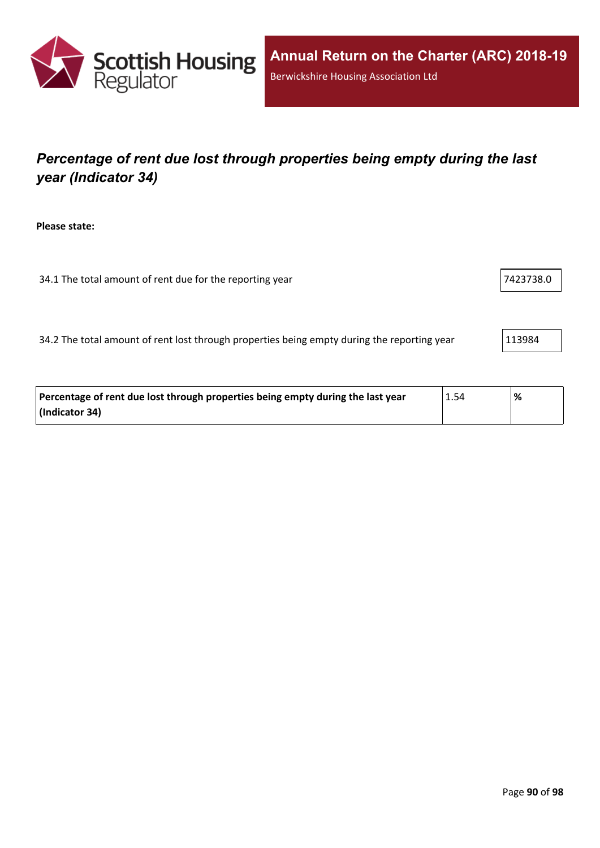

# *Percentage of rent due lost through properties being empty during the last year (Indicator 34)*

**Please state:**

34.1 The total amount of rent due for the reporting year 7423738.0

34.2 The total amount of rent lost through properties being empty during the reporting year 113984

| Percentage of rent due lost through properties being empty during the last year | 1.54 | % |
|---------------------------------------------------------------------------------|------|---|
| (Indicator 34)                                                                  |      |   |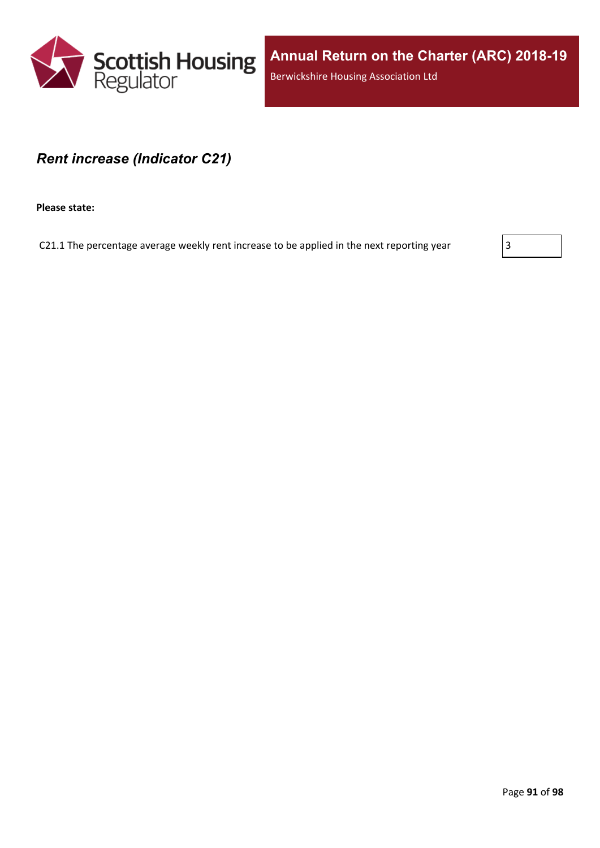

### *Rent increase (Indicator C21)*

**Please state:**

C21.1 The percentage average weekly rent increase to be applied in the next reporting year  $\vert$  3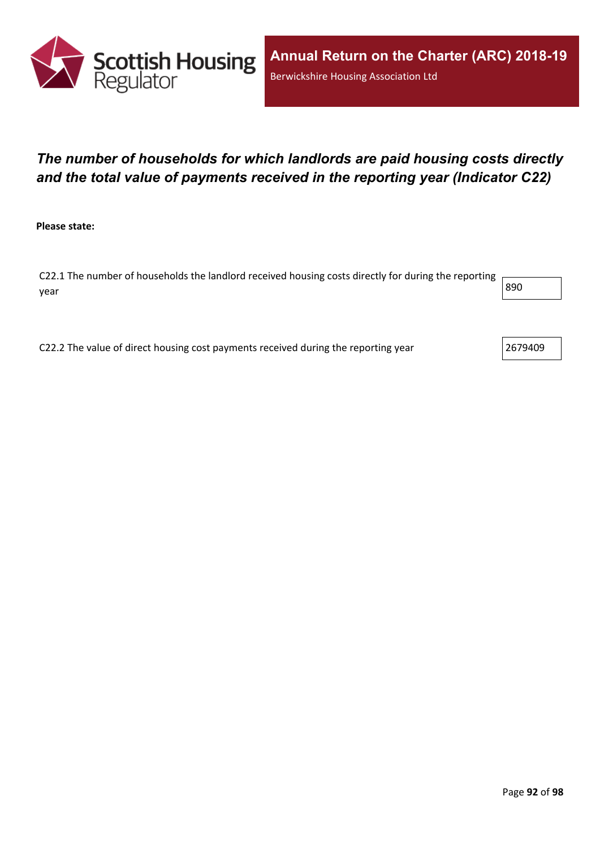

## *The number of households for which landlords are paid housing costs directly and the total value of payments received in the reporting year (Indicator C22)*

**Please state:**

C22.1 The number of households the landlord received housing costs directly for during the reporting year  $\begin{vmatrix} 890 \end{vmatrix}$ 

C22.2 The value of direct housing cost payments received during the reporting year 2679409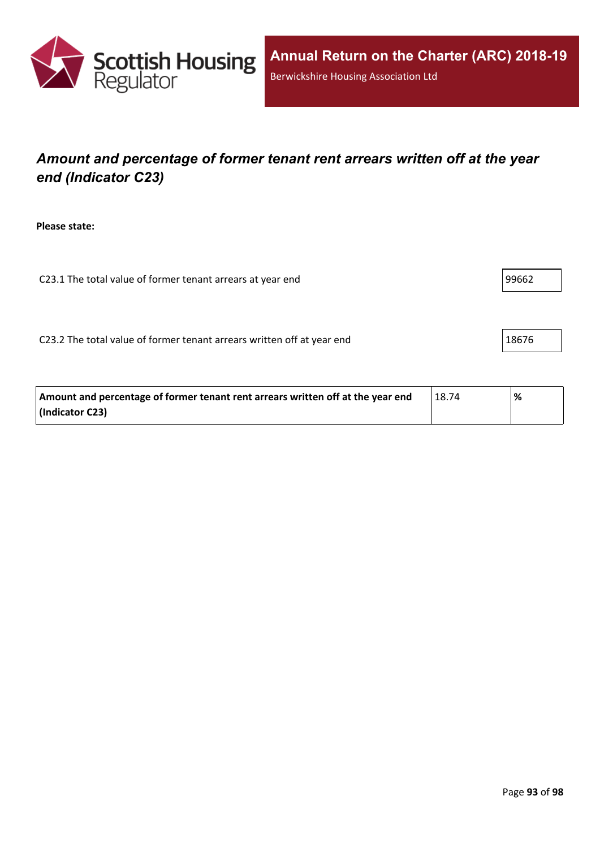

## *Amount and percentage of former tenant rent arrears written off at the year end (Indicator C23)*

**Please state:**

C23.1 The total value of former tenant arrears at year end 99662

C23.2 The total value of former tenant arrears written off at year end  $\vert$  18676

| Amount and percentage of former tenant rent arrears written off at the year end | 18.74 | % |
|---------------------------------------------------------------------------------|-------|---|
| (Indicator C23)                                                                 |       |   |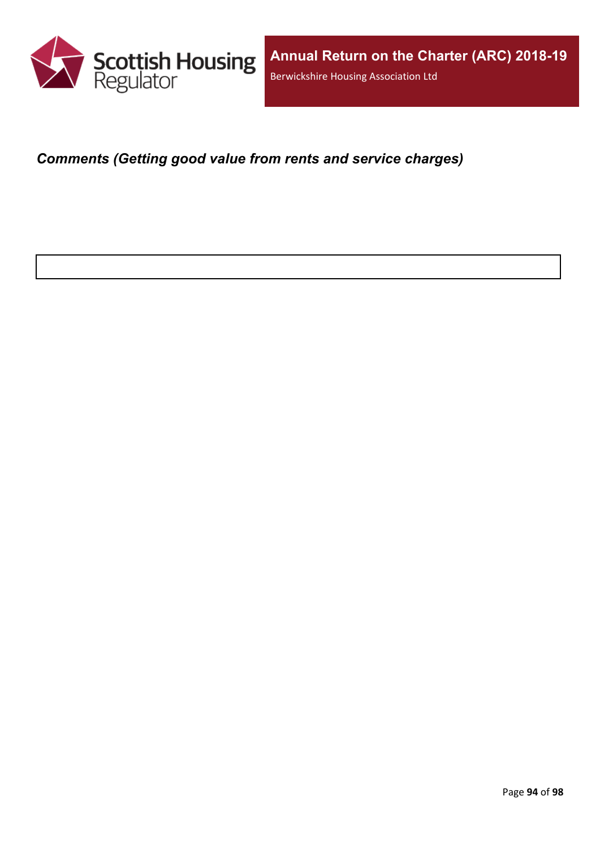

*Comments (Getting good value from rents and service charges)*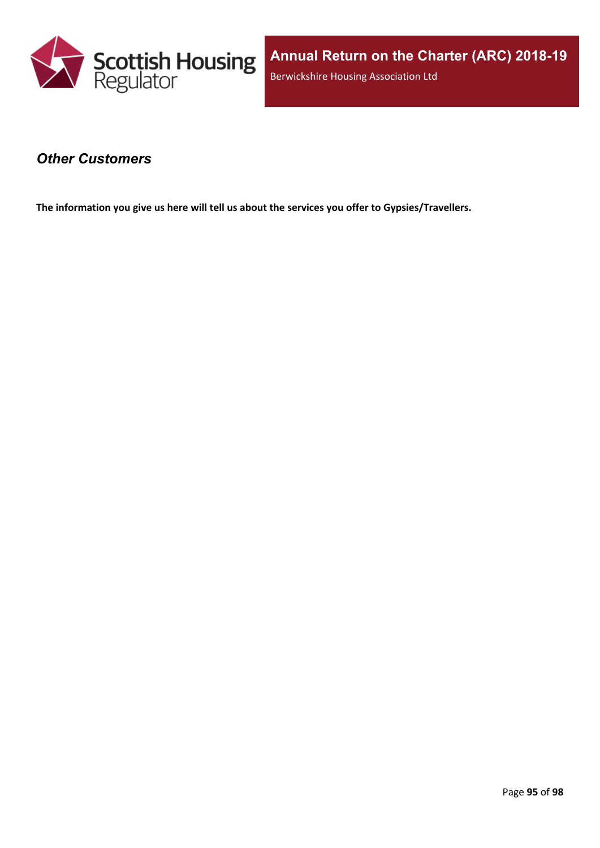

### *Other Customers*

**The information you give us here will tell us about the services you offer to Gypsies/Travellers.**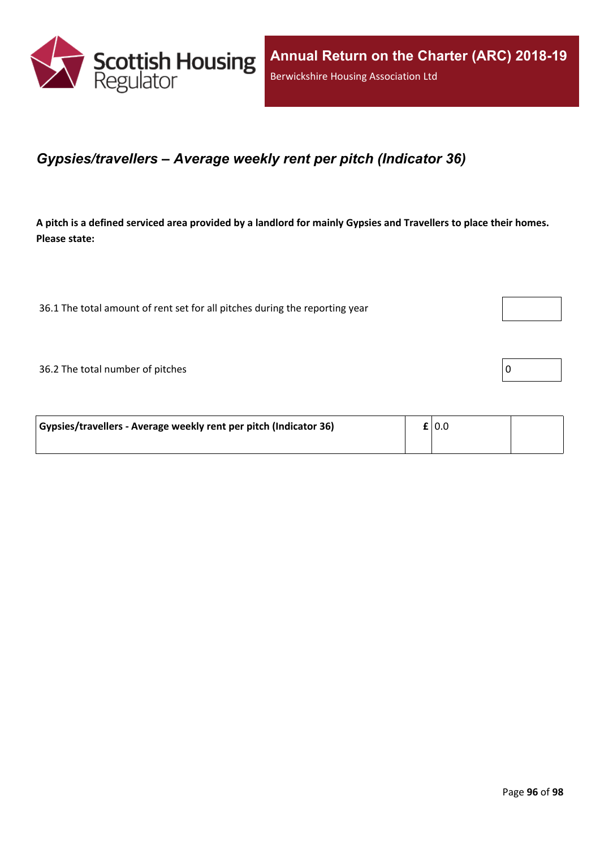

### *Gypsies/travellers – Average weekly rent per pitch (Indicator 36)*

A pitch is a defined serviced area provided by a landlord for mainly Gypsies and Travellers to place their homes. **Please state:**

36.1 The total amount of rent set for all pitches during the reporting year

 $36.2$  The total number of pitches  $\boxed{0}$ 

| Gypsies/travellers - Average weekly rent per pitch (Indicator 36) | $\mathbf{f}$   0.0 |  |
|-------------------------------------------------------------------|--------------------|--|
|                                                                   |                    |  |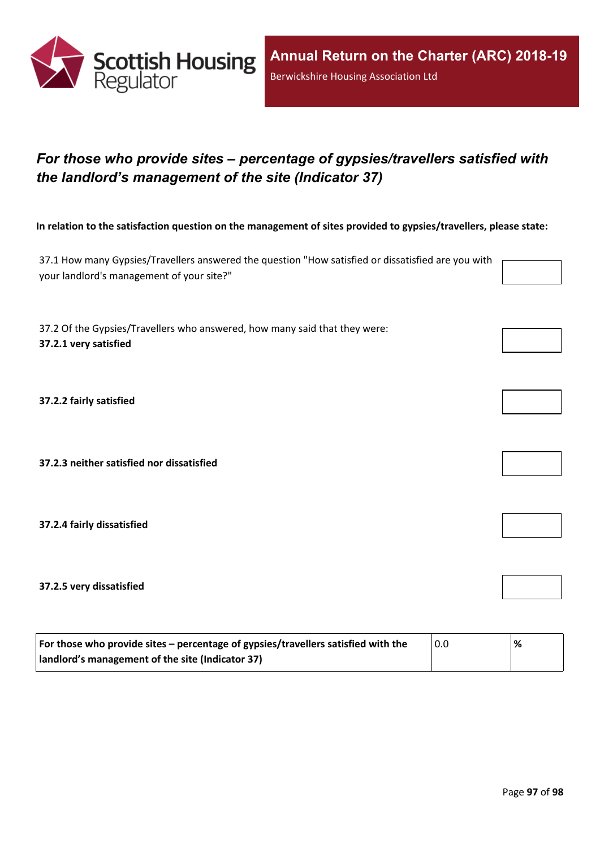

## *For those who provide sites – percentage of gypsies/travellers satisfied with the landlord's management of the site (Indicator 37)*

In relation to the satisfaction question on the management of sites provided to gypsies/travellers, please state:

37.1 How many Gypsies/Travellers answered the question "How satisfied or dissatisfied are you with your landlord's management of your site?"

37.2 Of the Gypsies/Travellers who answered, how many said that they were: **37.2.1 very satisfied**

**37.2.2 fairly satisfied**

**37.2.3 neither satisfied nor dissatisfied**

**37.2.4 fairly dissatisfied**

**37.2.5 very dissatisfied**

| For those who provide sites – percentage of gypsies/travellers satisfied with the | 0.0 | % |
|-----------------------------------------------------------------------------------|-----|---|
| I landlord's management of the site (Indicator 37)                                |     |   |